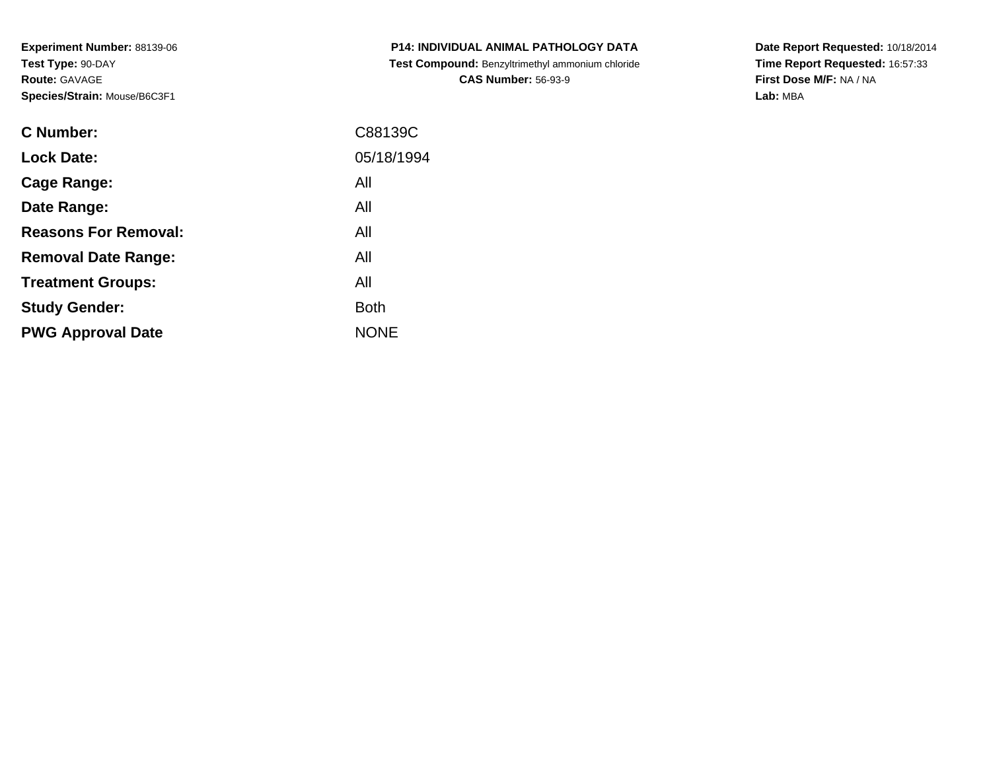**Experiment Number:** 88139-06**Test Type:** 90-DAY**Route:** GAVAGE**Species/Strain:** Mouse/B6C3F1

| <b>C Number:</b>            | C88139C     |
|-----------------------------|-------------|
| <b>Lock Date:</b>           | 05/18/1994  |
| <b>Cage Range:</b>          | All         |
| Date Range:                 | All         |
| <b>Reasons For Removal:</b> | All         |
| <b>Removal Date Range:</b>  | All         |
| <b>Treatment Groups:</b>    | All         |
| <b>Study Gender:</b>        | <b>Both</b> |
| <b>PWG Approval Date</b>    | <b>NONE</b> |
|                             |             |

**P14: INDIVIDUAL ANIMAL PATHOLOGY DATA Test Compound:** Benzyltrimethyl ammonium chloride**CAS Number:** 56-93-9

**Date Report Requested:** 10/18/2014 **Time Report Requested:** 16:57:33**First Dose M/F:** NA / NA**Lab:** MBA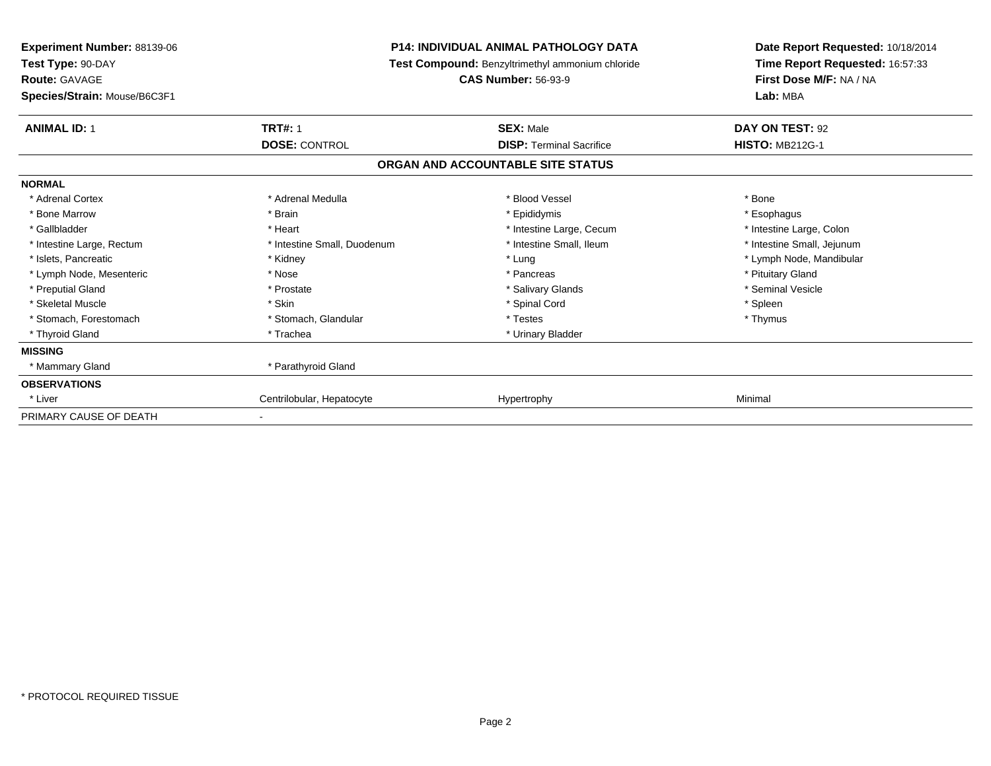| <b>Experiment Number: 88139-06</b><br>Test Type: 90-DAY |                             | <b>P14: INDIVIDUAL ANIMAL PATHOLOGY DATA</b><br>Test Compound: Benzyltrimethyl ammonium chloride | Date Report Requested: 10/18/2014<br>Time Report Requested: 16:57:33 |
|---------------------------------------------------------|-----------------------------|--------------------------------------------------------------------------------------------------|----------------------------------------------------------------------|
| <b>Route: GAVAGE</b>                                    |                             | <b>CAS Number: 56-93-9</b>                                                                       | First Dose M/F: NA / NA                                              |
| Species/Strain: Mouse/B6C3F1                            |                             |                                                                                                  | Lab: MBA                                                             |
| <b>ANIMAL ID: 1</b>                                     | <b>TRT#: 1</b>              | <b>SEX: Male</b>                                                                                 | DAY ON TEST: 92                                                      |
|                                                         | <b>DOSE: CONTROL</b>        | <b>DISP:</b> Terminal Sacrifice                                                                  | <b>HISTO: MB212G-1</b>                                               |
|                                                         |                             | ORGAN AND ACCOUNTABLE SITE STATUS                                                                |                                                                      |
| <b>NORMAL</b>                                           |                             |                                                                                                  |                                                                      |
| * Adrenal Cortex                                        | * Adrenal Medulla           | * Blood Vessel                                                                                   | * Bone                                                               |
| * Bone Marrow                                           | * Brain                     | * Epididymis                                                                                     | * Esophagus                                                          |
| * Gallbladder                                           | * Heart                     | * Intestine Large, Cecum                                                                         | * Intestine Large, Colon                                             |
| * Intestine Large, Rectum                               | * Intestine Small, Duodenum | * Intestine Small, Ileum                                                                         | * Intestine Small, Jejunum                                           |
| * Islets, Pancreatic                                    | * Kidney                    | * Lung                                                                                           | * Lymph Node, Mandibular                                             |
| * Lymph Node, Mesenteric                                | * Nose                      | * Pancreas                                                                                       | * Pituitary Gland                                                    |
| * Preputial Gland                                       | * Prostate                  | * Salivary Glands                                                                                | * Seminal Vesicle                                                    |
| * Skeletal Muscle                                       | * Skin                      | * Spinal Cord                                                                                    | * Spleen                                                             |
| * Stomach, Forestomach                                  | * Stomach, Glandular        | * Testes                                                                                         | * Thymus                                                             |
| * Thyroid Gland                                         | * Trachea                   | * Urinary Bladder                                                                                |                                                                      |
| <b>MISSING</b>                                          |                             |                                                                                                  |                                                                      |
| * Mammary Gland                                         | * Parathyroid Gland         |                                                                                                  |                                                                      |
| <b>OBSERVATIONS</b>                                     |                             |                                                                                                  |                                                                      |
| * Liver                                                 | Centrilobular, Hepatocyte   | Hypertrophy                                                                                      | Minimal                                                              |
| PRIMARY CAUSE OF DEATH                                  | $\overline{\phantom{a}}$    |                                                                                                  |                                                                      |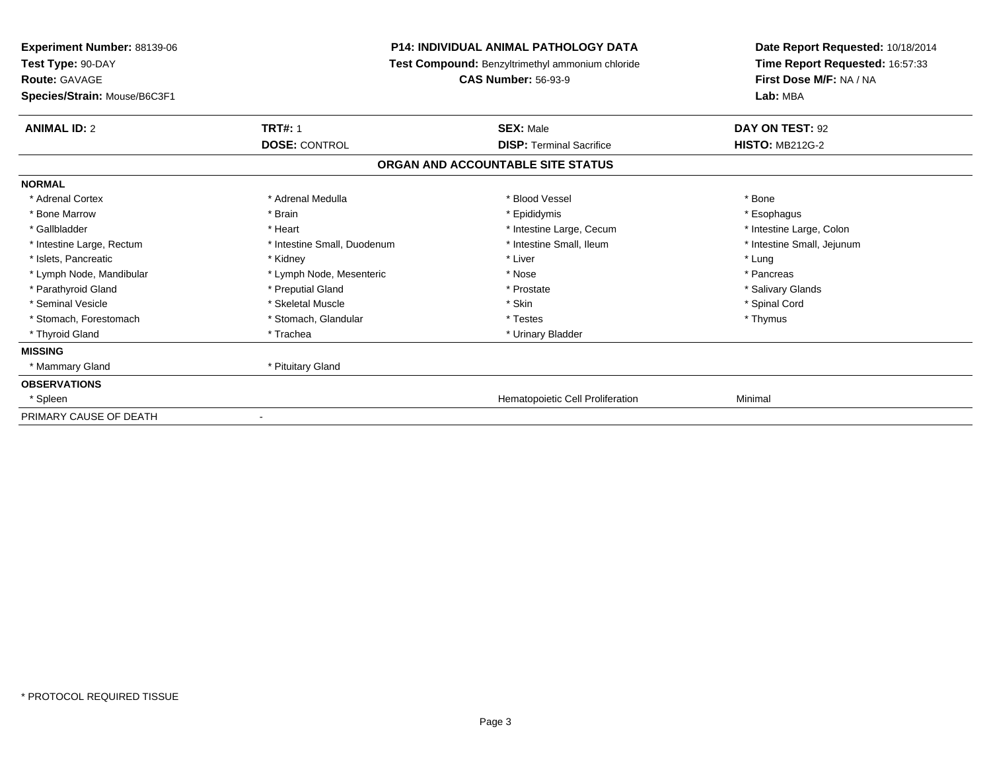| <b>P14: INDIVIDUAL ANIMAL PATHOLOGY DATA</b><br><b>Experiment Number: 88139-06</b><br>Test Type: 90-DAY<br>Test Compound: Benzyltrimethyl ammonium chloride<br><b>Route: GAVAGE</b><br><b>CAS Number: 56-93-9</b> |                             |                                   | Date Report Requested: 10/18/2014<br>Time Report Requested: 16:57:33 |
|-------------------------------------------------------------------------------------------------------------------------------------------------------------------------------------------------------------------|-----------------------------|-----------------------------------|----------------------------------------------------------------------|
|                                                                                                                                                                                                                   |                             | First Dose M/F: NA / NA           |                                                                      |
| Species/Strain: Mouse/B6C3F1                                                                                                                                                                                      |                             |                                   | Lab: MBA                                                             |
| <b>ANIMAL ID: 2</b>                                                                                                                                                                                               | <b>TRT#: 1</b>              | <b>SEX: Male</b>                  | DAY ON TEST: 92                                                      |
|                                                                                                                                                                                                                   | <b>DOSE: CONTROL</b>        | <b>DISP: Terminal Sacrifice</b>   | <b>HISTO: MB212G-2</b>                                               |
|                                                                                                                                                                                                                   |                             | ORGAN AND ACCOUNTABLE SITE STATUS |                                                                      |
| <b>NORMAL</b>                                                                                                                                                                                                     |                             |                                   |                                                                      |
| * Adrenal Cortex                                                                                                                                                                                                  | * Adrenal Medulla           | * Blood Vessel                    | * Bone                                                               |
| * Bone Marrow                                                                                                                                                                                                     | * Brain                     | * Epididymis                      | * Esophagus                                                          |
| * Gallbladder                                                                                                                                                                                                     | * Heart                     | * Intestine Large, Cecum          | * Intestine Large, Colon                                             |
| * Intestine Large, Rectum                                                                                                                                                                                         | * Intestine Small, Duodenum | * Intestine Small, Ileum          | * Intestine Small, Jejunum                                           |
| * Islets, Pancreatic                                                                                                                                                                                              | * Kidney                    | * Liver                           | * Lung                                                               |
| * Lymph Node, Mandibular                                                                                                                                                                                          | * Lymph Node, Mesenteric    | * Nose                            | * Pancreas                                                           |
| * Parathyroid Gland                                                                                                                                                                                               | * Preputial Gland           | * Prostate                        | * Salivary Glands                                                    |
| * Seminal Vesicle                                                                                                                                                                                                 | * Skeletal Muscle           | * Skin                            | * Spinal Cord                                                        |
| * Stomach, Forestomach                                                                                                                                                                                            | * Stomach, Glandular        | * Testes                          | * Thymus                                                             |
| * Thyroid Gland                                                                                                                                                                                                   | * Trachea                   | * Urinary Bladder                 |                                                                      |
| <b>MISSING</b>                                                                                                                                                                                                    |                             |                                   |                                                                      |
| * Mammary Gland                                                                                                                                                                                                   | * Pituitary Gland           |                                   |                                                                      |
| <b>OBSERVATIONS</b>                                                                                                                                                                                               |                             |                                   |                                                                      |
| * Spleen                                                                                                                                                                                                          |                             | Hematopoietic Cell Proliferation  | Minimal                                                              |
| PRIMARY CAUSE OF DEATH                                                                                                                                                                                            |                             |                                   |                                                                      |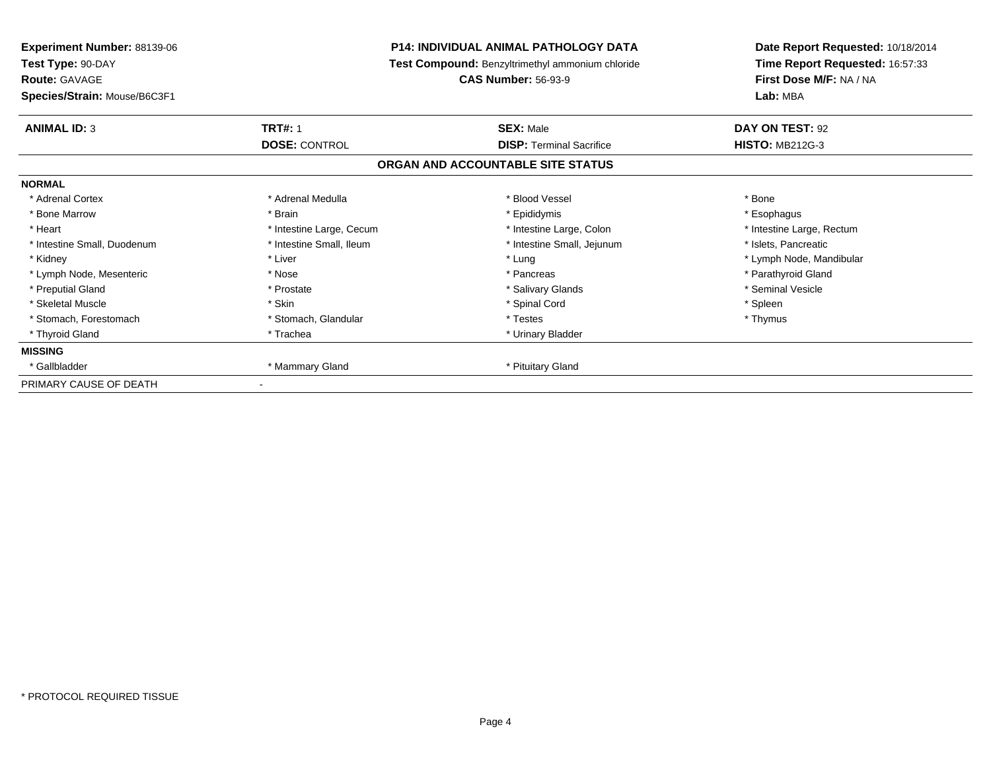| <b>Experiment Number: 88139-06</b> | P14: INDIVIDUAL ANIMAL PATHOLOGY DATA<br>Test Compound: Benzyltrimethyl ammonium chloride |                                   | Date Report Requested: 10/18/2014 |  |
|------------------------------------|-------------------------------------------------------------------------------------------|-----------------------------------|-----------------------------------|--|
| Test Type: 90-DAY                  |                                                                                           |                                   | Time Report Requested: 16:57:33   |  |
| <b>Route: GAVAGE</b>               |                                                                                           | <b>CAS Number: 56-93-9</b>        | First Dose M/F: NA / NA           |  |
| Species/Strain: Mouse/B6C3F1       |                                                                                           |                                   | Lab: MBA                          |  |
| <b>ANIMAL ID: 3</b>                | <b>TRT#: 1</b>                                                                            | <b>SEX: Male</b>                  | DAY ON TEST: 92                   |  |
|                                    | <b>DOSE: CONTROL</b>                                                                      | <b>DISP: Terminal Sacrifice</b>   | <b>HISTO: MB212G-3</b>            |  |
|                                    |                                                                                           | ORGAN AND ACCOUNTABLE SITE STATUS |                                   |  |
| <b>NORMAL</b>                      |                                                                                           |                                   |                                   |  |
| * Adrenal Cortex                   | * Adrenal Medulla                                                                         | * Blood Vessel                    | * Bone                            |  |
| * Bone Marrow                      | * Brain                                                                                   | * Epididymis                      | * Esophagus                       |  |
| * Heart                            | * Intestine Large, Cecum                                                                  | * Intestine Large, Colon          | * Intestine Large, Rectum         |  |
| * Intestine Small, Duodenum        | * Intestine Small, Ileum                                                                  | * Intestine Small, Jejunum        | * Islets, Pancreatic              |  |
| * Kidney                           | * Liver                                                                                   | * Lung                            | * Lymph Node, Mandibular          |  |
| * Lymph Node, Mesenteric           | * Nose                                                                                    | * Pancreas                        | * Parathyroid Gland               |  |
| * Preputial Gland                  | * Prostate                                                                                | * Salivary Glands                 | * Seminal Vesicle                 |  |
| * Skeletal Muscle                  | * Skin                                                                                    | * Spinal Cord                     | * Spleen                          |  |
| * Stomach, Forestomach             | * Stomach, Glandular                                                                      | * Testes                          | * Thymus                          |  |
| * Thyroid Gland                    | * Trachea                                                                                 | * Urinary Bladder                 |                                   |  |
| <b>MISSING</b>                     |                                                                                           |                                   |                                   |  |
| * Gallbladder                      | * Mammary Gland                                                                           | * Pituitary Gland                 |                                   |  |
| PRIMARY CAUSE OF DEATH             |                                                                                           |                                   |                                   |  |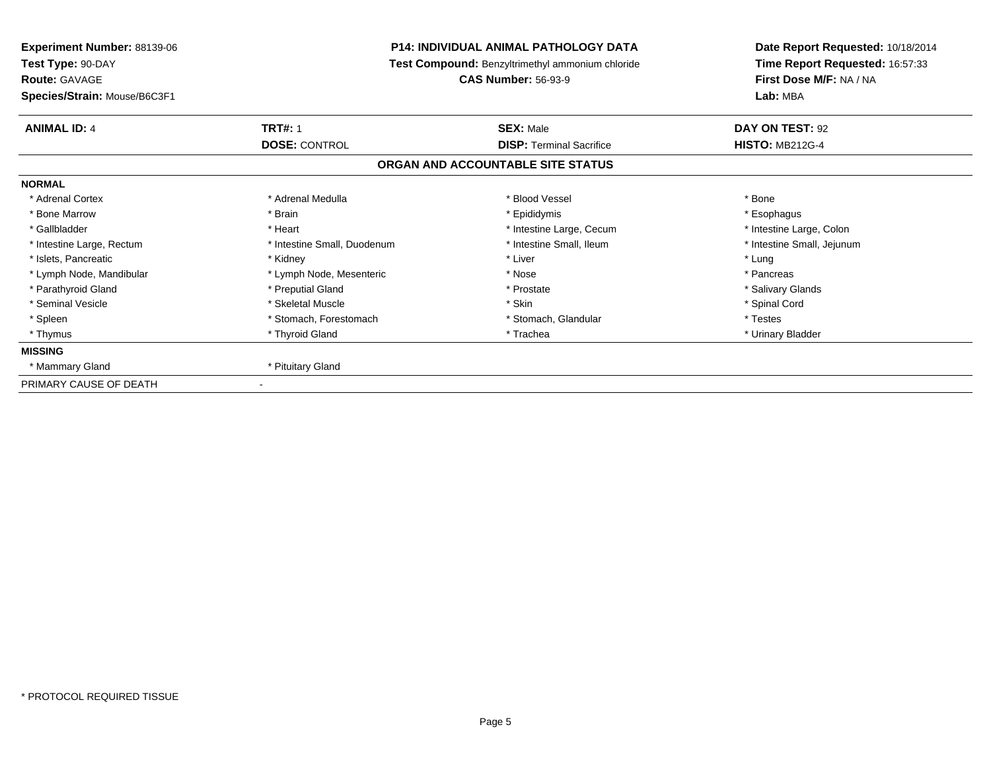| Experiment Number: 88139-06<br>Test Type: 90-DAY<br><b>Route: GAVAGE</b><br>Species/Strain: Mouse/B6C3F1 |                                        | <b>P14: INDIVIDUAL ANIMAL PATHOLOGY DATA</b><br>Test Compound: Benzyltrimethyl ammonium chloride<br><b>CAS Number: 56-93-9</b> | Date Report Requested: 10/18/2014<br>Time Report Requested: 16:57:33<br>First Dose M/F: NA / NA<br>Lab: MBA |
|----------------------------------------------------------------------------------------------------------|----------------------------------------|--------------------------------------------------------------------------------------------------------------------------------|-------------------------------------------------------------------------------------------------------------|
|                                                                                                          |                                        |                                                                                                                                |                                                                                                             |
| <b>ANIMAL ID: 4</b>                                                                                      | <b>TRT#: 1</b><br><b>DOSE: CONTROL</b> | <b>SEX: Male</b><br><b>DISP:</b> Terminal Sacrifice                                                                            | DAY ON TEST: 92<br><b>HISTO: MB212G-4</b>                                                                   |
|                                                                                                          |                                        | ORGAN AND ACCOUNTABLE SITE STATUS                                                                                              |                                                                                                             |
| <b>NORMAL</b>                                                                                            |                                        |                                                                                                                                |                                                                                                             |
| * Adrenal Cortex                                                                                         | * Adrenal Medulla                      | * Blood Vessel                                                                                                                 | * Bone                                                                                                      |
| * Bone Marrow                                                                                            | * Brain                                | * Epididymis                                                                                                                   | * Esophagus                                                                                                 |
| * Gallbladder                                                                                            | * Heart                                | * Intestine Large, Cecum                                                                                                       | * Intestine Large, Colon                                                                                    |
| * Intestine Large, Rectum                                                                                | * Intestine Small, Duodenum            | * Intestine Small, Ileum                                                                                                       | * Intestine Small, Jejunum                                                                                  |
| * Islets, Pancreatic                                                                                     | * Kidney                               | * Liver                                                                                                                        | * Lung                                                                                                      |
| * Lymph Node, Mandibular                                                                                 | * Lymph Node, Mesenteric               | * Nose                                                                                                                         | * Pancreas                                                                                                  |
| * Parathyroid Gland                                                                                      | * Preputial Gland                      | * Prostate                                                                                                                     | * Salivary Glands                                                                                           |
| * Seminal Vesicle                                                                                        | * Skeletal Muscle                      | * Skin                                                                                                                         | * Spinal Cord                                                                                               |
| * Spleen                                                                                                 | * Stomach, Forestomach                 | * Stomach, Glandular                                                                                                           | * Testes                                                                                                    |
| * Thymus                                                                                                 | * Thyroid Gland                        | * Trachea                                                                                                                      | * Urinary Bladder                                                                                           |
| <b>MISSING</b>                                                                                           |                                        |                                                                                                                                |                                                                                                             |
| * Mammary Gland                                                                                          | * Pituitary Gland                      |                                                                                                                                |                                                                                                             |
| PRIMARY CAUSE OF DEATH                                                                                   |                                        |                                                                                                                                |                                                                                                             |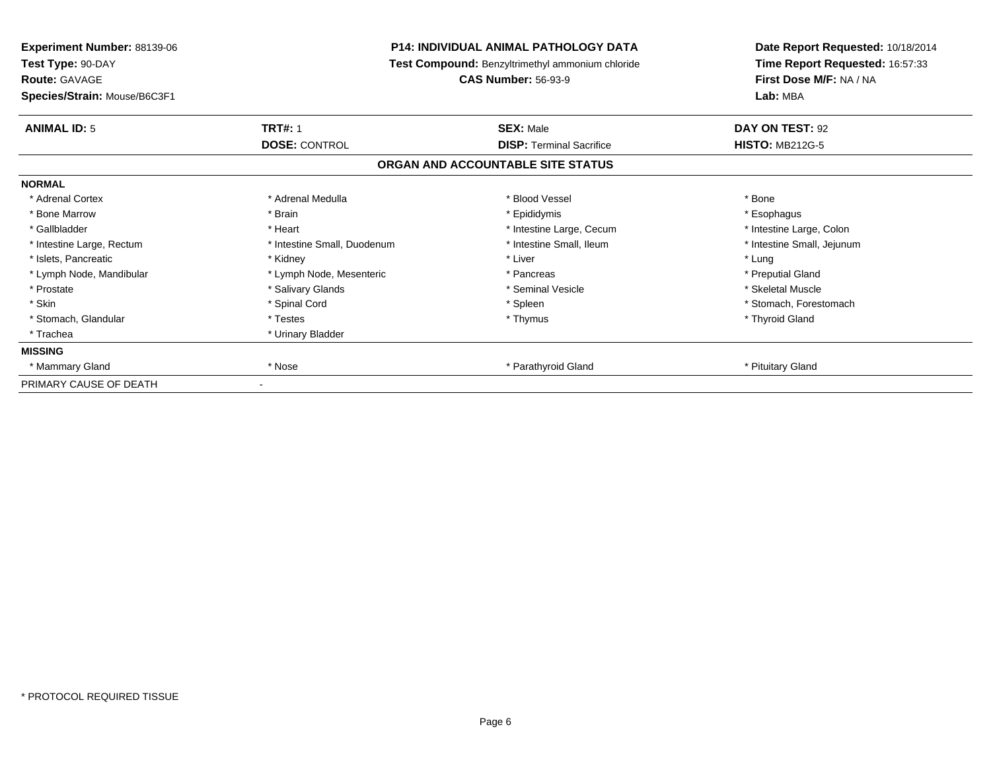| Experiment Number: 88139-06<br>Test Type: 90-DAY<br><b>Route: GAVAGE</b> | <b>P14: INDIVIDUAL ANIMAL PATHOLOGY DATA</b><br>Test Compound: Benzyltrimethyl ammonium chloride<br><b>CAS Number: 56-93-9</b> |                                   | Date Report Requested: 10/18/2014<br>Time Report Requested: 16:57:33<br>First Dose M/F: NA / NA |  |
|--------------------------------------------------------------------------|--------------------------------------------------------------------------------------------------------------------------------|-----------------------------------|-------------------------------------------------------------------------------------------------|--|
| Species/Strain: Mouse/B6C3F1                                             |                                                                                                                                |                                   | Lab: MBA                                                                                        |  |
| <b>ANIMAL ID: 5</b>                                                      | <b>TRT#: 1</b>                                                                                                                 | <b>SEX: Male</b>                  | DAY ON TEST: 92                                                                                 |  |
|                                                                          | <b>DOSE: CONTROL</b>                                                                                                           | <b>DISP: Terminal Sacrifice</b>   | <b>HISTO: MB212G-5</b>                                                                          |  |
|                                                                          |                                                                                                                                | ORGAN AND ACCOUNTABLE SITE STATUS |                                                                                                 |  |
| <b>NORMAL</b>                                                            |                                                                                                                                |                                   |                                                                                                 |  |
| * Adrenal Cortex                                                         | * Adrenal Medulla                                                                                                              | * Blood Vessel                    | * Bone                                                                                          |  |
| * Bone Marrow                                                            | * Brain                                                                                                                        | * Epididymis                      | * Esophagus                                                                                     |  |
| * Gallbladder                                                            | * Heart                                                                                                                        | * Intestine Large, Cecum          | * Intestine Large, Colon                                                                        |  |
| * Intestine Large, Rectum                                                | * Intestine Small, Duodenum                                                                                                    | * Intestine Small, Ileum          | * Intestine Small, Jejunum                                                                      |  |
| * Islets, Pancreatic                                                     | * Kidney                                                                                                                       | * Liver                           | * Lung                                                                                          |  |
| * Lymph Node, Mandibular                                                 | * Lymph Node, Mesenteric                                                                                                       | * Pancreas                        | * Preputial Gland                                                                               |  |
| * Prostate                                                               | * Salivary Glands                                                                                                              | * Seminal Vesicle                 | * Skeletal Muscle                                                                               |  |
| * Skin                                                                   | * Spinal Cord                                                                                                                  | * Spleen                          | * Stomach, Forestomach                                                                          |  |
| * Stomach, Glandular                                                     | * Testes                                                                                                                       | * Thymus                          | * Thyroid Gland                                                                                 |  |
| * Trachea                                                                | * Urinary Bladder                                                                                                              |                                   |                                                                                                 |  |
| <b>MISSING</b>                                                           |                                                                                                                                |                                   |                                                                                                 |  |
| * Mammary Gland                                                          | * Nose                                                                                                                         | * Parathyroid Gland               | * Pituitary Gland                                                                               |  |
| PRIMARY CAUSE OF DEATH                                                   |                                                                                                                                |                                   |                                                                                                 |  |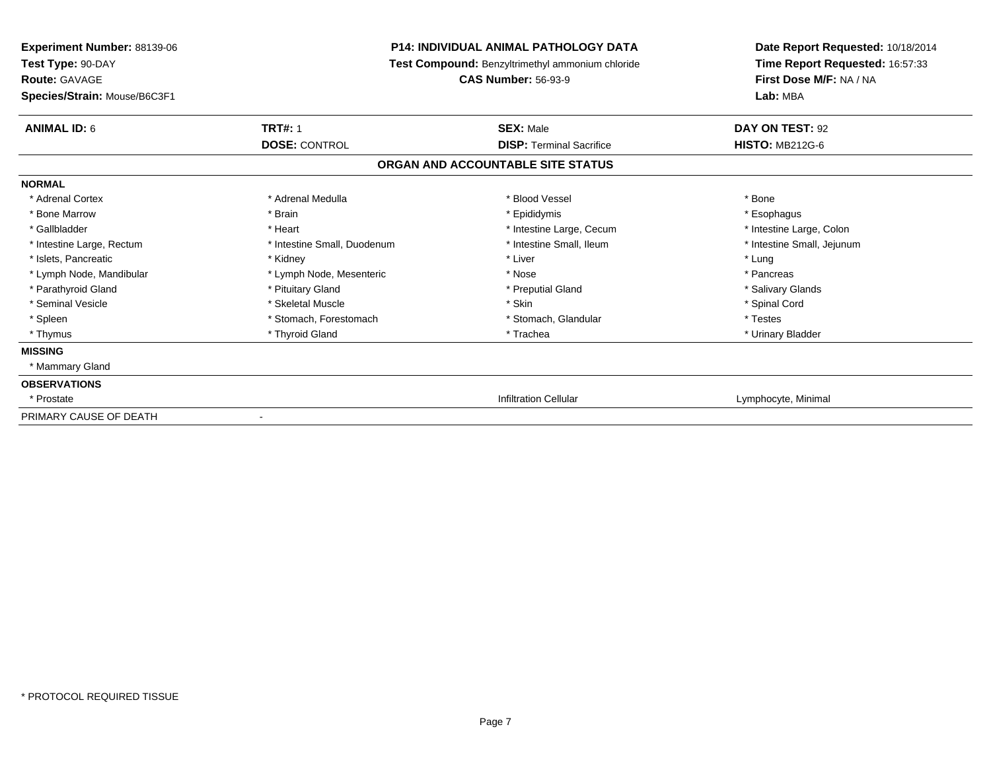| <b>Experiment Number: 88139-06</b><br>Test Type: 90-DAY<br><b>Route: GAVAGE</b> | <b>P14: INDIVIDUAL ANIMAL PATHOLOGY DATA</b><br>Test Compound: Benzyltrimethyl ammonium chloride<br><b>CAS Number: 56-93-9</b> |                                   | Date Report Requested: 10/18/2014<br>Time Report Requested: 16:57:33<br>First Dose M/F: NA / NA |  |
|---------------------------------------------------------------------------------|--------------------------------------------------------------------------------------------------------------------------------|-----------------------------------|-------------------------------------------------------------------------------------------------|--|
| Species/Strain: Mouse/B6C3F1                                                    |                                                                                                                                |                                   | Lab: MBA                                                                                        |  |
| <b>ANIMAL ID: 6</b>                                                             | <b>TRT#: 1</b>                                                                                                                 | <b>SEX: Male</b>                  | DAY ON TEST: 92                                                                                 |  |
|                                                                                 | <b>DOSE: CONTROL</b>                                                                                                           | <b>DISP: Terminal Sacrifice</b>   | <b>HISTO: MB212G-6</b>                                                                          |  |
|                                                                                 |                                                                                                                                | ORGAN AND ACCOUNTABLE SITE STATUS |                                                                                                 |  |
| <b>NORMAL</b>                                                                   |                                                                                                                                |                                   |                                                                                                 |  |
| * Adrenal Cortex                                                                | * Adrenal Medulla                                                                                                              | * Blood Vessel                    | * Bone                                                                                          |  |
| * Bone Marrow                                                                   | * Brain                                                                                                                        | * Epididymis                      | * Esophagus                                                                                     |  |
| * Gallbladder                                                                   | * Heart                                                                                                                        | * Intestine Large, Cecum          | * Intestine Large, Colon                                                                        |  |
| * Intestine Large, Rectum                                                       | * Intestine Small, Duodenum                                                                                                    | * Intestine Small, Ileum          | * Intestine Small, Jejunum                                                                      |  |
| * Islets, Pancreatic                                                            | * Kidney                                                                                                                       | * Liver                           | * Lung                                                                                          |  |
| * Lymph Node, Mandibular                                                        | * Lymph Node, Mesenteric                                                                                                       | * Nose                            | * Pancreas                                                                                      |  |
| * Parathyroid Gland                                                             | * Pituitary Gland                                                                                                              | * Preputial Gland                 | * Salivary Glands                                                                               |  |
| * Seminal Vesicle                                                               | * Skeletal Muscle                                                                                                              | * Skin                            | * Spinal Cord                                                                                   |  |
| * Spleen                                                                        | * Stomach, Forestomach                                                                                                         | * Stomach, Glandular              | * Testes                                                                                        |  |
| * Thymus                                                                        | * Thyroid Gland                                                                                                                | * Trachea                         | * Urinary Bladder                                                                               |  |
| <b>MISSING</b>                                                                  |                                                                                                                                |                                   |                                                                                                 |  |
| * Mammary Gland                                                                 |                                                                                                                                |                                   |                                                                                                 |  |
| <b>OBSERVATIONS</b>                                                             |                                                                                                                                |                                   |                                                                                                 |  |
| * Prostate                                                                      |                                                                                                                                | <b>Infiltration Cellular</b>      | Lymphocyte, Minimal                                                                             |  |
| PRIMARY CAUSE OF DEATH                                                          |                                                                                                                                |                                   |                                                                                                 |  |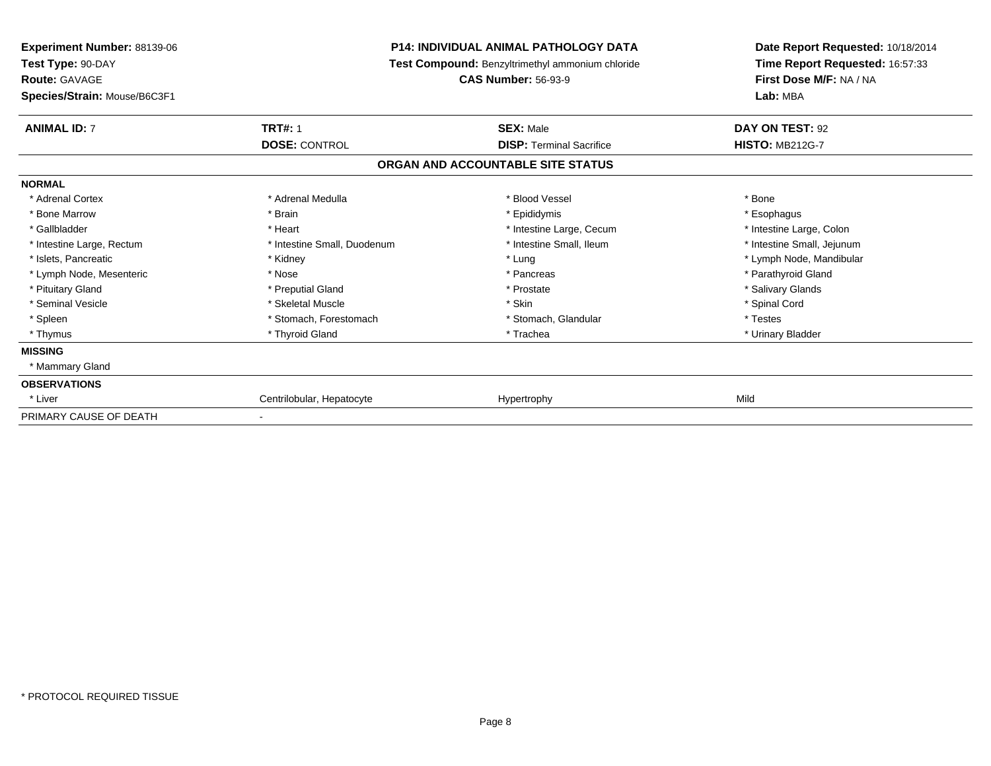| <b>Experiment Number: 88139-06</b><br>Test Type: 90-DAY<br><b>Route: GAVAGE</b> |                             | <b>P14: INDIVIDUAL ANIMAL PATHOLOGY DATA</b><br>Test Compound: Benzyltrimethyl ammonium chloride<br><b>CAS Number: 56-93-9</b> | Date Report Requested: 10/18/2014<br>Time Report Requested: 16:57:33<br>First Dose M/F: NA / NA |  |
|---------------------------------------------------------------------------------|-----------------------------|--------------------------------------------------------------------------------------------------------------------------------|-------------------------------------------------------------------------------------------------|--|
| Species/Strain: Mouse/B6C3F1                                                    |                             |                                                                                                                                | Lab: MBA                                                                                        |  |
| <b>ANIMAL ID: 7</b>                                                             | <b>TRT#: 1</b>              | <b>SEX: Male</b>                                                                                                               | DAY ON TEST: 92                                                                                 |  |
|                                                                                 | <b>DOSE: CONTROL</b>        | <b>DISP: Terminal Sacrifice</b>                                                                                                | <b>HISTO: MB212G-7</b>                                                                          |  |
|                                                                                 |                             | ORGAN AND ACCOUNTABLE SITE STATUS                                                                                              |                                                                                                 |  |
| <b>NORMAL</b>                                                                   |                             |                                                                                                                                |                                                                                                 |  |
| * Adrenal Cortex                                                                | * Adrenal Medulla           | * Blood Vessel                                                                                                                 | * Bone                                                                                          |  |
| * Bone Marrow                                                                   | * Brain                     | * Epididymis                                                                                                                   | * Esophagus                                                                                     |  |
| * Gallbladder                                                                   | * Heart                     | * Intestine Large, Cecum                                                                                                       | * Intestine Large, Colon                                                                        |  |
| * Intestine Large, Rectum                                                       | * Intestine Small, Duodenum | * Intestine Small, Ileum                                                                                                       | * Intestine Small, Jejunum                                                                      |  |
| * Islets, Pancreatic                                                            | * Kidney                    | * Lung                                                                                                                         | * Lymph Node, Mandibular                                                                        |  |
| * Lymph Node, Mesenteric                                                        | * Nose                      | * Pancreas                                                                                                                     | * Parathyroid Gland                                                                             |  |
| * Pituitary Gland                                                               | * Preputial Gland           | * Prostate                                                                                                                     | * Salivary Glands                                                                               |  |
| * Seminal Vesicle                                                               | * Skeletal Muscle           | * Skin                                                                                                                         | * Spinal Cord                                                                                   |  |
| * Spleen                                                                        | * Stomach, Forestomach      | * Stomach, Glandular                                                                                                           | * Testes                                                                                        |  |
| * Thymus                                                                        | * Thyroid Gland             | * Trachea                                                                                                                      | * Urinary Bladder                                                                               |  |
| <b>MISSING</b>                                                                  |                             |                                                                                                                                |                                                                                                 |  |
| * Mammary Gland                                                                 |                             |                                                                                                                                |                                                                                                 |  |
| <b>OBSERVATIONS</b>                                                             |                             |                                                                                                                                |                                                                                                 |  |
| * Liver                                                                         | Centrilobular, Hepatocyte   | Hypertrophy                                                                                                                    | Mild                                                                                            |  |
| PRIMARY CAUSE OF DEATH                                                          |                             |                                                                                                                                |                                                                                                 |  |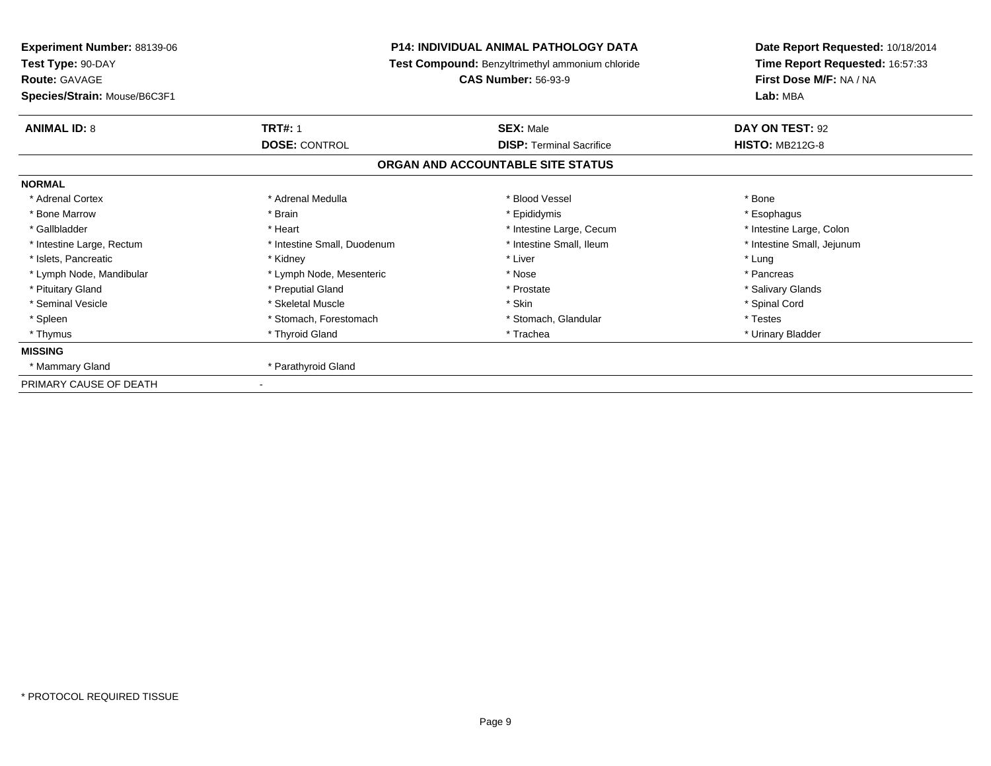| Experiment Number: 88139-06<br>Test Type: 90-DAY<br><b>Route: GAVAGE</b> |                             | <b>P14: INDIVIDUAL ANIMAL PATHOLOGY DATA</b><br>Test Compound: Benzyltrimethyl ammonium chloride<br><b>CAS Number: 56-93-9</b> | Date Report Requested: 10/18/2014<br>Time Report Requested: 16:57:33<br>First Dose M/F: NA / NA |
|--------------------------------------------------------------------------|-----------------------------|--------------------------------------------------------------------------------------------------------------------------------|-------------------------------------------------------------------------------------------------|
| Species/Strain: Mouse/B6C3F1                                             |                             |                                                                                                                                | Lab: MBA                                                                                        |
| <b>ANIMAL ID: 8</b>                                                      | <b>TRT#: 1</b>              | <b>SEX: Male</b>                                                                                                               | DAY ON TEST: 92                                                                                 |
|                                                                          | <b>DOSE: CONTROL</b>        | <b>DISP: Terminal Sacrifice</b>                                                                                                | <b>HISTO: MB212G-8</b>                                                                          |
|                                                                          |                             | ORGAN AND ACCOUNTABLE SITE STATUS                                                                                              |                                                                                                 |
| <b>NORMAL</b>                                                            |                             |                                                                                                                                |                                                                                                 |
| * Adrenal Cortex                                                         | * Adrenal Medulla           | * Blood Vessel                                                                                                                 | * Bone                                                                                          |
| * Bone Marrow                                                            | * Brain                     | * Epididymis                                                                                                                   | * Esophagus                                                                                     |
| * Gallbladder                                                            | * Heart                     | * Intestine Large, Cecum                                                                                                       | * Intestine Large, Colon                                                                        |
| * Intestine Large, Rectum                                                | * Intestine Small, Duodenum | * Intestine Small, Ileum                                                                                                       | * Intestine Small, Jejunum                                                                      |
| * Islets, Pancreatic                                                     | * Kidney                    | * Liver                                                                                                                        | * Lung                                                                                          |
| * Lymph Node, Mandibular                                                 | * Lymph Node, Mesenteric    | * Nose                                                                                                                         | * Pancreas                                                                                      |
| * Pituitary Gland                                                        | * Preputial Gland           | * Prostate                                                                                                                     | * Salivary Glands                                                                               |
| * Seminal Vesicle                                                        | * Skeletal Muscle           | * Skin                                                                                                                         | * Spinal Cord                                                                                   |
| * Spleen                                                                 | * Stomach, Forestomach      | * Stomach, Glandular                                                                                                           | * Testes                                                                                        |
| * Thymus                                                                 | * Thyroid Gland             | * Trachea                                                                                                                      | * Urinary Bladder                                                                               |
| <b>MISSING</b>                                                           |                             |                                                                                                                                |                                                                                                 |
| * Mammary Gland                                                          | * Parathyroid Gland         |                                                                                                                                |                                                                                                 |
| PRIMARY CAUSE OF DEATH                                                   |                             |                                                                                                                                |                                                                                                 |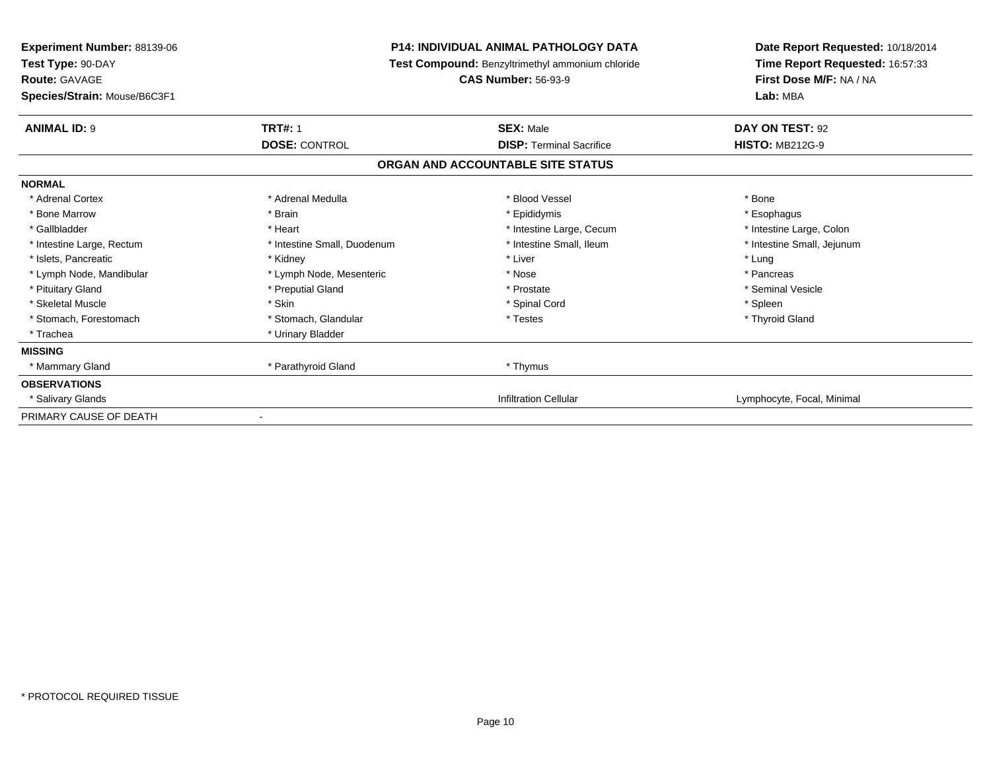| <b>Experiment Number: 88139-06</b><br>Test Type: 90-DAY |                             | <b>P14: INDIVIDUAL ANIMAL PATHOLOGY DATA</b><br>Test Compound: Benzyltrimethyl ammonium chloride | Date Report Requested: 10/18/2014<br>Time Report Requested: 16:57:33 |
|---------------------------------------------------------|-----------------------------|--------------------------------------------------------------------------------------------------|----------------------------------------------------------------------|
| <b>Route: GAVAGE</b>                                    |                             | <b>CAS Number: 56-93-9</b>                                                                       | First Dose M/F: NA / NA                                              |
| Species/Strain: Mouse/B6C3F1                            |                             |                                                                                                  | Lab: MBA                                                             |
| <b>ANIMAL ID: 9</b>                                     | <b>TRT#: 1</b>              | <b>SEX: Male</b>                                                                                 | DAY ON TEST: 92                                                      |
|                                                         | <b>DOSE: CONTROL</b>        | <b>DISP: Terminal Sacrifice</b>                                                                  | <b>HISTO: MB212G-9</b>                                               |
|                                                         |                             | ORGAN AND ACCOUNTABLE SITE STATUS                                                                |                                                                      |
| <b>NORMAL</b>                                           |                             |                                                                                                  |                                                                      |
| * Adrenal Cortex                                        | * Adrenal Medulla           | * Blood Vessel                                                                                   | * Bone                                                               |
| * Bone Marrow                                           | * Brain                     | * Epididymis                                                                                     | * Esophagus                                                          |
| * Gallbladder                                           | * Heart                     | * Intestine Large, Cecum                                                                         | * Intestine Large, Colon                                             |
| * Intestine Large, Rectum                               | * Intestine Small, Duodenum | * Intestine Small, Ileum                                                                         | * Intestine Small, Jejunum                                           |
| * Islets, Pancreatic                                    | * Kidney                    | * Liver                                                                                          | * Lung                                                               |
| * Lymph Node, Mandibular                                | * Lymph Node, Mesenteric    | * Nose                                                                                           | * Pancreas                                                           |
| * Pituitary Gland                                       | * Preputial Gland           | * Prostate                                                                                       | * Seminal Vesicle                                                    |
| * Skeletal Muscle                                       | * Skin                      | * Spinal Cord                                                                                    | * Spleen                                                             |
| * Stomach, Forestomach                                  | * Stomach, Glandular        | * Testes                                                                                         | * Thyroid Gland                                                      |
| * Trachea                                               | * Urinary Bladder           |                                                                                                  |                                                                      |
| <b>MISSING</b>                                          |                             |                                                                                                  |                                                                      |
| * Mammary Gland                                         | * Parathyroid Gland         | * Thymus                                                                                         |                                                                      |
| <b>OBSERVATIONS</b>                                     |                             |                                                                                                  |                                                                      |
| * Salivary Glands                                       |                             | <b>Infiltration Cellular</b>                                                                     | Lymphocyte, Focal, Minimal                                           |
| PRIMARY CAUSE OF DEATH                                  |                             |                                                                                                  |                                                                      |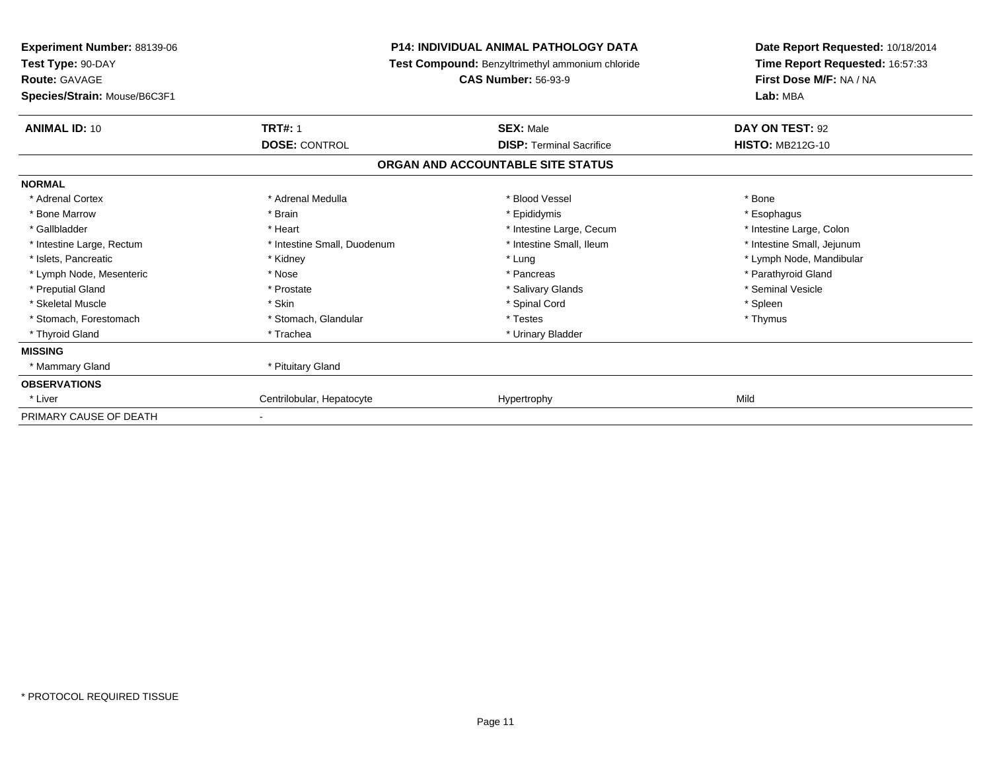| <b>Experiment Number: 88139-06</b><br>Test Type: 90-DAY |                             | <b>P14: INDIVIDUAL ANIMAL PATHOLOGY DATA</b><br>Test Compound: Benzyltrimethyl ammonium chloride | Date Report Requested: 10/18/2014<br>Time Report Requested: 16:57:33 |  |
|---------------------------------------------------------|-----------------------------|--------------------------------------------------------------------------------------------------|----------------------------------------------------------------------|--|
| <b>Route: GAVAGE</b><br>Species/Strain: Mouse/B6C3F1    |                             | <b>CAS Number: 56-93-9</b>                                                                       | First Dose M/F: NA / NA<br>Lab: MBA                                  |  |
| <b>ANIMAL ID: 10</b>                                    | <b>TRT#: 1</b>              | <b>SEX: Male</b>                                                                                 | DAY ON TEST: 92                                                      |  |
|                                                         | <b>DOSE: CONTROL</b>        | <b>DISP:</b> Terminal Sacrifice                                                                  | <b>HISTO: MB212G-10</b>                                              |  |
|                                                         |                             | ORGAN AND ACCOUNTABLE SITE STATUS                                                                |                                                                      |  |
| <b>NORMAL</b>                                           |                             |                                                                                                  |                                                                      |  |
| * Adrenal Cortex                                        | * Adrenal Medulla           | * Blood Vessel                                                                                   | * Bone                                                               |  |
| * Bone Marrow                                           | * Brain                     | * Epididymis                                                                                     | * Esophagus                                                          |  |
| * Gallbladder                                           | * Heart                     | * Intestine Large, Cecum                                                                         | * Intestine Large, Colon                                             |  |
| * Intestine Large, Rectum                               | * Intestine Small, Duodenum | * Intestine Small, Ileum                                                                         | * Intestine Small, Jejunum                                           |  |
| * Islets, Pancreatic                                    | * Kidney                    | * Lung                                                                                           | * Lymph Node, Mandibular                                             |  |
| * Lymph Node, Mesenteric                                | * Nose                      | * Pancreas                                                                                       | * Parathyroid Gland                                                  |  |
| * Preputial Gland                                       | * Prostate                  | * Salivary Glands                                                                                | * Seminal Vesicle                                                    |  |
| * Skeletal Muscle                                       | * Skin                      | * Spinal Cord                                                                                    | * Spleen                                                             |  |
| * Stomach, Forestomach                                  | * Stomach, Glandular        | * Testes                                                                                         | * Thymus                                                             |  |
| * Thyroid Gland                                         | * Trachea                   | * Urinary Bladder                                                                                |                                                                      |  |
| <b>MISSING</b>                                          |                             |                                                                                                  |                                                                      |  |
| * Mammary Gland                                         | * Pituitary Gland           |                                                                                                  |                                                                      |  |
| <b>OBSERVATIONS</b>                                     |                             |                                                                                                  |                                                                      |  |
| * Liver                                                 | Centrilobular, Hepatocyte   | Hypertrophy                                                                                      | Mild                                                                 |  |
| PRIMARY CAUSE OF DEATH                                  |                             |                                                                                                  |                                                                      |  |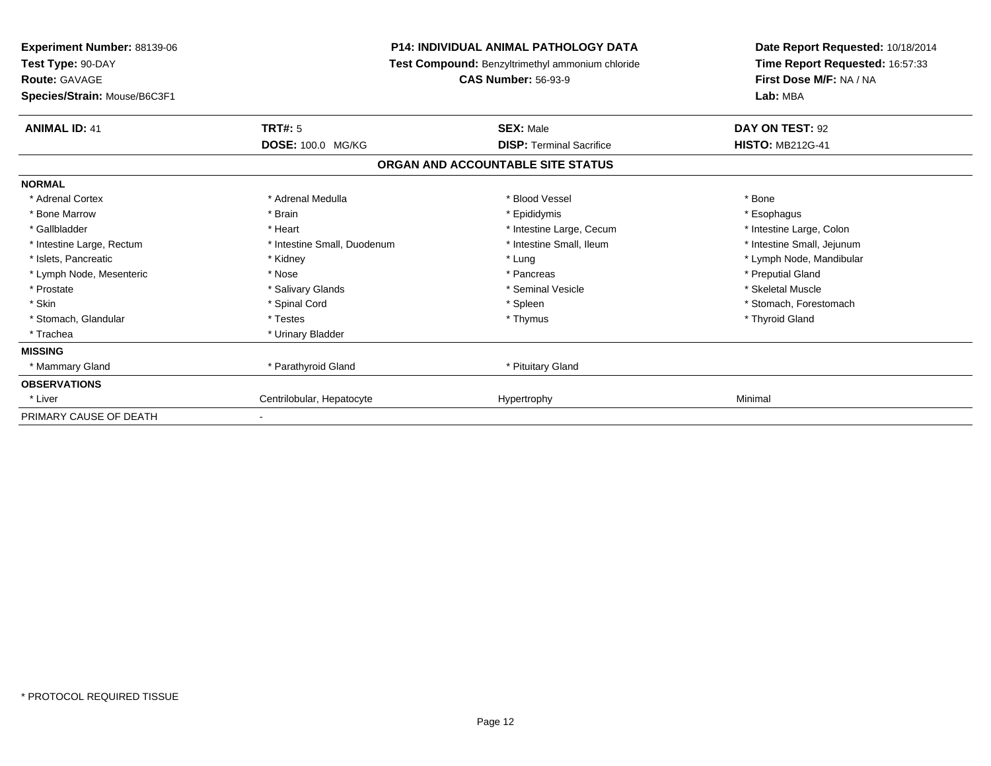| Experiment Number: 88139-06<br>Test Type: 90-DAY |                             | <b>P14: INDIVIDUAL ANIMAL PATHOLOGY DATA</b><br>Test Compound: Benzyltrimethyl ammonium chloride | Date Report Requested: 10/18/2014<br>Time Report Requested: 16:57:33 |  |
|--------------------------------------------------|-----------------------------|--------------------------------------------------------------------------------------------------|----------------------------------------------------------------------|--|
| Route: GAVAGE                                    |                             | <b>CAS Number: 56-93-9</b>                                                                       | First Dose M/F: NA / NA                                              |  |
| Species/Strain: Mouse/B6C3F1                     |                             |                                                                                                  | Lab: MBA                                                             |  |
| <b>ANIMAL ID: 41</b>                             | <b>TRT#: 5</b>              | <b>SEX: Male</b>                                                                                 | DAY ON TEST: 92                                                      |  |
|                                                  | DOSE: 100.0 MG/KG           | <b>DISP: Terminal Sacrifice</b>                                                                  | <b>HISTO: MB212G-41</b>                                              |  |
|                                                  |                             | ORGAN AND ACCOUNTABLE SITE STATUS                                                                |                                                                      |  |
| <b>NORMAL</b>                                    |                             |                                                                                                  |                                                                      |  |
| * Adrenal Cortex                                 | * Adrenal Medulla           | * Blood Vessel                                                                                   | * Bone                                                               |  |
| * Bone Marrow                                    | * Brain                     | * Epididymis                                                                                     | * Esophagus                                                          |  |
| * Gallbladder                                    | * Heart                     | * Intestine Large, Cecum                                                                         | * Intestine Large, Colon                                             |  |
| * Intestine Large, Rectum                        | * Intestine Small, Duodenum | * Intestine Small. Ileum                                                                         | * Intestine Small, Jejunum                                           |  |
| * Islets, Pancreatic                             | * Kidney                    | * Lung                                                                                           | * Lymph Node, Mandibular                                             |  |
| * Lymph Node, Mesenteric                         | * Nose                      | * Pancreas                                                                                       | * Preputial Gland                                                    |  |
| * Prostate                                       | * Salivary Glands           | * Seminal Vesicle                                                                                | * Skeletal Muscle                                                    |  |
| * Skin                                           | * Spinal Cord               | * Spleen                                                                                         | * Stomach, Forestomach                                               |  |
| * Stomach, Glandular                             | * Testes                    | * Thymus                                                                                         | * Thyroid Gland                                                      |  |
| * Trachea                                        | * Urinary Bladder           |                                                                                                  |                                                                      |  |
| <b>MISSING</b>                                   |                             |                                                                                                  |                                                                      |  |
| * Mammary Gland                                  | * Parathyroid Gland         | * Pituitary Gland                                                                                |                                                                      |  |
| <b>OBSERVATIONS</b>                              |                             |                                                                                                  |                                                                      |  |
| * Liver                                          | Centrilobular, Hepatocyte   | Hypertrophy                                                                                      | Minimal                                                              |  |
| PRIMARY CAUSE OF DEATH                           |                             |                                                                                                  |                                                                      |  |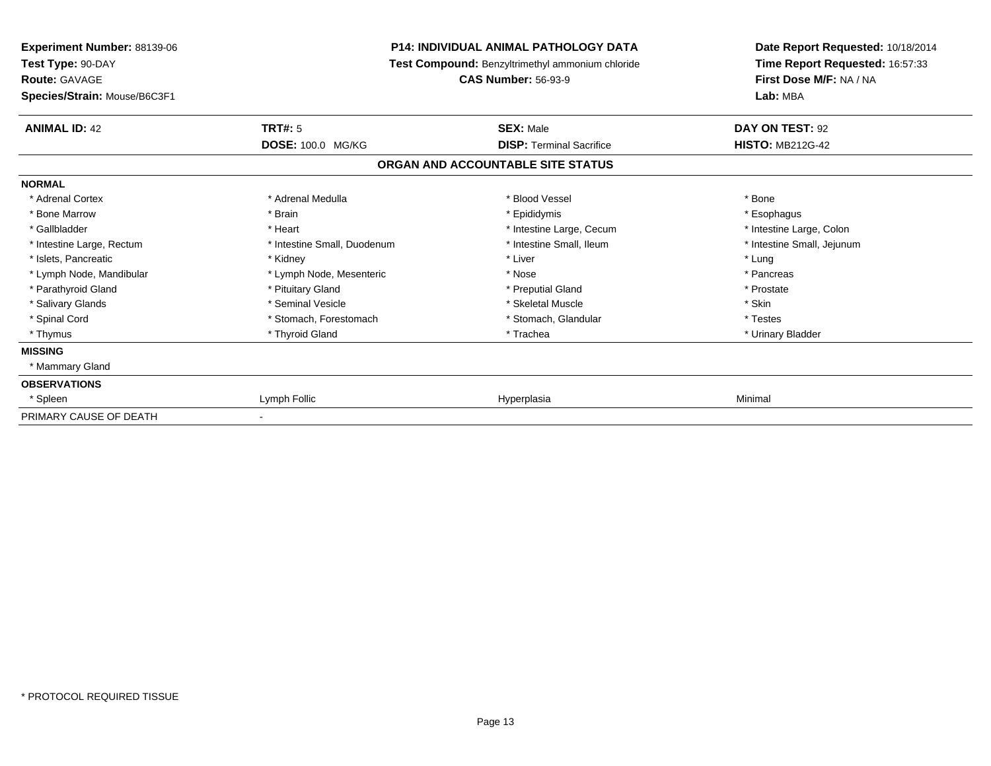| <b>Experiment Number: 88139-06</b><br>Test Type: 90-DAY |                             | <b>P14: INDIVIDUAL ANIMAL PATHOLOGY DATA</b><br>Test Compound: Benzyltrimethyl ammonium chloride | Date Report Requested: 10/18/2014<br>Time Report Requested: 16:57:33 |
|---------------------------------------------------------|-----------------------------|--------------------------------------------------------------------------------------------------|----------------------------------------------------------------------|
| Route: GAVAGE<br>Species/Strain: Mouse/B6C3F1           |                             | <b>CAS Number: 56-93-9</b>                                                                       | First Dose M/F: NA / NA<br>Lab: MBA                                  |
| <b>ANIMAL ID: 42</b>                                    | <b>TRT#: 5</b>              | <b>SEX: Male</b>                                                                                 | DAY ON TEST: 92                                                      |
|                                                         | DOSE: 100.0 MG/KG           | <b>DISP: Terminal Sacrifice</b>                                                                  | <b>HISTO: MB212G-42</b>                                              |
|                                                         |                             | ORGAN AND ACCOUNTABLE SITE STATUS                                                                |                                                                      |
| <b>NORMAL</b>                                           |                             |                                                                                                  |                                                                      |
| * Adrenal Cortex                                        | * Adrenal Medulla           | * Blood Vessel                                                                                   | * Bone                                                               |
| * Bone Marrow                                           | * Brain                     | * Epididymis                                                                                     | * Esophagus                                                          |
| * Gallbladder                                           | * Heart                     | * Intestine Large, Cecum                                                                         | * Intestine Large, Colon                                             |
| * Intestine Large, Rectum                               | * Intestine Small, Duodenum | * Intestine Small, Ileum                                                                         | * Intestine Small, Jejunum                                           |
| * Islets, Pancreatic                                    | * Kidney                    | * Liver                                                                                          | * Lung                                                               |
| * Lymph Node, Mandibular                                | * Lymph Node, Mesenteric    | * Nose                                                                                           | * Pancreas                                                           |
| * Parathyroid Gland                                     | * Pituitary Gland           | * Preputial Gland                                                                                | * Prostate                                                           |
| * Salivary Glands                                       | * Seminal Vesicle           | * Skeletal Muscle                                                                                | * Skin                                                               |
| * Spinal Cord                                           | * Stomach, Forestomach      | * Stomach, Glandular                                                                             | * Testes                                                             |
| * Thymus                                                | * Thyroid Gland             | * Trachea                                                                                        | * Urinary Bladder                                                    |
| <b>MISSING</b>                                          |                             |                                                                                                  |                                                                      |
| * Mammary Gland                                         |                             |                                                                                                  |                                                                      |
| <b>OBSERVATIONS</b>                                     |                             |                                                                                                  |                                                                      |
| * Spleen                                                | Lymph Follic                | Hyperplasia                                                                                      | Minimal                                                              |
| PRIMARY CAUSE OF DEATH                                  |                             |                                                                                                  |                                                                      |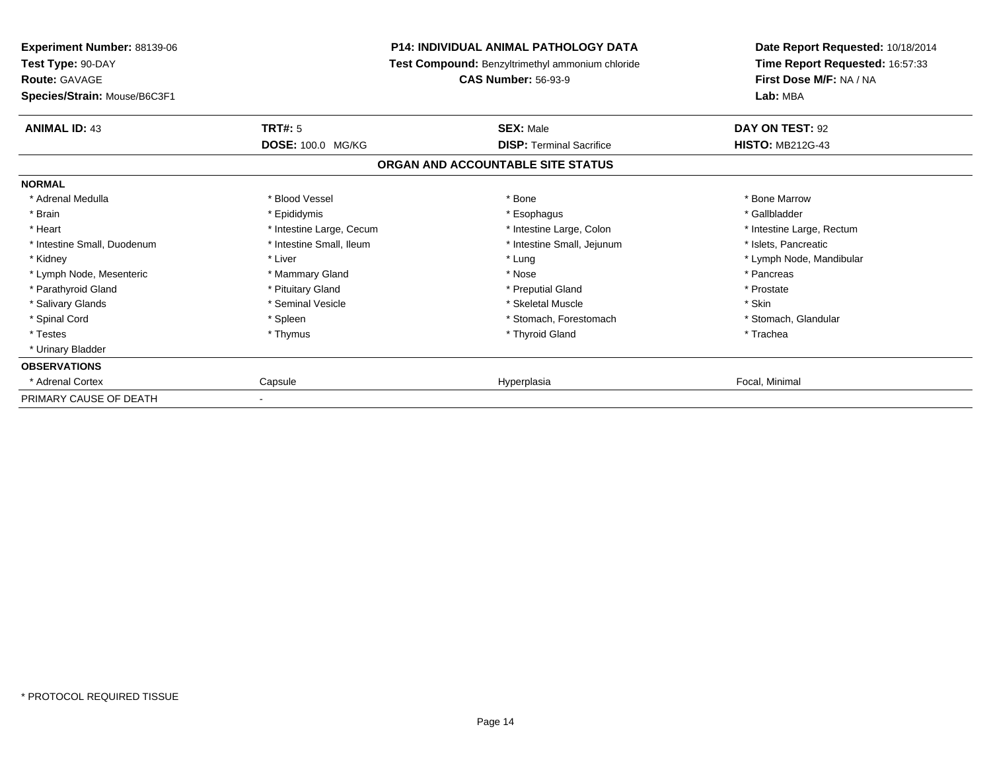| <b>Experiment Number: 88139-06</b><br>Test Type: 90-DAY<br><b>Route: GAVAGE</b> | P14: INDIVIDUAL ANIMAL PATHOLOGY DATA<br>Test Compound: Benzyltrimethyl ammonium chloride<br><b>CAS Number: 56-93-9</b> |                                   | Date Report Requested: 10/18/2014<br>Time Report Requested: 16:57:33<br>First Dose M/F: NA / NA |  |
|---------------------------------------------------------------------------------|-------------------------------------------------------------------------------------------------------------------------|-----------------------------------|-------------------------------------------------------------------------------------------------|--|
| Species/Strain: Mouse/B6C3F1                                                    |                                                                                                                         |                                   | Lab: MBA                                                                                        |  |
| <b>ANIMAL ID: 43</b>                                                            | <b>TRT#: 5</b>                                                                                                          | <b>SEX: Male</b>                  | DAY ON TEST: 92                                                                                 |  |
|                                                                                 | DOSE: 100.0 MG/KG                                                                                                       | <b>DISP:</b> Terminal Sacrifice   | <b>HISTO: MB212G-43</b>                                                                         |  |
|                                                                                 |                                                                                                                         | ORGAN AND ACCOUNTABLE SITE STATUS |                                                                                                 |  |
| <b>NORMAL</b>                                                                   |                                                                                                                         |                                   |                                                                                                 |  |
| * Adrenal Medulla                                                               | * Blood Vessel                                                                                                          | * Bone                            | * Bone Marrow                                                                                   |  |
| * Brain                                                                         | * Epididymis                                                                                                            | * Esophagus                       | * Gallbladder                                                                                   |  |
| * Heart                                                                         | * Intestine Large, Cecum                                                                                                | * Intestine Large, Colon          | * Intestine Large, Rectum                                                                       |  |
| * Intestine Small, Duodenum                                                     | * Intestine Small, Ileum                                                                                                | * Intestine Small, Jejunum        | * Islets, Pancreatic                                                                            |  |
| * Kidney                                                                        | * Liver                                                                                                                 | * Lung                            | * Lymph Node, Mandibular                                                                        |  |
| * Lymph Node, Mesenteric                                                        | * Mammary Gland                                                                                                         | * Nose                            | * Pancreas                                                                                      |  |
| * Parathyroid Gland                                                             | * Pituitary Gland                                                                                                       | * Preputial Gland                 | * Prostate                                                                                      |  |
| * Salivary Glands                                                               | * Seminal Vesicle                                                                                                       | * Skeletal Muscle                 | * Skin                                                                                          |  |
| * Spinal Cord                                                                   | * Spleen                                                                                                                | * Stomach, Forestomach            | * Stomach, Glandular                                                                            |  |
| * Testes                                                                        | * Thymus                                                                                                                | * Thyroid Gland                   | * Trachea                                                                                       |  |
| * Urinary Bladder                                                               |                                                                                                                         |                                   |                                                                                                 |  |
| <b>OBSERVATIONS</b>                                                             |                                                                                                                         |                                   |                                                                                                 |  |
| * Adrenal Cortex                                                                | Capsule                                                                                                                 | Hyperplasia                       | Focal, Minimal                                                                                  |  |
| PRIMARY CAUSE OF DEATH                                                          |                                                                                                                         |                                   |                                                                                                 |  |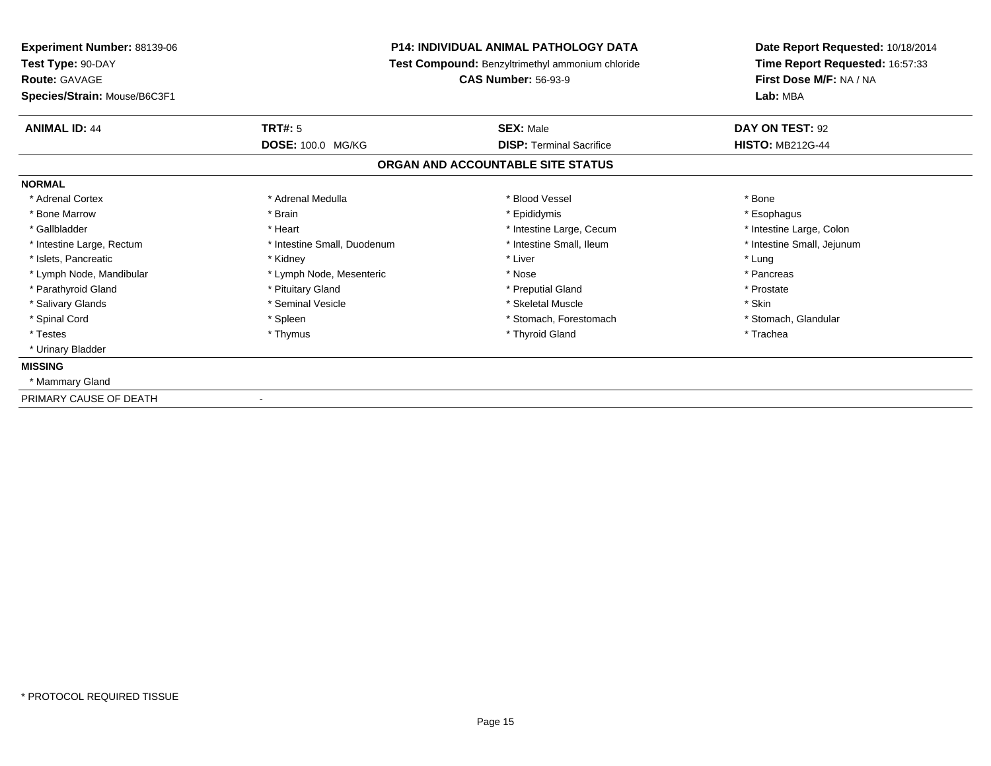| Experiment Number: 88139-06<br>Test Type: 90-DAY<br><b>Route: GAVAGE</b><br>Species/Strain: Mouse/B6C3F1 | <b>P14: INDIVIDUAL ANIMAL PATHOLOGY DATA</b><br>Test Compound: Benzyltrimethyl ammonium chloride<br><b>CAS Number: 56-93-9</b> |                                                     | Date Report Requested: 10/18/2014<br>Time Report Requested: 16:57:33<br>First Dose M/F: NA / NA<br>Lab: MBA |
|----------------------------------------------------------------------------------------------------------|--------------------------------------------------------------------------------------------------------------------------------|-----------------------------------------------------|-------------------------------------------------------------------------------------------------------------|
| <b>ANIMAL ID: 44</b>                                                                                     | TRT#: 5<br>DOSE: 100.0 MG/KG                                                                                                   | <b>SEX: Male</b><br><b>DISP: Terminal Sacrifice</b> | DAY ON TEST: 92<br><b>HISTO: MB212G-44</b>                                                                  |
|                                                                                                          |                                                                                                                                | ORGAN AND ACCOUNTABLE SITE STATUS                   |                                                                                                             |
| <b>NORMAL</b>                                                                                            |                                                                                                                                |                                                     |                                                                                                             |
| * Adrenal Cortex                                                                                         | * Adrenal Medulla                                                                                                              | * Blood Vessel                                      | * Bone                                                                                                      |
| * Bone Marrow                                                                                            | * Brain                                                                                                                        | * Epididymis                                        | * Esophagus                                                                                                 |
| * Gallbladder                                                                                            | * Heart                                                                                                                        | * Intestine Large, Cecum                            | * Intestine Large, Colon                                                                                    |
| * Intestine Large, Rectum                                                                                | * Intestine Small, Duodenum                                                                                                    | * Intestine Small, Ileum                            | * Intestine Small, Jejunum                                                                                  |
| * Islets, Pancreatic                                                                                     | * Kidney                                                                                                                       | * Liver                                             | * Lung                                                                                                      |
| * Lymph Node, Mandibular                                                                                 | * Lymph Node, Mesenteric                                                                                                       | * Nose                                              | * Pancreas                                                                                                  |
| * Parathyroid Gland                                                                                      | * Pituitary Gland                                                                                                              | * Preputial Gland                                   | * Prostate                                                                                                  |
| * Salivary Glands                                                                                        | * Seminal Vesicle                                                                                                              | * Skeletal Muscle                                   | * Skin                                                                                                      |
| * Spinal Cord                                                                                            | * Spleen                                                                                                                       | * Stomach, Forestomach                              | * Stomach, Glandular                                                                                        |
| * Testes                                                                                                 | * Thymus                                                                                                                       | * Thyroid Gland                                     | * Trachea                                                                                                   |
| * Urinary Bladder                                                                                        |                                                                                                                                |                                                     |                                                                                                             |
| <b>MISSING</b>                                                                                           |                                                                                                                                |                                                     |                                                                                                             |
| * Mammary Gland                                                                                          |                                                                                                                                |                                                     |                                                                                                             |
| PRIMARY CAUSE OF DEATH                                                                                   |                                                                                                                                |                                                     |                                                                                                             |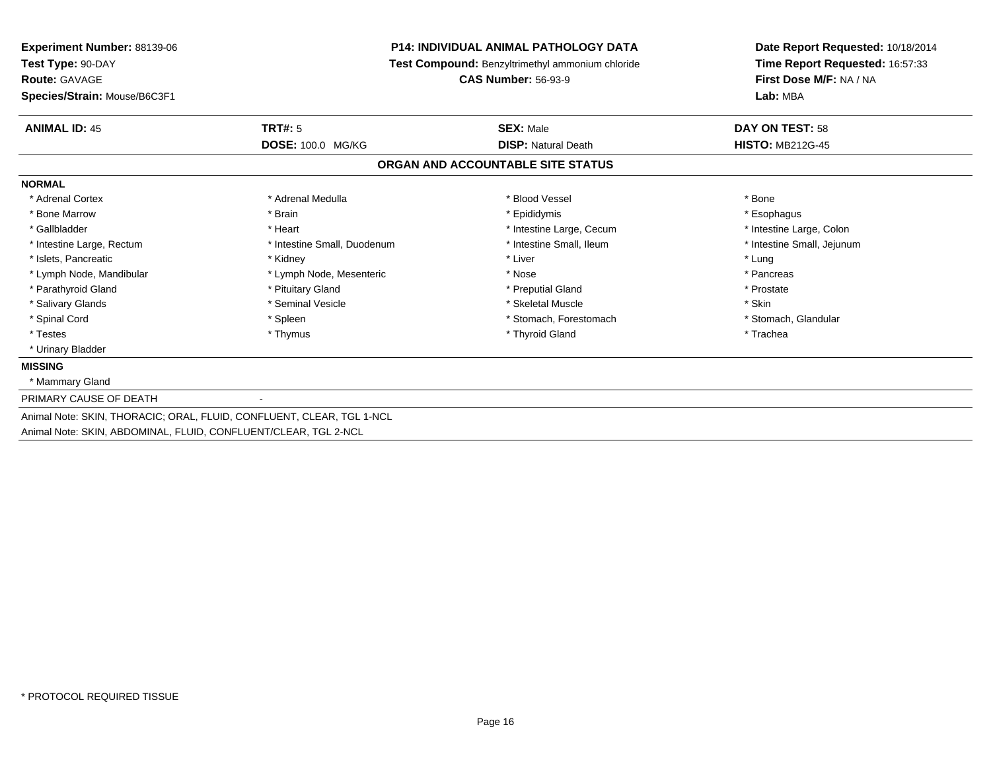| <b>Experiment Number: 88139-06</b><br>Test Type: 90-DAY<br>Route: GAVAGE<br>Species/Strain: Mouse/B6C3F1                                 | <b>P14: INDIVIDUAL ANIMAL PATHOLOGY DATA</b><br>Test Compound: Benzyltrimethyl ammonium chloride<br><b>CAS Number: 56-93-9</b> |                                                | Date Report Requested: 10/18/2014<br>Time Report Requested: 16:57:33<br>First Dose M/F: NA / NA<br>Lab: MBA |
|------------------------------------------------------------------------------------------------------------------------------------------|--------------------------------------------------------------------------------------------------------------------------------|------------------------------------------------|-------------------------------------------------------------------------------------------------------------|
| <b>ANIMAL ID: 45</b>                                                                                                                     | TRT#: 5<br>DOSE: 100.0 MG/KG                                                                                                   | <b>SEX: Male</b><br><b>DISP: Natural Death</b> | DAY ON TEST: 58<br><b>HISTO: MB212G-45</b>                                                                  |
|                                                                                                                                          |                                                                                                                                | ORGAN AND ACCOUNTABLE SITE STATUS              |                                                                                                             |
| <b>NORMAL</b>                                                                                                                            |                                                                                                                                |                                                |                                                                                                             |
| * Adrenal Cortex                                                                                                                         | * Adrenal Medulla                                                                                                              | * Blood Vessel                                 | * Bone                                                                                                      |
| * Bone Marrow                                                                                                                            | * Brain                                                                                                                        | * Epididymis                                   | * Esophagus                                                                                                 |
| * Gallbladder                                                                                                                            | * Heart                                                                                                                        | * Intestine Large, Cecum                       | * Intestine Large, Colon                                                                                    |
| * Intestine Large, Rectum                                                                                                                | * Intestine Small, Duodenum                                                                                                    | * Intestine Small, Ileum                       | * Intestine Small, Jejunum                                                                                  |
| * Islets, Pancreatic                                                                                                                     | * Kidney                                                                                                                       | * Liver                                        | * Lung                                                                                                      |
| * Lymph Node, Mandibular                                                                                                                 | * Lymph Node, Mesenteric                                                                                                       | * Nose                                         | * Pancreas                                                                                                  |
| * Parathyroid Gland                                                                                                                      | * Pituitary Gland                                                                                                              | * Preputial Gland                              | * Prostate                                                                                                  |
| * Salivary Glands                                                                                                                        | * Seminal Vesicle                                                                                                              | * Skeletal Muscle                              | * Skin                                                                                                      |
| * Spinal Cord                                                                                                                            | * Spleen                                                                                                                       | * Stomach. Forestomach                         | * Stomach, Glandular                                                                                        |
| * Testes                                                                                                                                 | * Thymus                                                                                                                       | * Thyroid Gland                                | * Trachea                                                                                                   |
| * Urinary Bladder                                                                                                                        |                                                                                                                                |                                                |                                                                                                             |
| <b>MISSING</b>                                                                                                                           |                                                                                                                                |                                                |                                                                                                             |
| * Mammary Gland                                                                                                                          |                                                                                                                                |                                                |                                                                                                             |
| PRIMARY CAUSE OF DEATH                                                                                                                   |                                                                                                                                |                                                |                                                                                                             |
| Animal Note: SKIN, THORACIC; ORAL, FLUID, CONFLUENT, CLEAR, TGL 1-NCL<br>Animal Note: SKIN, ABDOMINAL, FLUID, CONFLUENT/CLEAR, TGL 2-NCL |                                                                                                                                |                                                |                                                                                                             |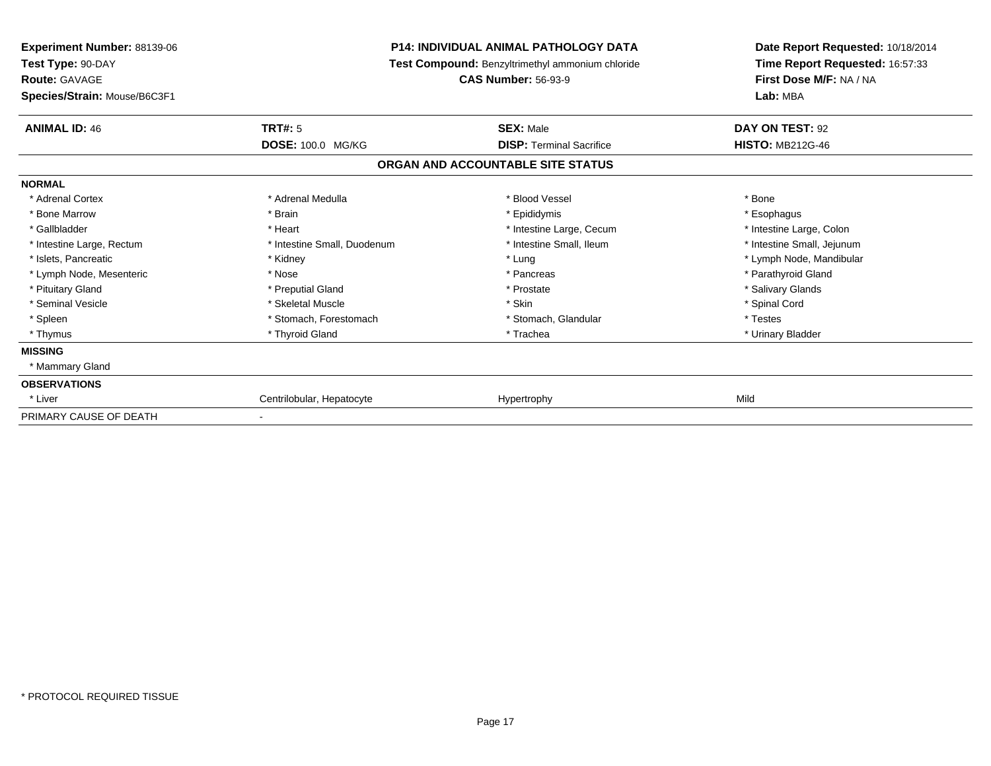| <b>Experiment Number: 88139-06</b><br>Test Type: 90-DAY |                             | <b>P14: INDIVIDUAL ANIMAL PATHOLOGY DATA</b><br>Test Compound: Benzyltrimethyl ammonium chloride | Date Report Requested: 10/18/2014<br>Time Report Requested: 16:57:33 |
|---------------------------------------------------------|-----------------------------|--------------------------------------------------------------------------------------------------|----------------------------------------------------------------------|
| <b>Route: GAVAGE</b>                                    |                             | <b>CAS Number: 56-93-9</b>                                                                       | First Dose M/F: NA / NA                                              |
| Species/Strain: Mouse/B6C3F1                            |                             |                                                                                                  | Lab: MBA                                                             |
| <b>ANIMAL ID: 46</b>                                    | <b>TRT#: 5</b>              | <b>SEX: Male</b>                                                                                 | DAY ON TEST: 92                                                      |
|                                                         | DOSE: 100.0 MG/KG           | <b>DISP: Terminal Sacrifice</b>                                                                  | <b>HISTO: MB212G-46</b>                                              |
|                                                         |                             | ORGAN AND ACCOUNTABLE SITE STATUS                                                                |                                                                      |
| <b>NORMAL</b>                                           |                             |                                                                                                  |                                                                      |
| * Adrenal Cortex                                        | * Adrenal Medulla           | * Blood Vessel                                                                                   | * Bone                                                               |
| * Bone Marrow                                           | * Brain                     | * Epididymis                                                                                     | * Esophagus                                                          |
| * Gallbladder                                           | * Heart                     | * Intestine Large, Cecum                                                                         | * Intestine Large, Colon                                             |
| * Intestine Large, Rectum                               | * Intestine Small, Duodenum | * Intestine Small, Ileum                                                                         | * Intestine Small, Jejunum                                           |
| * Islets, Pancreatic                                    | * Kidney                    | * Lung                                                                                           | * Lymph Node, Mandibular                                             |
| * Lymph Node, Mesenteric                                | * Nose                      | * Pancreas                                                                                       | * Parathyroid Gland                                                  |
| * Pituitary Gland                                       | * Preputial Gland           | * Prostate                                                                                       | * Salivary Glands                                                    |
| * Seminal Vesicle                                       | * Skeletal Muscle           | * Skin                                                                                           | * Spinal Cord                                                        |
| * Spleen                                                | * Stomach, Forestomach      | * Stomach, Glandular                                                                             | * Testes                                                             |
| * Thymus                                                | * Thyroid Gland             | * Trachea                                                                                        | * Urinary Bladder                                                    |
| <b>MISSING</b>                                          |                             |                                                                                                  |                                                                      |
| * Mammary Gland                                         |                             |                                                                                                  |                                                                      |
| <b>OBSERVATIONS</b>                                     |                             |                                                                                                  |                                                                      |
| * Liver                                                 | Centrilobular, Hepatocyte   | Hypertrophy                                                                                      | Mild                                                                 |
| PRIMARY CAUSE OF DEATH                                  |                             |                                                                                                  |                                                                      |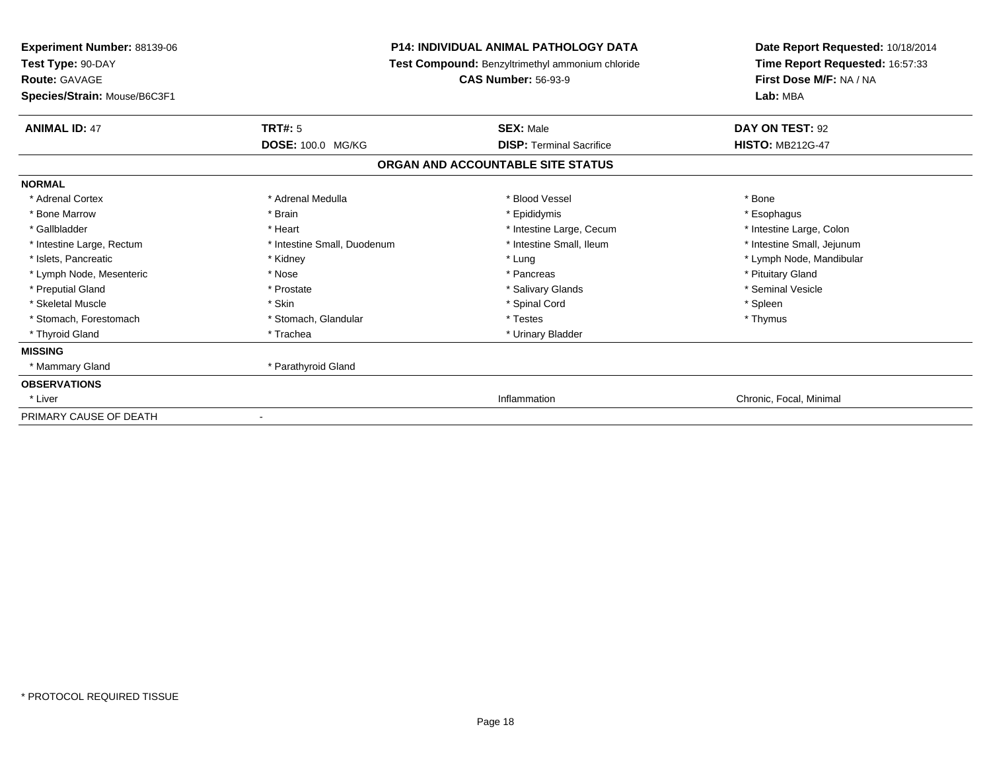| <b>Experiment Number: 88139-06</b><br>Test Type: 90-DAY |                             | <b>P14: INDIVIDUAL ANIMAL PATHOLOGY DATA</b>     | Date Report Requested: 10/18/2014<br>Time Report Requested: 16:57:33 |
|---------------------------------------------------------|-----------------------------|--------------------------------------------------|----------------------------------------------------------------------|
|                                                         |                             | Test Compound: Benzyltrimethyl ammonium chloride |                                                                      |
| <b>Route: GAVAGE</b>                                    |                             | <b>CAS Number: 56-93-9</b>                       | First Dose M/F: NA / NA                                              |
| Species/Strain: Mouse/B6C3F1                            |                             |                                                  | Lab: MBA                                                             |
| <b>ANIMAL ID: 47</b>                                    | <b>TRT#: 5</b>              | <b>SEX: Male</b>                                 | DAY ON TEST: 92                                                      |
|                                                         | <b>DOSE: 100.0 MG/KG</b>    | <b>DISP: Terminal Sacrifice</b>                  | <b>HISTO: MB212G-47</b>                                              |
|                                                         |                             | ORGAN AND ACCOUNTABLE SITE STATUS                |                                                                      |
| <b>NORMAL</b>                                           |                             |                                                  |                                                                      |
| * Adrenal Cortex                                        | * Adrenal Medulla           | * Blood Vessel                                   | * Bone                                                               |
| * Bone Marrow                                           | * Brain                     | * Epididymis                                     | * Esophagus                                                          |
| * Gallbladder                                           | * Heart                     | * Intestine Large, Cecum                         | * Intestine Large, Colon                                             |
| * Intestine Large, Rectum                               | * Intestine Small, Duodenum | * Intestine Small, Ileum                         | * Intestine Small, Jejunum                                           |
| * Islets, Pancreatic                                    | * Kidney                    | * Lung                                           | * Lymph Node, Mandibular                                             |
| * Lymph Node, Mesenteric                                | * Nose                      | * Pancreas                                       | * Pituitary Gland                                                    |
| * Preputial Gland                                       | * Prostate                  | * Salivary Glands                                | * Seminal Vesicle                                                    |
| * Skeletal Muscle                                       | * Skin                      | * Spinal Cord                                    | * Spleen                                                             |
| * Stomach, Forestomach                                  | * Stomach, Glandular        | * Testes                                         | * Thymus                                                             |
| * Thyroid Gland                                         | * Trachea                   | * Urinary Bladder                                |                                                                      |
| <b>MISSING</b>                                          |                             |                                                  |                                                                      |
| * Mammary Gland                                         | * Parathyroid Gland         |                                                  |                                                                      |
| <b>OBSERVATIONS</b>                                     |                             |                                                  |                                                                      |
| * Liver                                                 |                             | Inflammation                                     | Chronic, Focal, Minimal                                              |
| PRIMARY CAUSE OF DEATH                                  |                             |                                                  |                                                                      |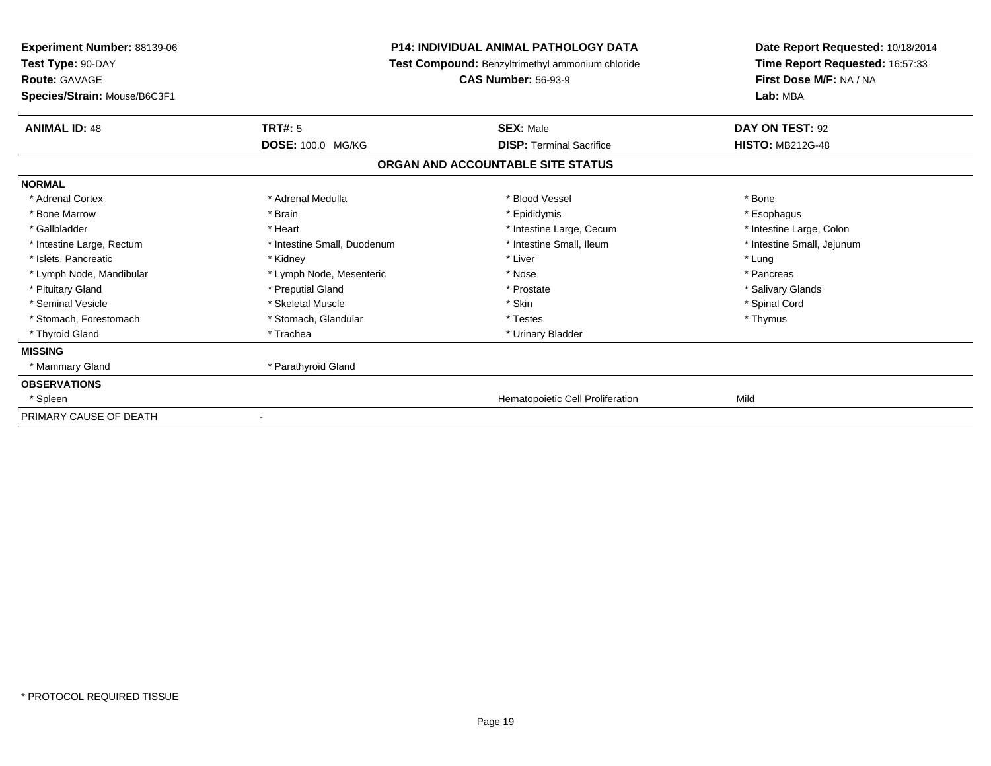| <b>Experiment Number: 88139-06</b><br>Test Type: 90-DAY |                             | <b>P14: INDIVIDUAL ANIMAL PATHOLOGY DATA</b><br>Test Compound: Benzyltrimethyl ammonium chloride | Date Report Requested: 10/18/2014<br>Time Report Requested: 16:57:33 |
|---------------------------------------------------------|-----------------------------|--------------------------------------------------------------------------------------------------|----------------------------------------------------------------------|
| <b>Route: GAVAGE</b><br>Species/Strain: Mouse/B6C3F1    |                             | <b>CAS Number: 56-93-9</b>                                                                       | First Dose M/F: NA / NA<br>Lab: MBA                                  |
| <b>ANIMAL ID: 48</b>                                    | <b>TRT#: 5</b>              | <b>SEX: Male</b>                                                                                 | DAY ON TEST: 92                                                      |
|                                                         | DOSE: 100.0 MG/KG           | <b>DISP: Terminal Sacrifice</b>                                                                  | <b>HISTO: MB212G-48</b>                                              |
|                                                         |                             | ORGAN AND ACCOUNTABLE SITE STATUS                                                                |                                                                      |
| <b>NORMAL</b>                                           |                             |                                                                                                  |                                                                      |
| * Adrenal Cortex                                        | * Adrenal Medulla           | * Blood Vessel                                                                                   | * Bone                                                               |
| * Bone Marrow                                           | * Brain                     | * Epididymis                                                                                     | * Esophagus                                                          |
| * Gallbladder                                           | * Heart                     | * Intestine Large, Cecum                                                                         | * Intestine Large, Colon                                             |
| * Intestine Large, Rectum                               | * Intestine Small, Duodenum | * Intestine Small, Ileum                                                                         | * Intestine Small, Jejunum                                           |
| * Islets, Pancreatic                                    | * Kidney                    | * Liver                                                                                          | * Lung                                                               |
| * Lymph Node, Mandibular                                | * Lymph Node, Mesenteric    | * Nose                                                                                           | * Pancreas                                                           |
| * Pituitary Gland                                       | * Preputial Gland           | * Prostate                                                                                       | * Salivary Glands                                                    |
| * Seminal Vesicle                                       | * Skeletal Muscle           | * Skin                                                                                           | * Spinal Cord                                                        |
| * Stomach, Forestomach                                  | * Stomach, Glandular        | * Testes                                                                                         | * Thymus                                                             |
| * Thyroid Gland                                         | * Trachea                   | * Urinary Bladder                                                                                |                                                                      |
| <b>MISSING</b>                                          |                             |                                                                                                  |                                                                      |
| * Mammary Gland                                         | * Parathyroid Gland         |                                                                                                  |                                                                      |
| <b>OBSERVATIONS</b>                                     |                             |                                                                                                  |                                                                      |
| * Spleen                                                |                             | Hematopoietic Cell Proliferation                                                                 | Mild                                                                 |
| PRIMARY CAUSE OF DEATH                                  |                             |                                                                                                  |                                                                      |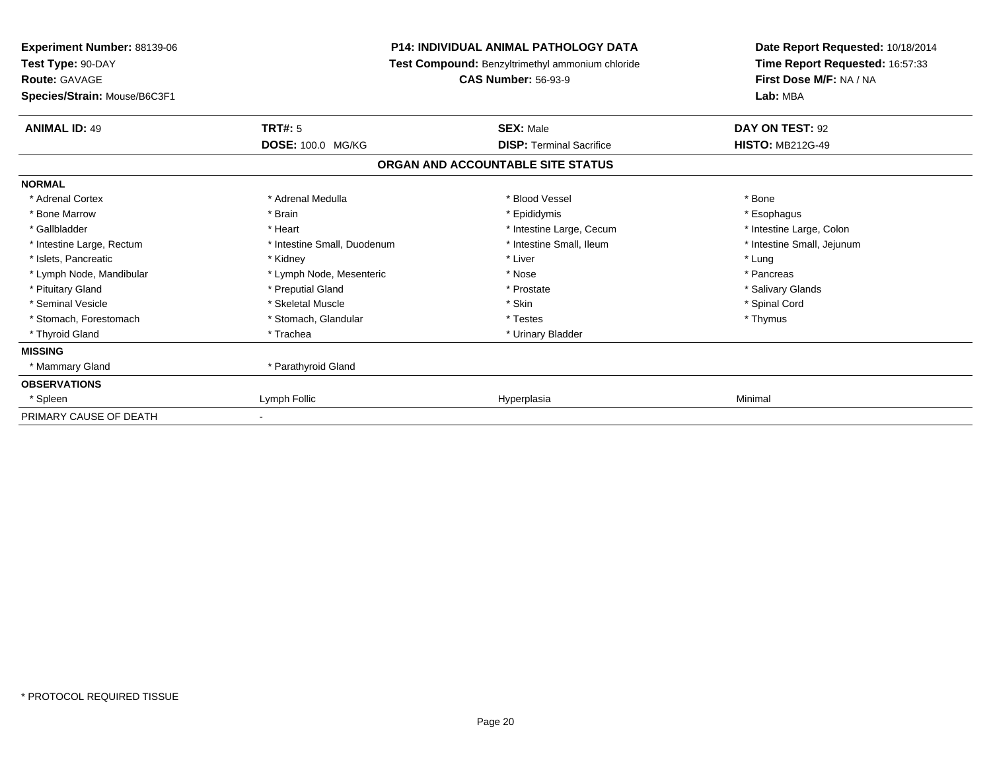| <b>Experiment Number: 88139-06</b><br>Test Type: 90-DAY |                             | <b>P14: INDIVIDUAL ANIMAL PATHOLOGY DATA</b><br>Test Compound: Benzyltrimethyl ammonium chloride | Date Report Requested: 10/18/2014<br>Time Report Requested: 16:57:33<br>First Dose M/F: NA / NA<br>Lab: MBA |
|---------------------------------------------------------|-----------------------------|--------------------------------------------------------------------------------------------------|-------------------------------------------------------------------------------------------------------------|
| <b>Route: GAVAGE</b><br>Species/Strain: Mouse/B6C3F1    |                             | <b>CAS Number: 56-93-9</b>                                                                       |                                                                                                             |
| <b>ANIMAL ID: 49</b>                                    | <b>TRT#: 5</b>              | <b>SEX: Male</b>                                                                                 | DAY ON TEST: 92                                                                                             |
|                                                         | DOSE: 100.0 MG/KG           | <b>DISP: Terminal Sacrifice</b>                                                                  | <b>HISTO: MB212G-49</b>                                                                                     |
|                                                         |                             | ORGAN AND ACCOUNTABLE SITE STATUS                                                                |                                                                                                             |
| <b>NORMAL</b>                                           |                             |                                                                                                  |                                                                                                             |
| * Adrenal Cortex                                        | * Adrenal Medulla           | * Blood Vessel                                                                                   | * Bone                                                                                                      |
| * Bone Marrow                                           | * Brain                     | * Epididymis                                                                                     | * Esophagus                                                                                                 |
| * Gallbladder                                           | * Heart                     | * Intestine Large, Cecum                                                                         | * Intestine Large, Colon                                                                                    |
| * Intestine Large, Rectum                               | * Intestine Small, Duodenum | * Intestine Small, Ileum                                                                         | * Intestine Small, Jejunum                                                                                  |
| * Islets, Pancreatic                                    | * Kidney                    | * Liver                                                                                          | * Lung                                                                                                      |
| * Lymph Node, Mandibular                                | * Lymph Node, Mesenteric    | * Nose                                                                                           | * Pancreas                                                                                                  |
| * Pituitary Gland                                       | * Preputial Gland           | * Prostate                                                                                       | * Salivary Glands                                                                                           |
| * Seminal Vesicle                                       | * Skeletal Muscle           | * Skin                                                                                           | * Spinal Cord                                                                                               |
| * Stomach, Forestomach                                  | * Stomach, Glandular        | * Testes                                                                                         | * Thymus                                                                                                    |
| * Thyroid Gland                                         | * Trachea                   | * Urinary Bladder                                                                                |                                                                                                             |
| <b>MISSING</b>                                          |                             |                                                                                                  |                                                                                                             |
| * Mammary Gland                                         | * Parathyroid Gland         |                                                                                                  |                                                                                                             |
| <b>OBSERVATIONS</b>                                     |                             |                                                                                                  |                                                                                                             |
| * Spleen                                                | Lymph Follic                | Hyperplasia                                                                                      | Minimal                                                                                                     |
| PRIMARY CAUSE OF DEATH                                  | ٠                           |                                                                                                  |                                                                                                             |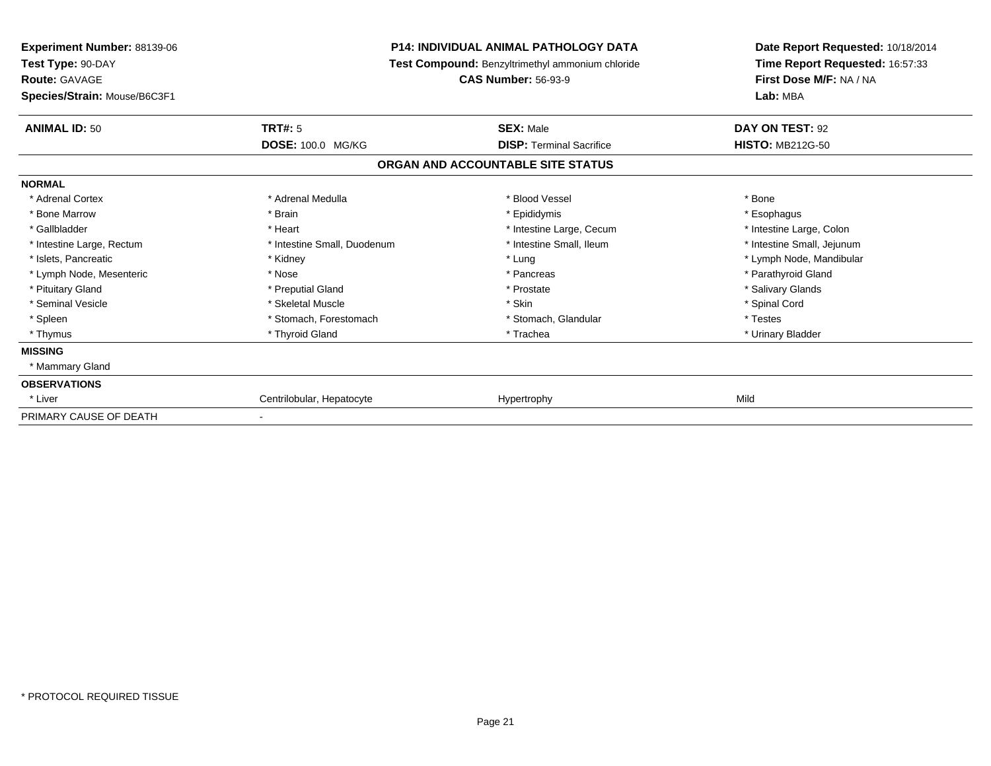| <b>Experiment Number: 88139-06</b><br>Test Type: 90-DAY |                             | <b>P14: INDIVIDUAL ANIMAL PATHOLOGY DATA</b><br>Test Compound: Benzyltrimethyl ammonium chloride | Date Report Requested: 10/18/2014<br>Time Report Requested: 16:57:33<br>First Dose M/F: NA / NA<br>Lab: MBA |
|---------------------------------------------------------|-----------------------------|--------------------------------------------------------------------------------------------------|-------------------------------------------------------------------------------------------------------------|
| <b>Route: GAVAGE</b><br>Species/Strain: Mouse/B6C3F1    |                             | <b>CAS Number: 56-93-9</b>                                                                       |                                                                                                             |
| <b>ANIMAL ID: 50</b>                                    | <b>TRT#: 5</b>              | <b>SEX: Male</b>                                                                                 | DAY ON TEST: 92                                                                                             |
|                                                         | DOSE: 100.0 MG/KG           | <b>DISP: Terminal Sacrifice</b>                                                                  | <b>HISTO: MB212G-50</b>                                                                                     |
|                                                         |                             | ORGAN AND ACCOUNTABLE SITE STATUS                                                                |                                                                                                             |
| <b>NORMAL</b>                                           |                             |                                                                                                  |                                                                                                             |
| * Adrenal Cortex                                        | * Adrenal Medulla           | * Blood Vessel                                                                                   | * Bone                                                                                                      |
| * Bone Marrow                                           | * Brain                     | * Epididymis                                                                                     | * Esophagus                                                                                                 |
| * Gallbladder                                           | * Heart                     | * Intestine Large, Cecum                                                                         | * Intestine Large, Colon                                                                                    |
| * Intestine Large, Rectum                               | * Intestine Small, Duodenum | * Intestine Small, Ileum                                                                         | * Intestine Small, Jejunum                                                                                  |
| * Islets, Pancreatic                                    | * Kidney                    | * Lung                                                                                           | * Lymph Node, Mandibular                                                                                    |
| * Lymph Node, Mesenteric                                | * Nose                      | * Pancreas                                                                                       | * Parathyroid Gland                                                                                         |
| * Pituitary Gland                                       | * Preputial Gland           | * Prostate                                                                                       | * Salivary Glands                                                                                           |
| * Seminal Vesicle                                       | * Skeletal Muscle           | * Skin                                                                                           | * Spinal Cord                                                                                               |
| * Spleen                                                | * Stomach, Forestomach      | * Stomach, Glandular                                                                             | * Testes                                                                                                    |
| * Thymus                                                | * Thyroid Gland             | * Trachea                                                                                        | * Urinary Bladder                                                                                           |
| <b>MISSING</b>                                          |                             |                                                                                                  |                                                                                                             |
| * Mammary Gland                                         |                             |                                                                                                  |                                                                                                             |
| <b>OBSERVATIONS</b>                                     |                             |                                                                                                  |                                                                                                             |
| * Liver                                                 | Centrilobular, Hepatocyte   | Hypertrophy                                                                                      | Mild                                                                                                        |
| PRIMARY CAUSE OF DEATH                                  |                             |                                                                                                  |                                                                                                             |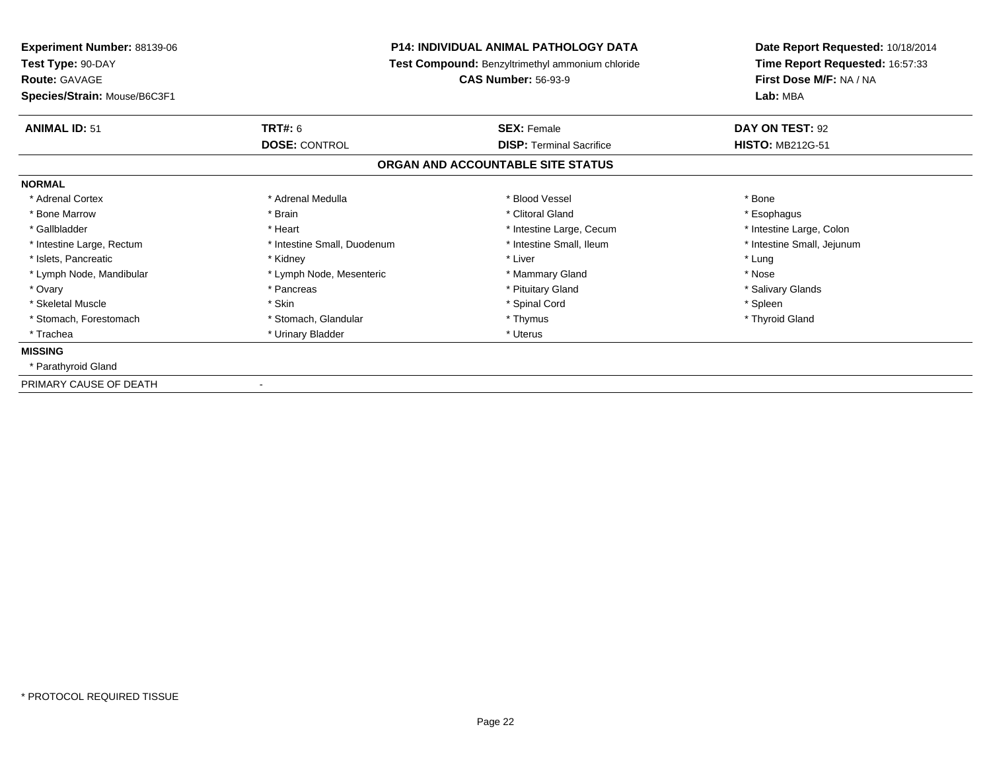| Experiment Number: 88139-06<br>Test Type: 90-DAY     |                             | <b>P14: INDIVIDUAL ANIMAL PATHOLOGY DATA</b><br>Test Compound: Benzyltrimethyl ammonium chloride | Date Report Requested: 10/18/2014<br>Time Report Requested: 16:57:33 |
|------------------------------------------------------|-----------------------------|--------------------------------------------------------------------------------------------------|----------------------------------------------------------------------|
| <b>Route: GAVAGE</b><br>Species/Strain: Mouse/B6C3F1 | <b>CAS Number: 56-93-9</b>  |                                                                                                  | First Dose M/F: NA / NA<br>Lab: MBA                                  |
| <b>ANIMAL ID: 51</b>                                 | <b>TRT#: 6</b>              | <b>SEX: Female</b>                                                                               | DAY ON TEST: 92                                                      |
|                                                      | <b>DOSE: CONTROL</b>        | <b>DISP: Terminal Sacrifice</b>                                                                  | <b>HISTO: MB212G-51</b>                                              |
|                                                      |                             | ORGAN AND ACCOUNTABLE SITE STATUS                                                                |                                                                      |
| <b>NORMAL</b>                                        |                             |                                                                                                  |                                                                      |
| * Adrenal Cortex                                     | * Adrenal Medulla           | * Blood Vessel                                                                                   | * Bone                                                               |
| * Bone Marrow                                        | * Brain                     | * Clitoral Gland                                                                                 | * Esophagus                                                          |
| * Gallbladder                                        | * Heart                     | * Intestine Large, Cecum                                                                         | * Intestine Large, Colon                                             |
| * Intestine Large, Rectum                            | * Intestine Small, Duodenum | * Intestine Small, Ileum                                                                         | * Intestine Small, Jejunum                                           |
| * Islets, Pancreatic                                 | * Kidney                    | * Liver                                                                                          | * Lung                                                               |
| * Lymph Node, Mandibular                             | * Lymph Node, Mesenteric    | * Mammary Gland                                                                                  | * Nose                                                               |
| * Ovary                                              | * Pancreas                  | * Pituitary Gland                                                                                | * Salivary Glands                                                    |
| * Skeletal Muscle                                    | * Skin                      | * Spinal Cord                                                                                    | * Spleen                                                             |
| * Stomach, Forestomach                               | * Stomach, Glandular        | * Thymus                                                                                         | * Thyroid Gland                                                      |
| * Trachea                                            | * Urinary Bladder           | * Uterus                                                                                         |                                                                      |
| <b>MISSING</b>                                       |                             |                                                                                                  |                                                                      |
| * Parathyroid Gland                                  |                             |                                                                                                  |                                                                      |
| PRIMARY CAUSE OF DEATH                               |                             |                                                                                                  |                                                                      |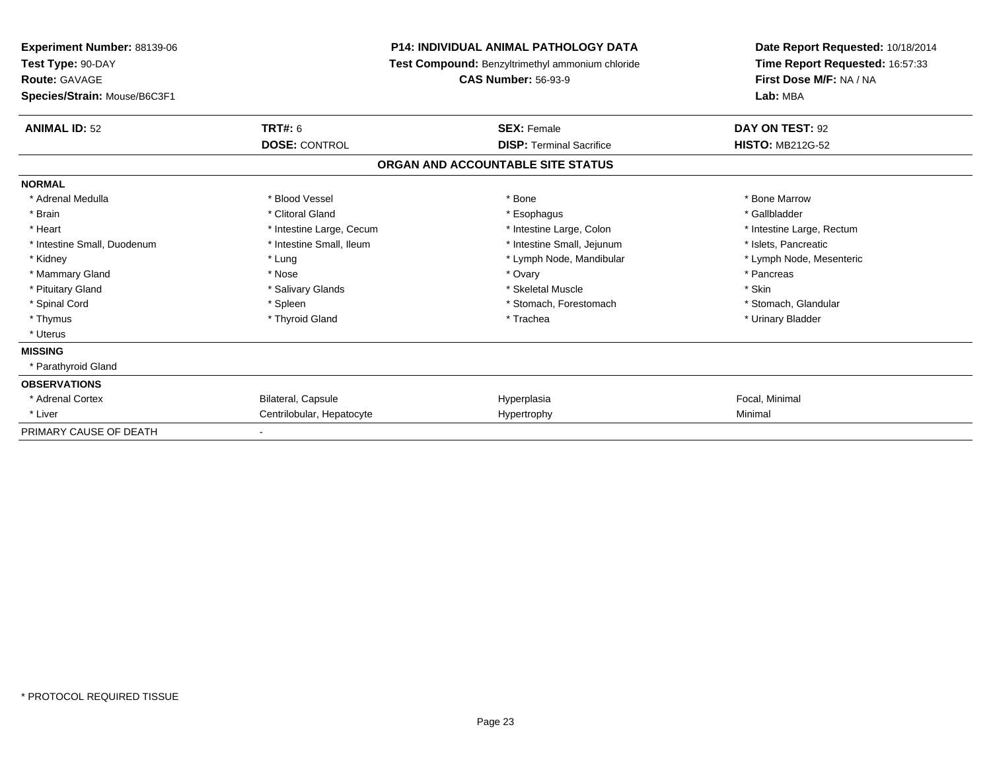| <b>Experiment Number: 88139-06</b><br>Test Type: 90-DAY<br><b>Route: GAVAGE</b> |                           | <b>P14: INDIVIDUAL ANIMAL PATHOLOGY DATA</b><br><b>Test Compound: Benzyltrimethyl ammonium chloride</b><br><b>CAS Number: 56-93-9</b> | Date Report Requested: 10/18/2014<br>Time Report Requested: 16:57:33<br>First Dose M/F: NA / NA |
|---------------------------------------------------------------------------------|---------------------------|---------------------------------------------------------------------------------------------------------------------------------------|-------------------------------------------------------------------------------------------------|
| Species/Strain: Mouse/B6C3F1                                                    |                           |                                                                                                                                       | Lab: MBA                                                                                        |
| <b>ANIMAL ID: 52</b>                                                            | TRT#: 6                   | <b>SEX: Female</b>                                                                                                                    | DAY ON TEST: 92                                                                                 |
|                                                                                 | <b>DOSE: CONTROL</b>      | <b>DISP: Terminal Sacrifice</b>                                                                                                       | <b>HISTO: MB212G-52</b>                                                                         |
|                                                                                 |                           | ORGAN AND ACCOUNTABLE SITE STATUS                                                                                                     |                                                                                                 |
| <b>NORMAL</b>                                                                   |                           |                                                                                                                                       |                                                                                                 |
| * Adrenal Medulla                                                               | * Blood Vessel            | * Bone                                                                                                                                | * Bone Marrow                                                                                   |
| * Brain                                                                         | * Clitoral Gland          | * Esophagus                                                                                                                           | * Gallbladder                                                                                   |
| * Heart                                                                         | * Intestine Large, Cecum  | * Intestine Large, Colon                                                                                                              | * Intestine Large, Rectum                                                                       |
| * Intestine Small, Duodenum                                                     | * Intestine Small, Ileum  | * Intestine Small, Jejunum                                                                                                            | * Islets. Pancreatic                                                                            |
| * Kidney                                                                        | * Lung                    | * Lymph Node, Mandibular                                                                                                              | * Lymph Node, Mesenteric                                                                        |
| * Mammary Gland                                                                 | * Nose                    | * Ovary                                                                                                                               | * Pancreas                                                                                      |
| * Pituitary Gland                                                               | * Salivary Glands         | * Skeletal Muscle                                                                                                                     | * Skin                                                                                          |
| * Spinal Cord                                                                   | * Spleen                  | * Stomach, Forestomach                                                                                                                | * Stomach, Glandular                                                                            |
| * Thymus                                                                        | * Thyroid Gland           | * Trachea                                                                                                                             | * Urinary Bladder                                                                               |
| * Uterus                                                                        |                           |                                                                                                                                       |                                                                                                 |
| <b>MISSING</b>                                                                  |                           |                                                                                                                                       |                                                                                                 |
| * Parathyroid Gland                                                             |                           |                                                                                                                                       |                                                                                                 |
| <b>OBSERVATIONS</b>                                                             |                           |                                                                                                                                       |                                                                                                 |
| * Adrenal Cortex                                                                | Bilateral, Capsule        | Hyperplasia                                                                                                                           | Focal, Minimal                                                                                  |
| * Liver                                                                         | Centrilobular, Hepatocyte | Hypertrophy                                                                                                                           | Minimal                                                                                         |
| PRIMARY CAUSE OF DEATH                                                          |                           |                                                                                                                                       |                                                                                                 |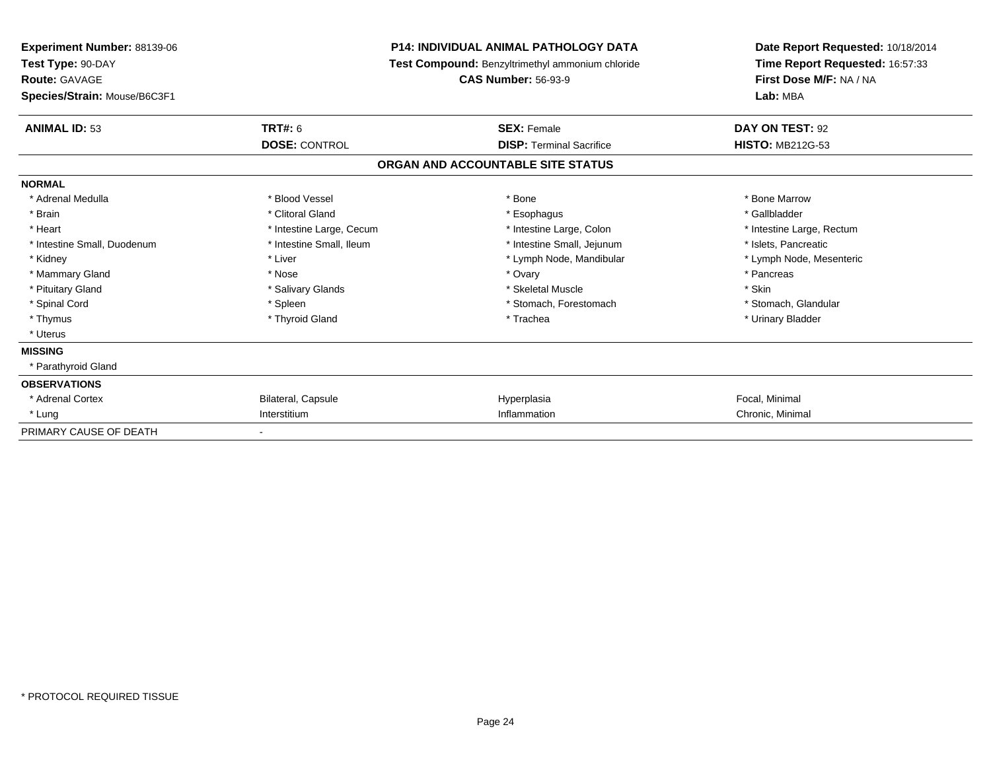| <b>Experiment Number: 88139-06</b><br>Test Type: 90-DAY<br><b>Route: GAVAGE</b> |                          | <b>P14: INDIVIDUAL ANIMAL PATHOLOGY DATA</b><br><b>Test Compound: Benzyltrimethyl ammonium chloride</b><br><b>CAS Number: 56-93-9</b> | Date Report Requested: 10/18/2014<br>Time Report Requested: 16:57:33<br>First Dose M/F: NA / NA |  |
|---------------------------------------------------------------------------------|--------------------------|---------------------------------------------------------------------------------------------------------------------------------------|-------------------------------------------------------------------------------------------------|--|
| Species/Strain: Mouse/B6C3F1                                                    |                          |                                                                                                                                       | Lab: MBA                                                                                        |  |
| <b>ANIMAL ID: 53</b>                                                            | TRT#: 6                  | <b>SEX: Female</b>                                                                                                                    | DAY ON TEST: 92                                                                                 |  |
|                                                                                 | <b>DOSE: CONTROL</b>     | <b>DISP: Terminal Sacrifice</b>                                                                                                       | <b>HISTO: MB212G-53</b>                                                                         |  |
|                                                                                 |                          | ORGAN AND ACCOUNTABLE SITE STATUS                                                                                                     |                                                                                                 |  |
| <b>NORMAL</b>                                                                   |                          |                                                                                                                                       |                                                                                                 |  |
| * Adrenal Medulla                                                               | * Blood Vessel           | * Bone                                                                                                                                | * Bone Marrow                                                                                   |  |
| * Brain                                                                         | * Clitoral Gland         | * Esophagus                                                                                                                           | * Gallbladder                                                                                   |  |
| * Heart                                                                         | * Intestine Large, Cecum | * Intestine Large, Colon                                                                                                              | * Intestine Large, Rectum                                                                       |  |
| * Intestine Small, Duodenum                                                     | * Intestine Small, Ileum | * Intestine Small, Jejunum                                                                                                            | * Islets. Pancreatic                                                                            |  |
| * Kidney                                                                        | * Liver                  | * Lymph Node, Mandibular                                                                                                              | * Lymph Node, Mesenteric                                                                        |  |
| * Mammary Gland                                                                 | * Nose                   | * Ovary                                                                                                                               | * Pancreas                                                                                      |  |
| * Pituitary Gland                                                               | * Salivary Glands        | * Skeletal Muscle                                                                                                                     | * Skin                                                                                          |  |
| * Spinal Cord                                                                   | * Spleen                 | * Stomach, Forestomach                                                                                                                | * Stomach, Glandular                                                                            |  |
| * Thymus                                                                        | * Thyroid Gland          | * Trachea                                                                                                                             | * Urinary Bladder                                                                               |  |
| * Uterus                                                                        |                          |                                                                                                                                       |                                                                                                 |  |
| <b>MISSING</b>                                                                  |                          |                                                                                                                                       |                                                                                                 |  |
| * Parathyroid Gland                                                             |                          |                                                                                                                                       |                                                                                                 |  |
| <b>OBSERVATIONS</b>                                                             |                          |                                                                                                                                       |                                                                                                 |  |
| * Adrenal Cortex                                                                | Bilateral, Capsule       | Hyperplasia                                                                                                                           | Focal, Minimal                                                                                  |  |
| * Lung                                                                          | Interstitium             | Inflammation                                                                                                                          | Chronic, Minimal                                                                                |  |
| PRIMARY CAUSE OF DEATH                                                          |                          |                                                                                                                                       |                                                                                                 |  |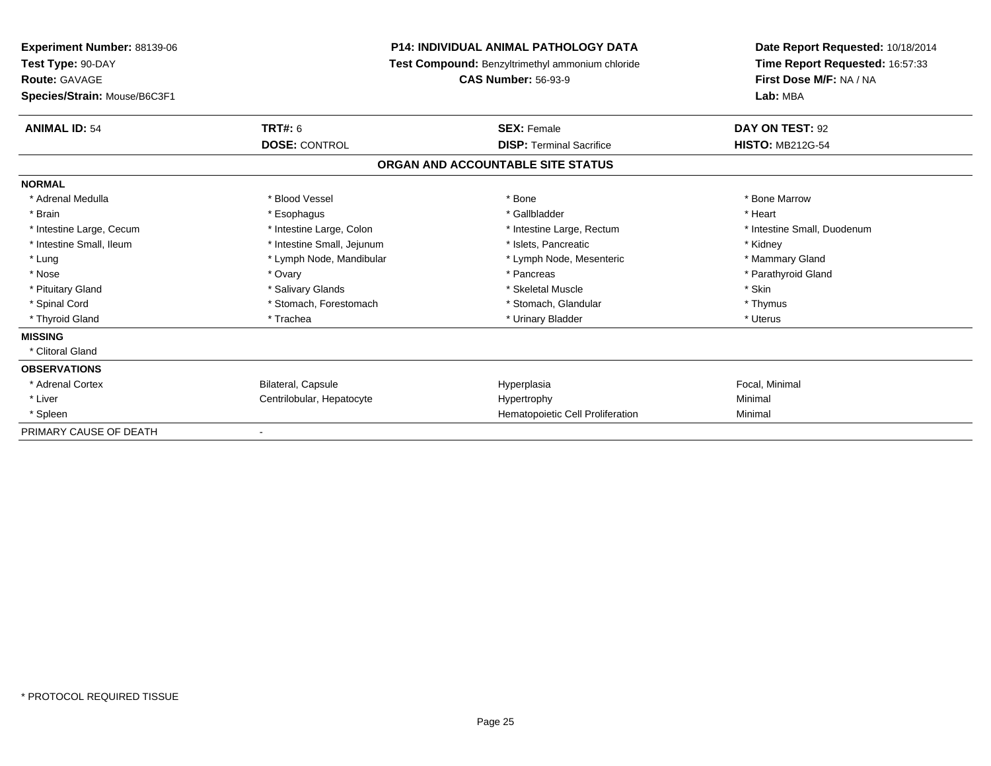| <b>Experiment Number: 88139-06</b><br>Test Type: 90-DAY<br><b>Route: GAVAGE</b> |                            | <b>P14: INDIVIDUAL ANIMAL PATHOLOGY DATA</b>            | Date Report Requested: 10/18/2014<br>Time Report Requested: 16:57:33<br>First Dose M/F: NA / NA |
|---------------------------------------------------------------------------------|----------------------------|---------------------------------------------------------|-------------------------------------------------------------------------------------------------|
|                                                                                 |                            | <b>Test Compound: Benzyltrimethyl ammonium chloride</b> |                                                                                                 |
|                                                                                 |                            | <b>CAS Number: 56-93-9</b>                              |                                                                                                 |
| Species/Strain: Mouse/B6C3F1                                                    |                            |                                                         | Lab: MBA                                                                                        |
| <b>ANIMAL ID: 54</b>                                                            | <b>TRT#: 6</b>             | <b>SEX: Female</b>                                      | DAY ON TEST: 92                                                                                 |
|                                                                                 | <b>DOSE: CONTROL</b>       | <b>DISP: Terminal Sacrifice</b>                         | <b>HISTO: MB212G-54</b>                                                                         |
|                                                                                 |                            | ORGAN AND ACCOUNTABLE SITE STATUS                       |                                                                                                 |
| <b>NORMAL</b>                                                                   |                            |                                                         |                                                                                                 |
| * Adrenal Medulla                                                               | * Blood Vessel             | * Bone                                                  | * Bone Marrow                                                                                   |
| * Brain                                                                         | * Esophagus                | * Gallbladder                                           | * Heart                                                                                         |
| * Intestine Large, Cecum                                                        | * Intestine Large, Colon   | * Intestine Large, Rectum                               | * Intestine Small, Duodenum                                                                     |
| * Intestine Small, Ileum                                                        | * Intestine Small, Jejunum | * Islets, Pancreatic                                    | * Kidney                                                                                        |
| * Lung                                                                          | * Lymph Node, Mandibular   | * Lymph Node, Mesenteric                                | * Mammary Gland                                                                                 |
| * Nose                                                                          | * Ovary                    | * Pancreas                                              | * Parathyroid Gland                                                                             |
| * Pituitary Gland                                                               | * Salivary Glands          | * Skeletal Muscle                                       | * Skin                                                                                          |
| * Spinal Cord                                                                   | * Stomach, Forestomach     | * Stomach, Glandular                                    | * Thymus                                                                                        |
| * Thyroid Gland                                                                 | * Trachea                  | * Urinary Bladder                                       | * Uterus                                                                                        |
| <b>MISSING</b>                                                                  |                            |                                                         |                                                                                                 |
| * Clitoral Gland                                                                |                            |                                                         |                                                                                                 |
| <b>OBSERVATIONS</b>                                                             |                            |                                                         |                                                                                                 |
| * Adrenal Cortex                                                                | Bilateral, Capsule         | Hyperplasia                                             | Focal, Minimal                                                                                  |
| * Liver                                                                         | Centrilobular, Hepatocyte  | Hypertrophy                                             | Minimal                                                                                         |
| * Spleen                                                                        |                            | Hematopoietic Cell Proliferation                        | Minimal                                                                                         |
| PRIMARY CAUSE OF DEATH                                                          |                            |                                                         |                                                                                                 |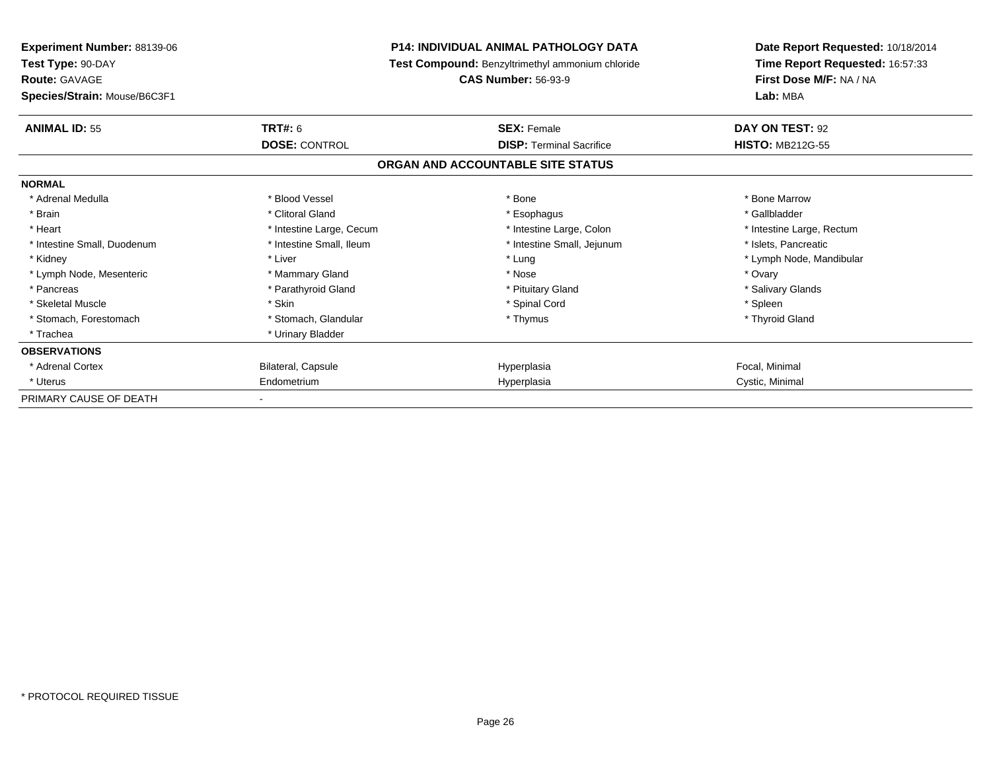| <b>Experiment Number: 88139-06</b><br>Test Type: 90-DAY<br><b>Route: GAVAGE</b><br>Species/Strain: Mouse/B6C3F1 | <b>P14: INDIVIDUAL ANIMAL PATHOLOGY DATA</b><br>Test Compound: Benzyltrimethyl ammonium chloride<br><b>CAS Number: 56-93-9</b> |                                   | Date Report Requested: 10/18/2014<br>Time Report Requested: 16:57:33<br>First Dose M/F: NA / NA<br>Lab: MBA |
|-----------------------------------------------------------------------------------------------------------------|--------------------------------------------------------------------------------------------------------------------------------|-----------------------------------|-------------------------------------------------------------------------------------------------------------|
| <b>ANIMAL ID: 55</b>                                                                                            | <b>TRT#: 6</b>                                                                                                                 | <b>SEX: Female</b>                | DAY ON TEST: 92                                                                                             |
|                                                                                                                 | <b>DOSE: CONTROL</b>                                                                                                           | <b>DISP: Terminal Sacrifice</b>   | <b>HISTO: MB212G-55</b>                                                                                     |
|                                                                                                                 |                                                                                                                                | ORGAN AND ACCOUNTABLE SITE STATUS |                                                                                                             |
| <b>NORMAL</b>                                                                                                   |                                                                                                                                |                                   |                                                                                                             |
| * Adrenal Medulla                                                                                               | * Blood Vessel                                                                                                                 | * Bone                            | * Bone Marrow                                                                                               |
| * Brain                                                                                                         | * Clitoral Gland                                                                                                               | * Esophagus                       | * Gallbladder                                                                                               |
| * Heart                                                                                                         | * Intestine Large, Cecum                                                                                                       | * Intestine Large, Colon          | * Intestine Large, Rectum                                                                                   |
| * Intestine Small, Duodenum                                                                                     | * Intestine Small, Ileum                                                                                                       | * Intestine Small, Jejunum        | * Islets, Pancreatic                                                                                        |
| * Kidney                                                                                                        | * Liver                                                                                                                        | * Lung                            | * Lymph Node, Mandibular                                                                                    |
| * Lymph Node, Mesenteric                                                                                        | * Mammary Gland                                                                                                                | * Nose                            | * Ovary                                                                                                     |
| * Pancreas                                                                                                      | * Parathyroid Gland                                                                                                            | * Pituitary Gland                 | * Salivary Glands                                                                                           |
| * Skeletal Muscle                                                                                               | * Skin                                                                                                                         | * Spinal Cord                     | * Spleen                                                                                                    |
| * Stomach, Forestomach                                                                                          | * Stomach, Glandular                                                                                                           | * Thymus                          | * Thyroid Gland                                                                                             |
| * Trachea                                                                                                       | * Urinary Bladder                                                                                                              |                                   |                                                                                                             |
| <b>OBSERVATIONS</b>                                                                                             |                                                                                                                                |                                   |                                                                                                             |
| * Adrenal Cortex                                                                                                | Bilateral, Capsule                                                                                                             | Hyperplasia                       | Focal, Minimal                                                                                              |
| * Uterus                                                                                                        | Endometrium                                                                                                                    | Hyperplasia                       | Cystic, Minimal                                                                                             |
| PRIMARY CAUSE OF DEATH                                                                                          |                                                                                                                                |                                   |                                                                                                             |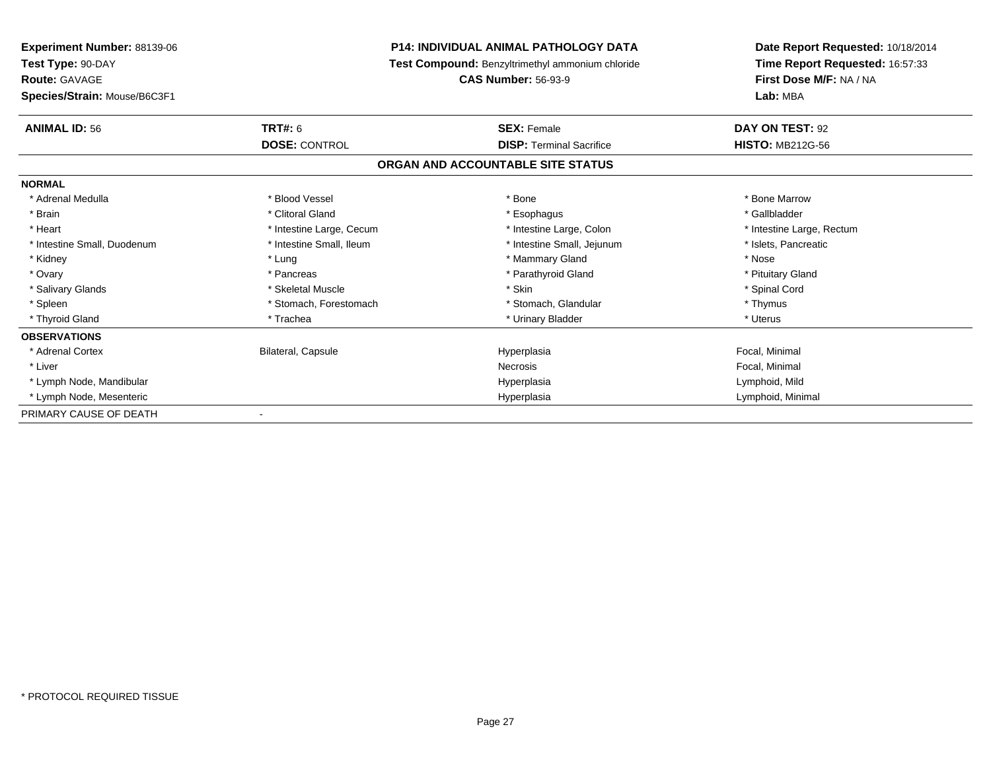| <b>Experiment Number: 88139-06</b><br>Test Type: 90-DAY<br><b>Route: GAVAGE</b> |                           | P14: INDIVIDUAL ANIMAL PATHOLOGY DATA                   | Date Report Requested: 10/18/2014<br>Time Report Requested: 16:57:33<br>First Dose M/F: NA / NA |
|---------------------------------------------------------------------------------|---------------------------|---------------------------------------------------------|-------------------------------------------------------------------------------------------------|
|                                                                                 |                           | <b>Test Compound: Benzyltrimethyl ammonium chloride</b> |                                                                                                 |
|                                                                                 |                           | <b>CAS Number: 56-93-9</b>                              |                                                                                                 |
| Species/Strain: Mouse/B6C3F1                                                    |                           |                                                         | Lab: MBA                                                                                        |
| <b>ANIMAL ID: 56</b>                                                            | <b>TRT#: 6</b>            | <b>SEX: Female</b>                                      | DAY ON TEST: 92                                                                                 |
|                                                                                 | <b>DOSE: CONTROL</b>      | <b>DISP: Terminal Sacrifice</b>                         | <b>HISTO: MB212G-56</b>                                                                         |
|                                                                                 |                           | ORGAN AND ACCOUNTABLE SITE STATUS                       |                                                                                                 |
| <b>NORMAL</b>                                                                   |                           |                                                         |                                                                                                 |
| * Adrenal Medulla                                                               | * Blood Vessel            | * Bone                                                  | * Bone Marrow                                                                                   |
| * Brain                                                                         | * Clitoral Gland          | * Esophagus                                             | * Gallbladder                                                                                   |
| * Heart                                                                         | * Intestine Large, Cecum  | * Intestine Large, Colon                                | * Intestine Large, Rectum                                                                       |
| * Intestine Small, Duodenum                                                     | * Intestine Small, Ileum  | * Intestine Small, Jejunum                              | * Islets, Pancreatic                                                                            |
| * Kidney                                                                        | * Lung                    | * Mammary Gland                                         | * Nose                                                                                          |
| * Ovary                                                                         | * Pancreas                | * Parathyroid Gland                                     | * Pituitary Gland                                                                               |
| * Salivary Glands                                                               | * Skeletal Muscle         | * Skin                                                  | * Spinal Cord                                                                                   |
| * Spleen                                                                        | * Stomach, Forestomach    | * Stomach, Glandular                                    | * Thymus                                                                                        |
| * Thyroid Gland                                                                 | * Trachea                 | * Urinary Bladder                                       | * Uterus                                                                                        |
| <b>OBSERVATIONS</b>                                                             |                           |                                                         |                                                                                                 |
| * Adrenal Cortex                                                                | <b>Bilateral, Capsule</b> | Hyperplasia                                             | Focal, Minimal                                                                                  |
| * Liver                                                                         |                           | Necrosis                                                | Focal, Minimal                                                                                  |
| * Lymph Node, Mandibular                                                        |                           | Hyperplasia                                             | Lymphoid, Mild                                                                                  |
| * Lymph Node, Mesenteric                                                        |                           | Hyperplasia                                             | Lymphoid, Minimal                                                                               |
| PRIMARY CAUSE OF DEATH                                                          |                           |                                                         |                                                                                                 |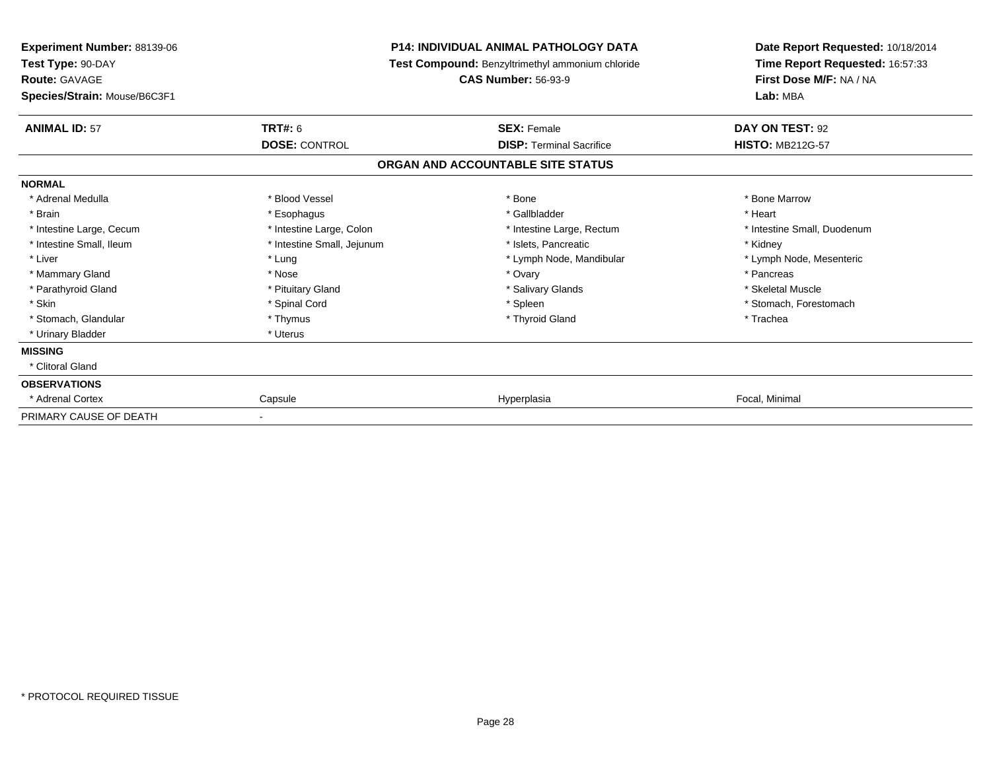| <b>Experiment Number: 88139-06</b><br>Test Type: 90-DAY<br><b>Route: GAVAGE</b><br>Species/Strain: Mouse/B6C3F1 | <b>P14: INDIVIDUAL ANIMAL PATHOLOGY DATA</b><br>Test Compound: Benzyltrimethyl ammonium chloride<br><b>CAS Number: 56-93-9</b> |                                   | Date Report Requested: 10/18/2014<br>Time Report Requested: 16:57:33<br>First Dose M/F: NA / NA<br>Lab: MBA |  |
|-----------------------------------------------------------------------------------------------------------------|--------------------------------------------------------------------------------------------------------------------------------|-----------------------------------|-------------------------------------------------------------------------------------------------------------|--|
| <b>ANIMAL ID: 57</b>                                                                                            | <b>TRT#: 6</b>                                                                                                                 | <b>SEX: Female</b>                | DAY ON TEST: 92                                                                                             |  |
|                                                                                                                 | <b>DOSE: CONTROL</b>                                                                                                           | <b>DISP: Terminal Sacrifice</b>   | <b>HISTO: MB212G-57</b>                                                                                     |  |
|                                                                                                                 |                                                                                                                                | ORGAN AND ACCOUNTABLE SITE STATUS |                                                                                                             |  |
| <b>NORMAL</b>                                                                                                   |                                                                                                                                |                                   |                                                                                                             |  |
| * Adrenal Medulla                                                                                               | * Blood Vessel                                                                                                                 | * Bone                            | * Bone Marrow                                                                                               |  |
| * Brain                                                                                                         | * Esophagus                                                                                                                    | * Gallbladder                     | * Heart                                                                                                     |  |
| * Intestine Large, Cecum                                                                                        | * Intestine Large, Colon                                                                                                       | * Intestine Large, Rectum         | * Intestine Small, Duodenum                                                                                 |  |
| * Intestine Small, Ileum                                                                                        | * Intestine Small, Jejunum                                                                                                     | * Islets. Pancreatic              | * Kidney                                                                                                    |  |
| * Liver                                                                                                         | * Lung                                                                                                                         | * Lymph Node, Mandibular          | * Lymph Node, Mesenteric                                                                                    |  |
| * Mammary Gland                                                                                                 | * Nose                                                                                                                         | * Ovary                           | * Pancreas                                                                                                  |  |
| * Parathyroid Gland                                                                                             | * Pituitary Gland                                                                                                              | * Salivary Glands                 | * Skeletal Muscle                                                                                           |  |
| * Skin                                                                                                          | * Spinal Cord                                                                                                                  | * Spleen                          | * Stomach, Forestomach                                                                                      |  |
| * Stomach, Glandular                                                                                            | * Thymus                                                                                                                       | * Thyroid Gland                   | * Trachea                                                                                                   |  |
| * Urinary Bladder                                                                                               | * Uterus                                                                                                                       |                                   |                                                                                                             |  |
| <b>MISSING</b>                                                                                                  |                                                                                                                                |                                   |                                                                                                             |  |
| * Clitoral Gland                                                                                                |                                                                                                                                |                                   |                                                                                                             |  |
| <b>OBSERVATIONS</b>                                                                                             |                                                                                                                                |                                   |                                                                                                             |  |
| * Adrenal Cortex                                                                                                | Capsule                                                                                                                        | Hyperplasia                       | Focal, Minimal                                                                                              |  |
| PRIMARY CAUSE OF DEATH                                                                                          |                                                                                                                                |                                   |                                                                                                             |  |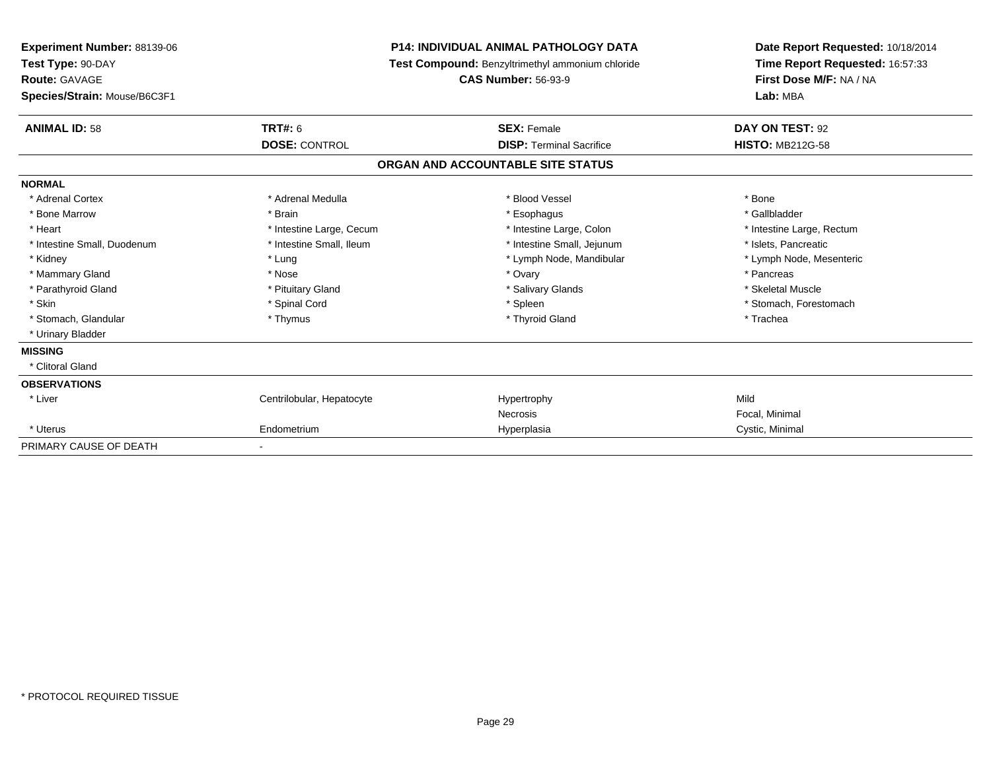| Experiment Number: 88139-06<br>Test Type: 90-DAY<br>Route: GAVAGE |                           | <b>P14: INDIVIDUAL ANIMAL PATHOLOGY DATA</b>     | Date Report Requested: 10/18/2014<br>Time Report Requested: 16:57:33<br>First Dose M/F: NA / NA |  |
|-------------------------------------------------------------------|---------------------------|--------------------------------------------------|-------------------------------------------------------------------------------------------------|--|
|                                                                   |                           | Test Compound: Benzyltrimethyl ammonium chloride |                                                                                                 |  |
|                                                                   |                           | <b>CAS Number: 56-93-9</b>                       |                                                                                                 |  |
| Species/Strain: Mouse/B6C3F1                                      |                           |                                                  | Lab: MBA                                                                                        |  |
| <b>ANIMAL ID: 58</b>                                              | TRT#: 6                   | <b>SEX: Female</b>                               | DAY ON TEST: 92                                                                                 |  |
|                                                                   | <b>DOSE: CONTROL</b>      | <b>DISP: Terminal Sacrifice</b>                  | <b>HISTO: MB212G-58</b>                                                                         |  |
|                                                                   |                           | ORGAN AND ACCOUNTABLE SITE STATUS                |                                                                                                 |  |
| <b>NORMAL</b>                                                     |                           |                                                  |                                                                                                 |  |
| * Adrenal Cortex                                                  | * Adrenal Medulla         | * Blood Vessel                                   | * Bone                                                                                          |  |
| * Bone Marrow                                                     | * Brain                   | * Esophagus                                      | * Gallbladder                                                                                   |  |
| * Heart                                                           | * Intestine Large, Cecum  | * Intestine Large, Colon                         | * Intestine Large, Rectum                                                                       |  |
| * Intestine Small, Duodenum                                       | * Intestine Small, Ileum  | * Intestine Small, Jejunum                       | * Islets, Pancreatic                                                                            |  |
| * Kidney                                                          | * Lung                    | * Lymph Node, Mandibular                         | * Lymph Node, Mesenteric                                                                        |  |
| * Mammary Gland                                                   | * Nose                    | * Ovary                                          | * Pancreas                                                                                      |  |
| * Parathyroid Gland                                               | * Pituitary Gland         | * Salivary Glands                                | * Skeletal Muscle                                                                               |  |
| * Skin                                                            | * Spinal Cord             | * Spleen                                         | * Stomach, Forestomach                                                                          |  |
| * Stomach, Glandular                                              | * Thymus                  | * Thyroid Gland                                  | * Trachea                                                                                       |  |
| * Urinary Bladder                                                 |                           |                                                  |                                                                                                 |  |
| <b>MISSING</b>                                                    |                           |                                                  |                                                                                                 |  |
| * Clitoral Gland                                                  |                           |                                                  |                                                                                                 |  |
| <b>OBSERVATIONS</b>                                               |                           |                                                  |                                                                                                 |  |
| * Liver                                                           | Centrilobular, Hepatocyte | Hypertrophy                                      | Mild                                                                                            |  |
|                                                                   |                           | <b>Necrosis</b>                                  | Focal, Minimal                                                                                  |  |
| * Uterus                                                          | Endometrium               | Hyperplasia                                      | Cystic, Minimal                                                                                 |  |
| PRIMARY CAUSE OF DEATH                                            |                           |                                                  |                                                                                                 |  |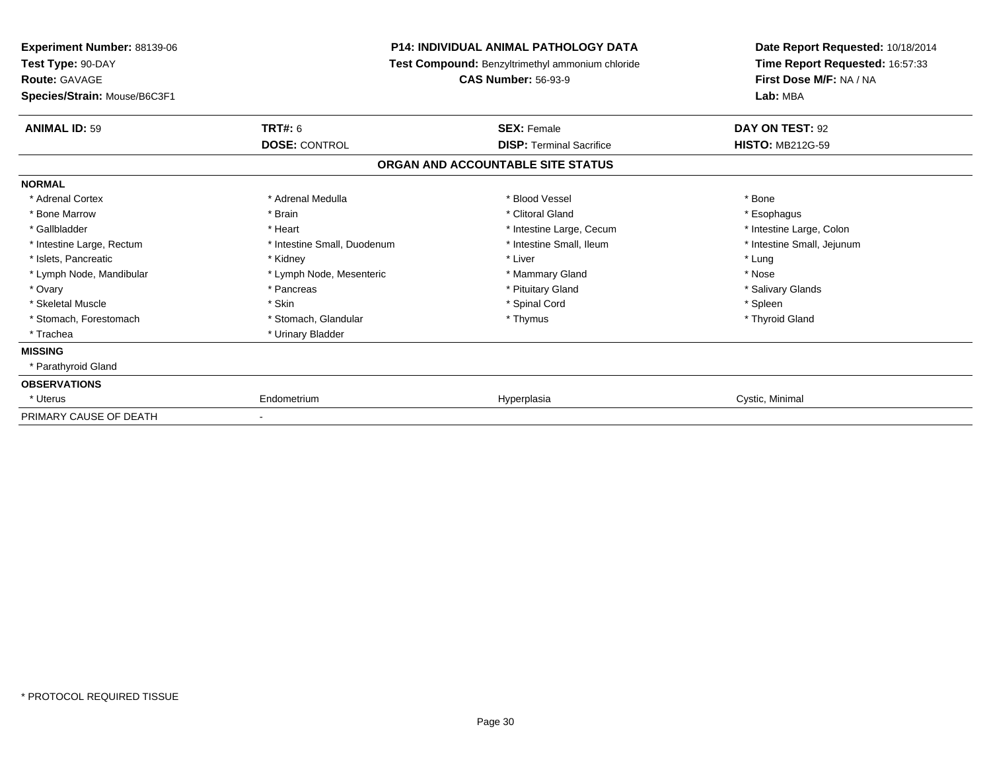| <b>Experiment Number: 88139-06</b><br>Test Type: 90-DAY |                             | <b>P14: INDIVIDUAL ANIMAL PATHOLOGY DATA</b><br>Test Compound: Benzyltrimethyl ammonium chloride | Date Report Requested: 10/18/2014<br>Time Report Requested: 16:57:33<br>First Dose M/F: NA / NA<br>Lab: MBA |
|---------------------------------------------------------|-----------------------------|--------------------------------------------------------------------------------------------------|-------------------------------------------------------------------------------------------------------------|
| <b>Route: GAVAGE</b><br>Species/Strain: Mouse/B6C3F1    |                             | <b>CAS Number: 56-93-9</b>                                                                       |                                                                                                             |
| <b>ANIMAL ID: 59</b>                                    | <b>TRT#: 6</b>              | <b>SEX: Female</b>                                                                               | DAY ON TEST: 92                                                                                             |
|                                                         | <b>DOSE: CONTROL</b>        | <b>DISP: Terminal Sacrifice</b>                                                                  | <b>HISTO: MB212G-59</b>                                                                                     |
|                                                         |                             | ORGAN AND ACCOUNTABLE SITE STATUS                                                                |                                                                                                             |
| <b>NORMAL</b>                                           |                             |                                                                                                  |                                                                                                             |
| * Adrenal Cortex                                        | * Adrenal Medulla           | * Blood Vessel                                                                                   | * Bone                                                                                                      |
| * Bone Marrow                                           | * Brain                     | * Clitoral Gland                                                                                 | * Esophagus                                                                                                 |
| * Gallbladder                                           | * Heart                     | * Intestine Large, Cecum                                                                         | * Intestine Large, Colon                                                                                    |
| * Intestine Large, Rectum                               | * Intestine Small, Duodenum | * Intestine Small. Ileum                                                                         | * Intestine Small, Jejunum                                                                                  |
| * Islets, Pancreatic                                    | * Kidney                    | * Liver                                                                                          | * Lung                                                                                                      |
| * Lymph Node, Mandibular                                | * Lymph Node, Mesenteric    | * Mammary Gland                                                                                  | * Nose                                                                                                      |
| * Ovary                                                 | * Pancreas                  | * Pituitary Gland                                                                                | * Salivary Glands                                                                                           |
| * Skeletal Muscle                                       | * Skin                      | * Spinal Cord                                                                                    | * Spleen                                                                                                    |
| * Stomach, Forestomach                                  | * Stomach, Glandular        | * Thymus                                                                                         | * Thyroid Gland                                                                                             |
| * Trachea                                               | * Urinary Bladder           |                                                                                                  |                                                                                                             |
| <b>MISSING</b>                                          |                             |                                                                                                  |                                                                                                             |
| * Parathyroid Gland                                     |                             |                                                                                                  |                                                                                                             |
| <b>OBSERVATIONS</b>                                     |                             |                                                                                                  |                                                                                                             |
| * Uterus                                                | Endometrium                 | Hyperplasia                                                                                      | Cystic, Minimal                                                                                             |
| PRIMARY CAUSE OF DEATH                                  |                             |                                                                                                  |                                                                                                             |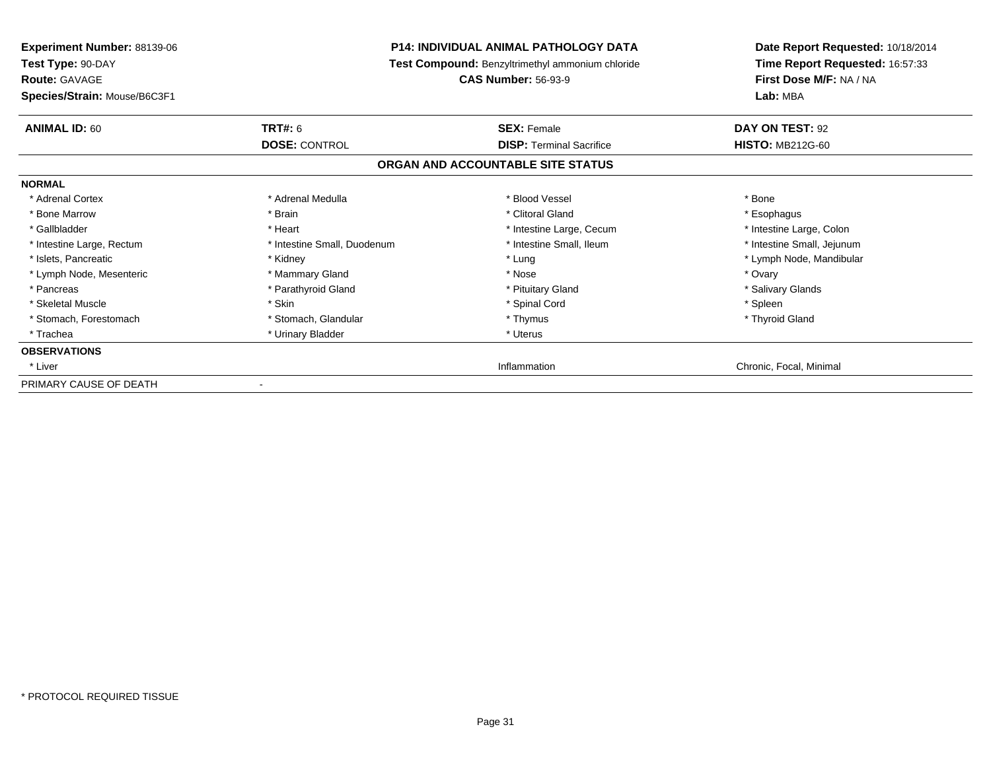| <b>Experiment Number: 88139-06</b> | <b>P14: INDIVIDUAL ANIMAL PATHOLOGY DATA</b><br>Test Compound: Benzyltrimethyl ammonium chloride |                                   | Date Report Requested: 10/18/2014<br>Time Report Requested: 16:57:33 |  |
|------------------------------------|--------------------------------------------------------------------------------------------------|-----------------------------------|----------------------------------------------------------------------|--|
| Test Type: 90-DAY                  |                                                                                                  |                                   |                                                                      |  |
| <b>Route: GAVAGE</b>               |                                                                                                  | <b>CAS Number: 56-93-9</b>        | First Dose M/F: NA / NA                                              |  |
| Species/Strain: Mouse/B6C3F1       |                                                                                                  |                                   | Lab: MBA                                                             |  |
| <b>ANIMAL ID: 60</b>               | <b>TRT#: 6</b>                                                                                   | <b>SEX: Female</b>                | DAY ON TEST: 92                                                      |  |
|                                    | <b>DOSE: CONTROL</b>                                                                             | <b>DISP:</b> Terminal Sacrifice   | <b>HISTO: MB212G-60</b>                                              |  |
|                                    |                                                                                                  | ORGAN AND ACCOUNTABLE SITE STATUS |                                                                      |  |
| <b>NORMAL</b>                      |                                                                                                  |                                   |                                                                      |  |
| * Adrenal Cortex                   | * Adrenal Medulla                                                                                | * Blood Vessel                    | * Bone                                                               |  |
| * Bone Marrow                      | * Brain                                                                                          | * Clitoral Gland                  | * Esophagus                                                          |  |
| * Gallbladder                      | * Heart                                                                                          | * Intestine Large, Cecum          | * Intestine Large, Colon                                             |  |
| * Intestine Large, Rectum          | * Intestine Small, Duodenum                                                                      | * Intestine Small, Ileum          | * Intestine Small, Jejunum                                           |  |
| * Islets, Pancreatic               | * Kidney                                                                                         | * Lung                            | * Lymph Node, Mandibular                                             |  |
| * Lymph Node, Mesenteric           | * Mammary Gland                                                                                  | * Nose                            | * Ovary                                                              |  |
| * Pancreas                         | * Parathyroid Gland                                                                              | * Pituitary Gland                 | * Salivary Glands                                                    |  |
| * Skeletal Muscle                  | * Skin                                                                                           | * Spinal Cord                     | * Spleen                                                             |  |
| * Stomach, Forestomach             | * Stomach, Glandular                                                                             | * Thymus                          | * Thyroid Gland                                                      |  |
| * Trachea                          | * Urinary Bladder                                                                                | * Uterus                          |                                                                      |  |
| <b>OBSERVATIONS</b>                |                                                                                                  |                                   |                                                                      |  |
| * Liver                            |                                                                                                  | Inflammation                      | Chronic, Focal, Minimal                                              |  |
| PRIMARY CAUSE OF DEATH             |                                                                                                  |                                   |                                                                      |  |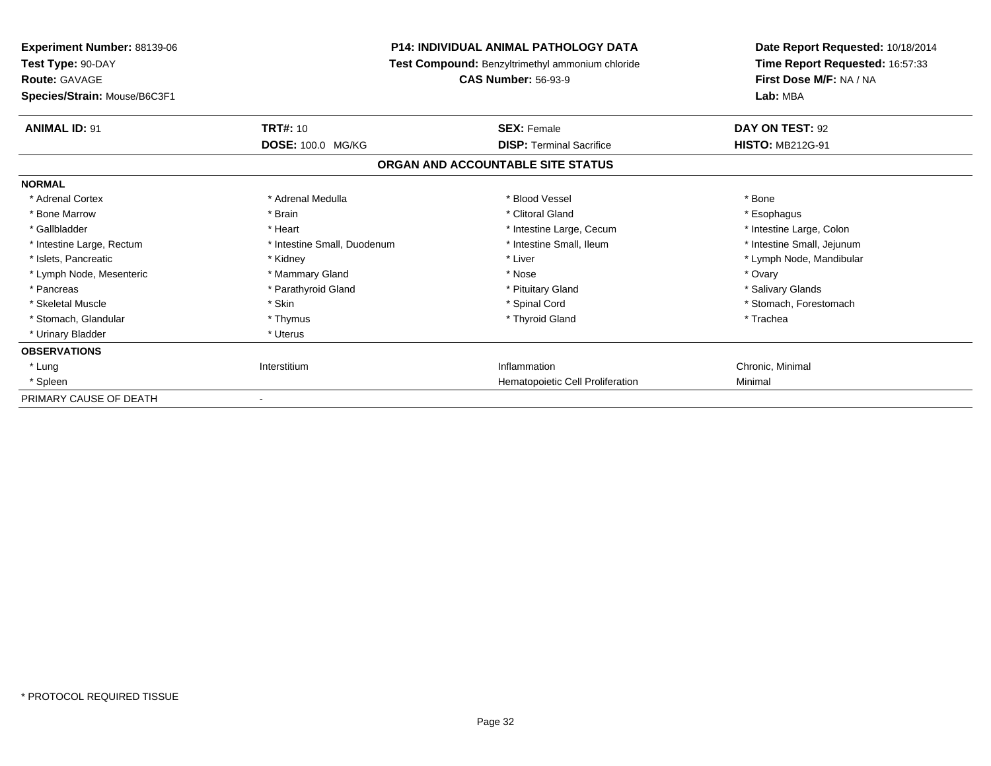| Experiment Number: 88139-06<br>Test Type: 90-DAY<br><b>Route: GAVAGE</b><br>Species/Strain: Mouse/B6C3F1 | <b>P14: INDIVIDUAL ANIMAL PATHOLOGY DATA</b><br>Test Compound: Benzyltrimethyl ammonium chloride<br><b>CAS Number: 56-93-9</b> |                                   | Date Report Requested: 10/18/2014<br>Time Report Requested: 16:57:33<br>First Dose M/F: NA / NA<br>Lab: MBA |  |
|----------------------------------------------------------------------------------------------------------|--------------------------------------------------------------------------------------------------------------------------------|-----------------------------------|-------------------------------------------------------------------------------------------------------------|--|
| <b>ANIMAL ID: 91</b>                                                                                     | <b>TRT#: 10</b>                                                                                                                | <b>SEX: Female</b>                | DAY ON TEST: 92                                                                                             |  |
|                                                                                                          | DOSE: 100.0 MG/KG                                                                                                              | <b>DISP: Terminal Sacrifice</b>   | <b>HISTO: MB212G-91</b>                                                                                     |  |
|                                                                                                          |                                                                                                                                | ORGAN AND ACCOUNTABLE SITE STATUS |                                                                                                             |  |
| <b>NORMAL</b>                                                                                            |                                                                                                                                |                                   |                                                                                                             |  |
| * Adrenal Cortex                                                                                         | * Adrenal Medulla                                                                                                              | * Blood Vessel                    | * Bone                                                                                                      |  |
| * Bone Marrow                                                                                            | * Brain                                                                                                                        | * Clitoral Gland                  | * Esophagus                                                                                                 |  |
| * Gallbladder                                                                                            | * Heart                                                                                                                        | * Intestine Large, Cecum          | * Intestine Large, Colon                                                                                    |  |
| * Intestine Large, Rectum                                                                                | * Intestine Small, Duodenum                                                                                                    | * Intestine Small. Ileum          | * Intestine Small, Jejunum                                                                                  |  |
| * Islets, Pancreatic                                                                                     | * Kidney                                                                                                                       | * Liver                           | * Lymph Node, Mandibular                                                                                    |  |
| * Lymph Node, Mesenteric                                                                                 | * Mammary Gland                                                                                                                | * Nose                            | * Ovary                                                                                                     |  |
| * Pancreas                                                                                               | * Parathyroid Gland                                                                                                            | * Pituitary Gland                 | * Salivary Glands                                                                                           |  |
| * Skeletal Muscle                                                                                        | * Skin                                                                                                                         | * Spinal Cord                     | * Stomach, Forestomach                                                                                      |  |
| * Stomach, Glandular                                                                                     | * Thymus                                                                                                                       | * Thyroid Gland                   | * Trachea                                                                                                   |  |
| * Urinary Bladder                                                                                        | * Uterus                                                                                                                       |                                   |                                                                                                             |  |
| <b>OBSERVATIONS</b>                                                                                      |                                                                                                                                |                                   |                                                                                                             |  |
| * Lung                                                                                                   | Interstitium                                                                                                                   | Inflammation                      | Chronic, Minimal                                                                                            |  |
| * Spleen                                                                                                 |                                                                                                                                | Hematopoietic Cell Proliferation  | Minimal                                                                                                     |  |
| PRIMARY CAUSE OF DEATH                                                                                   |                                                                                                                                |                                   |                                                                                                             |  |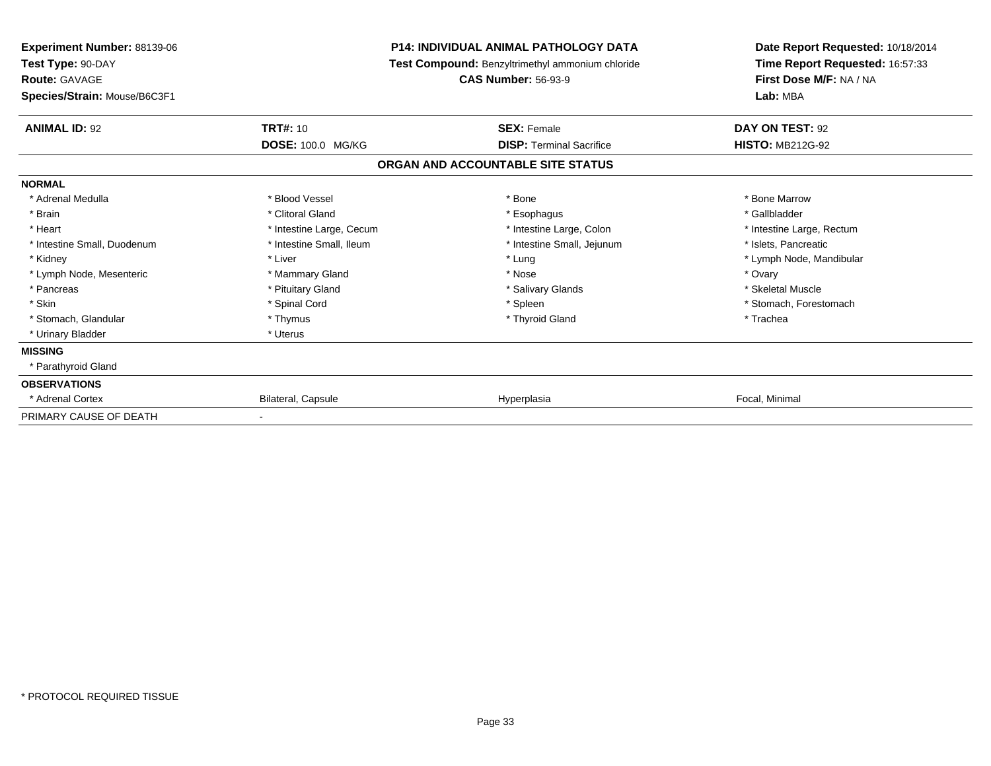| <b>Experiment Number: 88139-06</b><br>Test Type: 90-DAY |                          | <b>P14: INDIVIDUAL ANIMAL PATHOLOGY DATA</b><br>Test Compound: Benzyltrimethyl ammonium chloride | Date Report Requested: 10/18/2014<br>Time Report Requested: 16:57:33 |
|---------------------------------------------------------|--------------------------|--------------------------------------------------------------------------------------------------|----------------------------------------------------------------------|
| <b>Route: GAVAGE</b>                                    |                          | <b>CAS Number: 56-93-9</b>                                                                       | First Dose M/F: NA / NA                                              |
| Species/Strain: Mouse/B6C3F1                            |                          |                                                                                                  | Lab: MBA                                                             |
| <b>ANIMAL ID: 92</b>                                    | <b>TRT#: 10</b>          | <b>SEX: Female</b>                                                                               | DAY ON TEST: 92                                                      |
|                                                         | DOSE: 100.0 MG/KG        | <b>DISP: Terminal Sacrifice</b>                                                                  | <b>HISTO: MB212G-92</b>                                              |
|                                                         |                          | ORGAN AND ACCOUNTABLE SITE STATUS                                                                |                                                                      |
| <b>NORMAL</b>                                           |                          |                                                                                                  |                                                                      |
| * Adrenal Medulla                                       | * Blood Vessel           | * Bone                                                                                           | * Bone Marrow                                                        |
| * Brain                                                 | * Clitoral Gland         | * Esophagus                                                                                      | * Gallbladder                                                        |
| * Heart                                                 | * Intestine Large, Cecum | * Intestine Large, Colon                                                                         | * Intestine Large, Rectum                                            |
| * Intestine Small, Duodenum                             | * Intestine Small, Ileum | * Intestine Small, Jejunum                                                                       | * Islets, Pancreatic                                                 |
| * Kidney                                                | * Liver                  | * Lung                                                                                           | * Lymph Node, Mandibular                                             |
| * Lymph Node, Mesenteric                                | * Mammary Gland          | * Nose                                                                                           | * Ovary                                                              |
| * Pancreas                                              | * Pituitary Gland        | * Salivary Glands                                                                                | * Skeletal Muscle                                                    |
| * Skin                                                  | * Spinal Cord            | * Spleen                                                                                         | * Stomach, Forestomach                                               |
| * Stomach, Glandular                                    | * Thymus                 | * Thyroid Gland                                                                                  | * Trachea                                                            |
| * Urinary Bladder                                       | * Uterus                 |                                                                                                  |                                                                      |
| <b>MISSING</b>                                          |                          |                                                                                                  |                                                                      |
| * Parathyroid Gland                                     |                          |                                                                                                  |                                                                      |
| <b>OBSERVATIONS</b>                                     |                          |                                                                                                  |                                                                      |
| * Adrenal Cortex                                        | Bilateral, Capsule       | Hyperplasia                                                                                      | Focal, Minimal                                                       |
| PRIMARY CAUSE OF DEATH                                  |                          |                                                                                                  |                                                                      |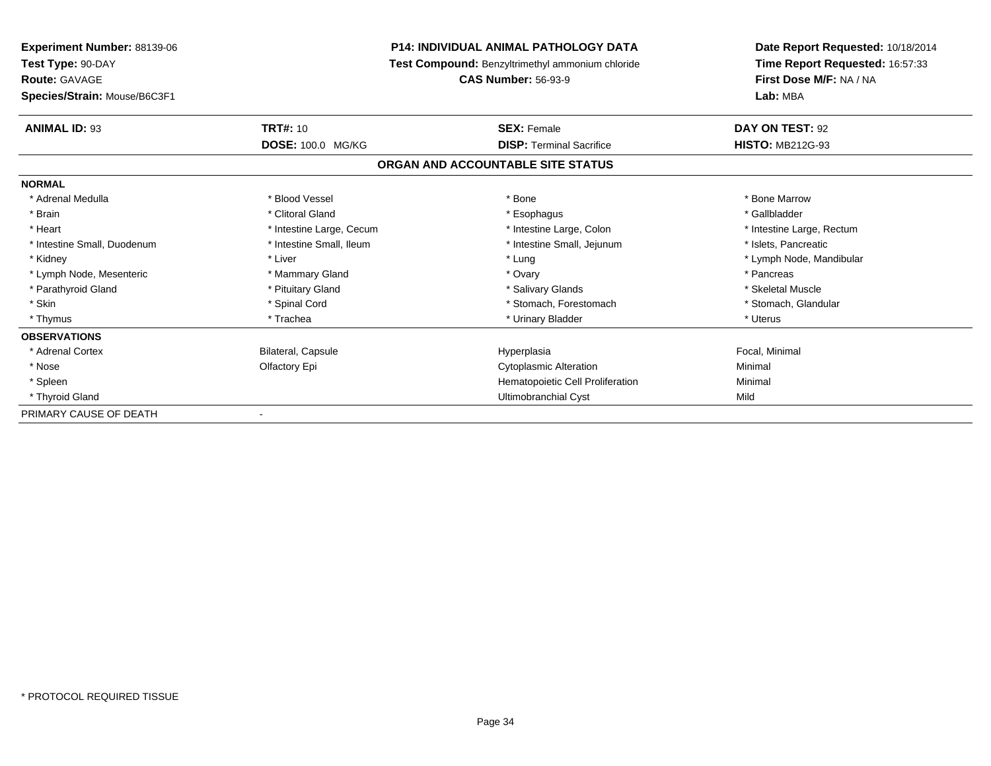| <b>Experiment Number: 88139-06</b><br>Test Type: 90-DAY<br><b>Route: GAVAGE</b> |                           | <b>P14: INDIVIDUAL ANIMAL PATHOLOGY DATA</b>            | Date Report Requested: 10/18/2014<br>Time Report Requested: 16:57:33<br>First Dose M/F: NA / NA |
|---------------------------------------------------------------------------------|---------------------------|---------------------------------------------------------|-------------------------------------------------------------------------------------------------|
|                                                                                 |                           | <b>Test Compound:</b> Benzyltrimethyl ammonium chloride |                                                                                                 |
|                                                                                 |                           | <b>CAS Number: 56-93-9</b>                              |                                                                                                 |
| Species/Strain: Mouse/B6C3F1                                                    |                           |                                                         | Lab: MBA                                                                                        |
| <b>ANIMAL ID: 93</b>                                                            | <b>TRT#: 10</b>           | <b>SEX: Female</b>                                      | DAY ON TEST: 92                                                                                 |
|                                                                                 | DOSE: 100.0 MG/KG         | <b>DISP: Terminal Sacrifice</b>                         | <b>HISTO: MB212G-93</b>                                                                         |
|                                                                                 |                           | ORGAN AND ACCOUNTABLE SITE STATUS                       |                                                                                                 |
| <b>NORMAL</b>                                                                   |                           |                                                         |                                                                                                 |
| * Adrenal Medulla                                                               | * Blood Vessel            | * Bone                                                  | * Bone Marrow                                                                                   |
| * Brain                                                                         | * Clitoral Gland          | * Esophagus                                             | * Gallbladder                                                                                   |
| * Heart                                                                         | * Intestine Large, Cecum  | * Intestine Large, Colon                                | * Intestine Large, Rectum                                                                       |
| * Intestine Small, Duodenum                                                     | * Intestine Small, Ileum  | * Intestine Small, Jejunum                              | * Islets, Pancreatic                                                                            |
| * Kidney                                                                        | * Liver                   | * Lung                                                  | * Lymph Node, Mandibular                                                                        |
| * Lymph Node, Mesenteric                                                        | * Mammary Gland           | * Ovary                                                 | * Pancreas                                                                                      |
| * Parathyroid Gland                                                             | * Pituitary Gland         | * Salivary Glands                                       | * Skeletal Muscle                                                                               |
| * Skin                                                                          | * Spinal Cord             | * Stomach, Forestomach                                  | * Stomach, Glandular                                                                            |
| * Thymus                                                                        | * Trachea                 | * Urinary Bladder                                       | * Uterus                                                                                        |
| <b>OBSERVATIONS</b>                                                             |                           |                                                         |                                                                                                 |
| * Adrenal Cortex                                                                | <b>Bilateral, Capsule</b> | Hyperplasia                                             | Focal, Minimal                                                                                  |
| * Nose                                                                          | Olfactory Epi             | <b>Cytoplasmic Alteration</b>                           | Minimal                                                                                         |
| * Spleen                                                                        |                           | Hematopoietic Cell Proliferation                        | Minimal                                                                                         |
| * Thyroid Gland                                                                 |                           | Ultimobranchial Cyst                                    | Mild                                                                                            |
| PRIMARY CAUSE OF DEATH                                                          |                           |                                                         |                                                                                                 |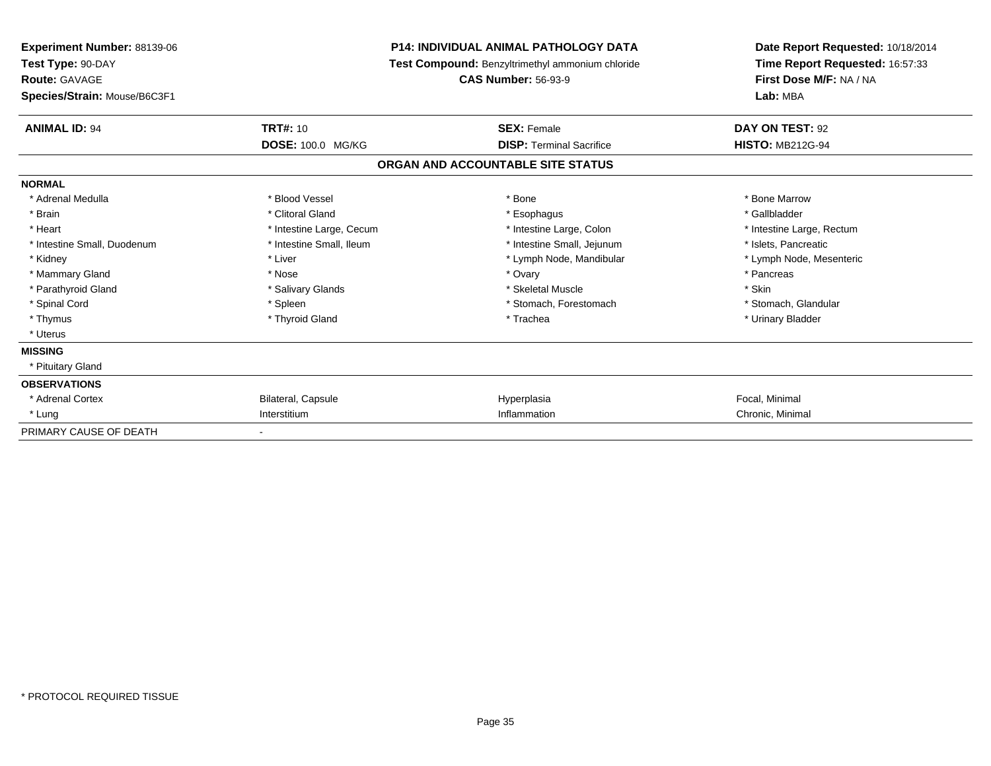| <b>Experiment Number: 88139-06</b><br>Test Type: 90-DAY<br><b>Route: GAVAGE</b><br>Species/Strain: Mouse/B6C3F1 |                                             | <b>P14: INDIVIDUAL ANIMAL PATHOLOGY DATA</b><br><b>Test Compound: Benzyltrimethyl ammonium chloride</b><br><b>CAS Number: 56-93-9</b> | Date Report Requested: 10/18/2014<br>Time Report Requested: 16:57:33<br>First Dose M/F: NA / NA<br>Lab: MBA |
|-----------------------------------------------------------------------------------------------------------------|---------------------------------------------|---------------------------------------------------------------------------------------------------------------------------------------|-------------------------------------------------------------------------------------------------------------|
|                                                                                                                 |                                             |                                                                                                                                       |                                                                                                             |
| <b>ANIMAL ID: 94</b>                                                                                            | <b>TRT#: 10</b><br><b>DOSE: 100.0 MG/KG</b> | <b>SEX: Female</b><br><b>DISP: Terminal Sacrifice</b>                                                                                 | DAY ON TEST: 92<br><b>HISTO: MB212G-94</b>                                                                  |
|                                                                                                                 |                                             | ORGAN AND ACCOUNTABLE SITE STATUS                                                                                                     |                                                                                                             |
| <b>NORMAL</b>                                                                                                   |                                             |                                                                                                                                       |                                                                                                             |
| * Adrenal Medulla                                                                                               | * Blood Vessel                              | * Bone                                                                                                                                | * Bone Marrow                                                                                               |
| * Brain                                                                                                         | * Clitoral Gland                            | * Esophagus                                                                                                                           | * Gallbladder                                                                                               |
| * Heart                                                                                                         | * Intestine Large, Cecum                    | * Intestine Large, Colon                                                                                                              | * Intestine Large, Rectum                                                                                   |
| * Intestine Small, Duodenum                                                                                     | * Intestine Small, Ileum                    | * Intestine Small, Jejunum                                                                                                            | * Islets, Pancreatic                                                                                        |
| * Kidney                                                                                                        | * Liver                                     | * Lymph Node, Mandibular                                                                                                              | * Lymph Node, Mesenteric                                                                                    |
| * Mammary Gland                                                                                                 | * Nose                                      | * Ovary                                                                                                                               | * Pancreas                                                                                                  |
| * Parathyroid Gland                                                                                             | * Salivary Glands                           | * Skeletal Muscle                                                                                                                     | * Skin                                                                                                      |
| * Spinal Cord                                                                                                   | * Spleen                                    | * Stomach, Forestomach                                                                                                                | * Stomach, Glandular                                                                                        |
| * Thymus                                                                                                        | * Thyroid Gland                             | * Trachea                                                                                                                             | * Urinary Bladder                                                                                           |
| * Uterus                                                                                                        |                                             |                                                                                                                                       |                                                                                                             |
| <b>MISSING</b>                                                                                                  |                                             |                                                                                                                                       |                                                                                                             |
| * Pituitary Gland                                                                                               |                                             |                                                                                                                                       |                                                                                                             |
| <b>OBSERVATIONS</b>                                                                                             |                                             |                                                                                                                                       |                                                                                                             |
| * Adrenal Cortex                                                                                                | Bilateral, Capsule                          | Hyperplasia                                                                                                                           | Focal, Minimal                                                                                              |
| * Lung                                                                                                          | Interstitium                                | Inflammation                                                                                                                          | Chronic, Minimal                                                                                            |
| PRIMARY CAUSE OF DEATH                                                                                          |                                             |                                                                                                                                       |                                                                                                             |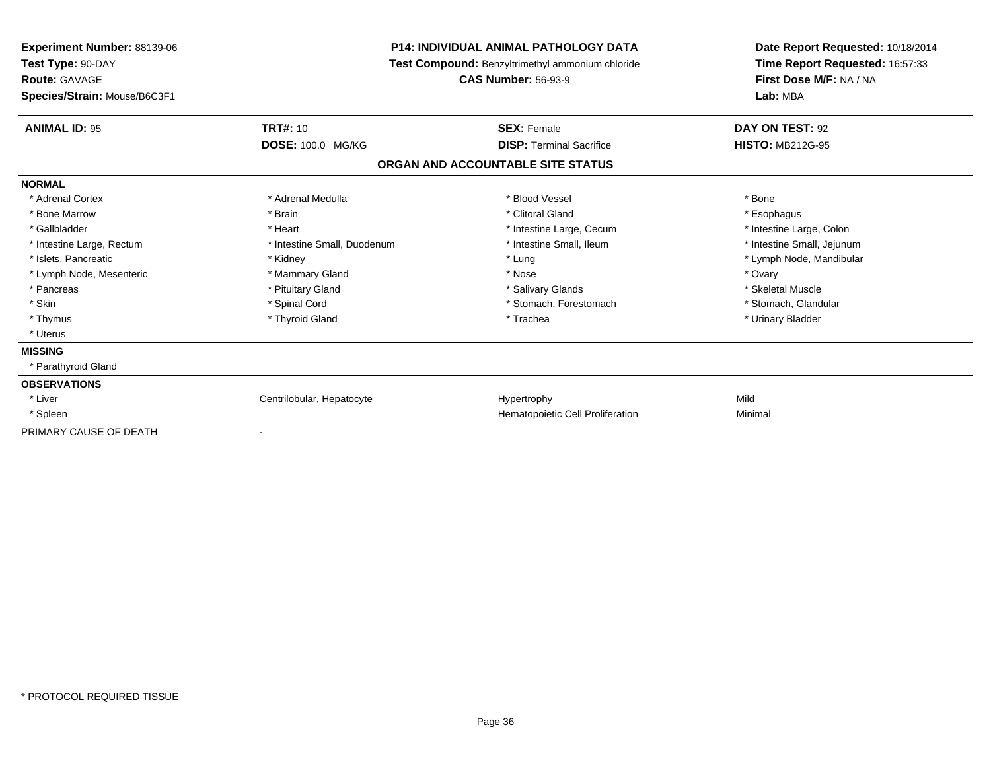| <b>Experiment Number: 88139-06</b><br>Test Type: 90-DAY<br><b>Route: GAVAGE</b> |                             | <b>P14: INDIVIDUAL ANIMAL PATHOLOGY DATA</b><br><b>Test Compound: Benzyltrimethyl ammonium chloride</b><br><b>CAS Number: 56-93-9</b> | Date Report Requested: 10/18/2014<br>Time Report Requested: 16:57:33<br>First Dose M/F: NA / NA |
|---------------------------------------------------------------------------------|-----------------------------|---------------------------------------------------------------------------------------------------------------------------------------|-------------------------------------------------------------------------------------------------|
| Species/Strain: Mouse/B6C3F1                                                    |                             |                                                                                                                                       | Lab: MBA                                                                                        |
| <b>ANIMAL ID: 95</b>                                                            | <b>TRT#: 10</b>             | <b>SEX: Female</b>                                                                                                                    | DAY ON TEST: 92                                                                                 |
|                                                                                 | DOSE: 100.0 MG/KG           | <b>DISP: Terminal Sacrifice</b>                                                                                                       | <b>HISTO: MB212G-95</b>                                                                         |
|                                                                                 |                             | ORGAN AND ACCOUNTABLE SITE STATUS                                                                                                     |                                                                                                 |
| <b>NORMAL</b>                                                                   |                             |                                                                                                                                       |                                                                                                 |
| * Adrenal Cortex                                                                | * Adrenal Medulla           | * Blood Vessel                                                                                                                        | * Bone                                                                                          |
| * Bone Marrow                                                                   | * Brain                     | * Clitoral Gland                                                                                                                      | * Esophagus                                                                                     |
| * Gallbladder                                                                   | * Heart                     | * Intestine Large, Cecum                                                                                                              | * Intestine Large, Colon                                                                        |
| * Intestine Large, Rectum                                                       | * Intestine Small, Duodenum | * Intestine Small, Ileum                                                                                                              | * Intestine Small, Jejunum                                                                      |
| * Islets, Pancreatic                                                            | * Kidney                    | * Lung                                                                                                                                | * Lymph Node, Mandibular                                                                        |
| * Lymph Node, Mesenteric                                                        | * Mammary Gland             | * Nose                                                                                                                                | * Ovary                                                                                         |
| * Pancreas                                                                      | * Pituitary Gland           | * Salivary Glands                                                                                                                     | * Skeletal Muscle                                                                               |
| * Skin                                                                          | * Spinal Cord               | * Stomach, Forestomach                                                                                                                | * Stomach, Glandular                                                                            |
| * Thymus                                                                        | * Thyroid Gland             | * Trachea                                                                                                                             | * Urinary Bladder                                                                               |
| * Uterus                                                                        |                             |                                                                                                                                       |                                                                                                 |
| <b>MISSING</b>                                                                  |                             |                                                                                                                                       |                                                                                                 |
| * Parathyroid Gland                                                             |                             |                                                                                                                                       |                                                                                                 |
| <b>OBSERVATIONS</b>                                                             |                             |                                                                                                                                       |                                                                                                 |
| * Liver                                                                         | Centrilobular, Hepatocyte   | Hypertrophy                                                                                                                           | Mild                                                                                            |
| * Spleen                                                                        |                             | Hematopoietic Cell Proliferation                                                                                                      | Minimal                                                                                         |
| PRIMARY CAUSE OF DEATH                                                          |                             |                                                                                                                                       |                                                                                                 |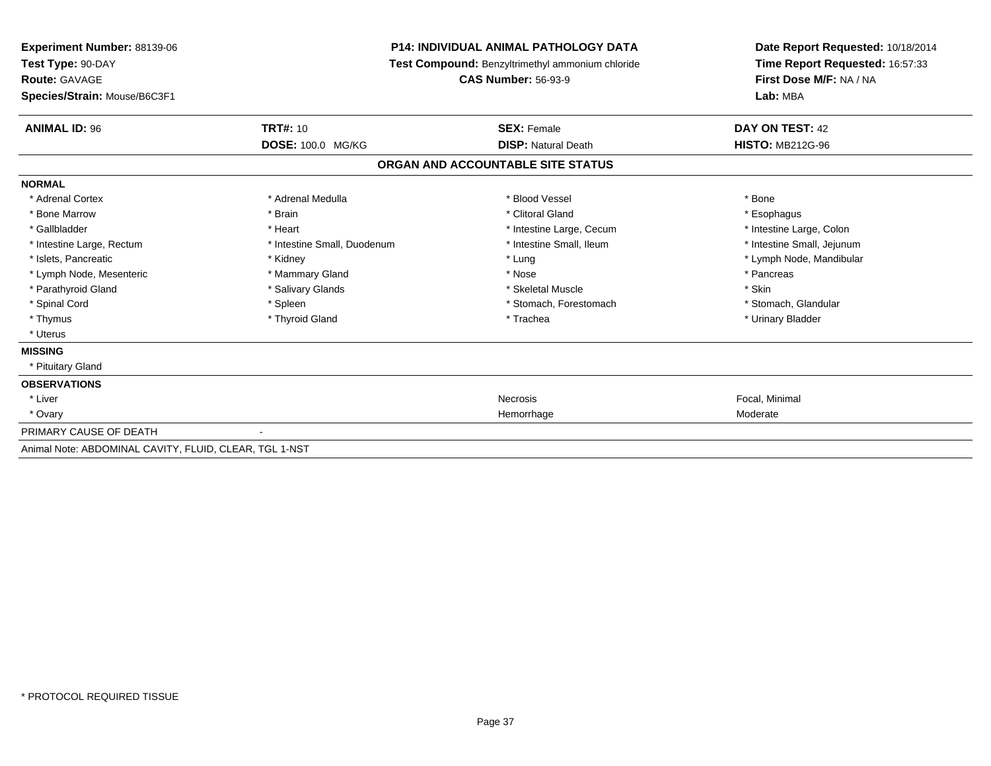| <b>Experiment Number: 88139-06</b><br>Test Type: 90-DAY<br><b>Route: GAVAGE</b> |                             | <b>P14: INDIVIDUAL ANIMAL PATHOLOGY DATA</b><br><b>Test Compound: Benzyltrimethyl ammonium chloride</b><br><b>CAS Number: 56-93-9</b> | Date Report Requested: 10/18/2014<br>Time Report Requested: 16:57:33<br>First Dose M/F: NA / NA |
|---------------------------------------------------------------------------------|-----------------------------|---------------------------------------------------------------------------------------------------------------------------------------|-------------------------------------------------------------------------------------------------|
| Species/Strain: Mouse/B6C3F1                                                    |                             | Lab: MBA                                                                                                                              |                                                                                                 |
| <b>ANIMAL ID: 96</b>                                                            | <b>TRT#: 10</b>             | <b>SEX: Female</b>                                                                                                                    | DAY ON TEST: 42                                                                                 |
|                                                                                 | <b>DOSE: 100.0 MG/KG</b>    | <b>DISP: Natural Death</b>                                                                                                            | <b>HISTO: MB212G-96</b>                                                                         |
|                                                                                 |                             | ORGAN AND ACCOUNTABLE SITE STATUS                                                                                                     |                                                                                                 |
| <b>NORMAL</b>                                                                   |                             |                                                                                                                                       |                                                                                                 |
| * Adrenal Cortex                                                                | * Adrenal Medulla           | * Blood Vessel                                                                                                                        | * Bone                                                                                          |
| * Bone Marrow                                                                   | * Brain                     | * Clitoral Gland                                                                                                                      | * Esophagus                                                                                     |
| * Gallbladder                                                                   | * Heart                     | * Intestine Large, Cecum                                                                                                              | * Intestine Large, Colon                                                                        |
| * Intestine Large, Rectum                                                       | * Intestine Small, Duodenum | * Intestine Small, Ileum                                                                                                              | * Intestine Small, Jejunum                                                                      |
| * Islets, Pancreatic                                                            | * Kidney                    | * Lung                                                                                                                                | * Lymph Node, Mandibular                                                                        |
| * Lymph Node, Mesenteric                                                        | * Mammary Gland             | * Nose                                                                                                                                | * Pancreas                                                                                      |
| * Parathyroid Gland                                                             | * Salivary Glands           | * Skeletal Muscle                                                                                                                     | * Skin                                                                                          |
| * Spinal Cord                                                                   | * Spleen                    | * Stomach, Forestomach                                                                                                                | * Stomach, Glandular                                                                            |
| * Thymus                                                                        | * Thyroid Gland             | * Trachea                                                                                                                             | * Urinary Bladder                                                                               |
| * Uterus                                                                        |                             |                                                                                                                                       |                                                                                                 |
| <b>MISSING</b>                                                                  |                             |                                                                                                                                       |                                                                                                 |
| * Pituitary Gland                                                               |                             |                                                                                                                                       |                                                                                                 |
| <b>OBSERVATIONS</b>                                                             |                             |                                                                                                                                       |                                                                                                 |
| * Liver                                                                         |                             | <b>Necrosis</b>                                                                                                                       | Focal, Minimal                                                                                  |
| * Ovary                                                                         |                             | Hemorrhage                                                                                                                            | Moderate                                                                                        |
| PRIMARY CAUSE OF DEATH                                                          |                             |                                                                                                                                       |                                                                                                 |
| Animal Note: ABDOMINAL CAVITY, FLUID, CLEAR, TGL 1-NST                          |                             |                                                                                                                                       |                                                                                                 |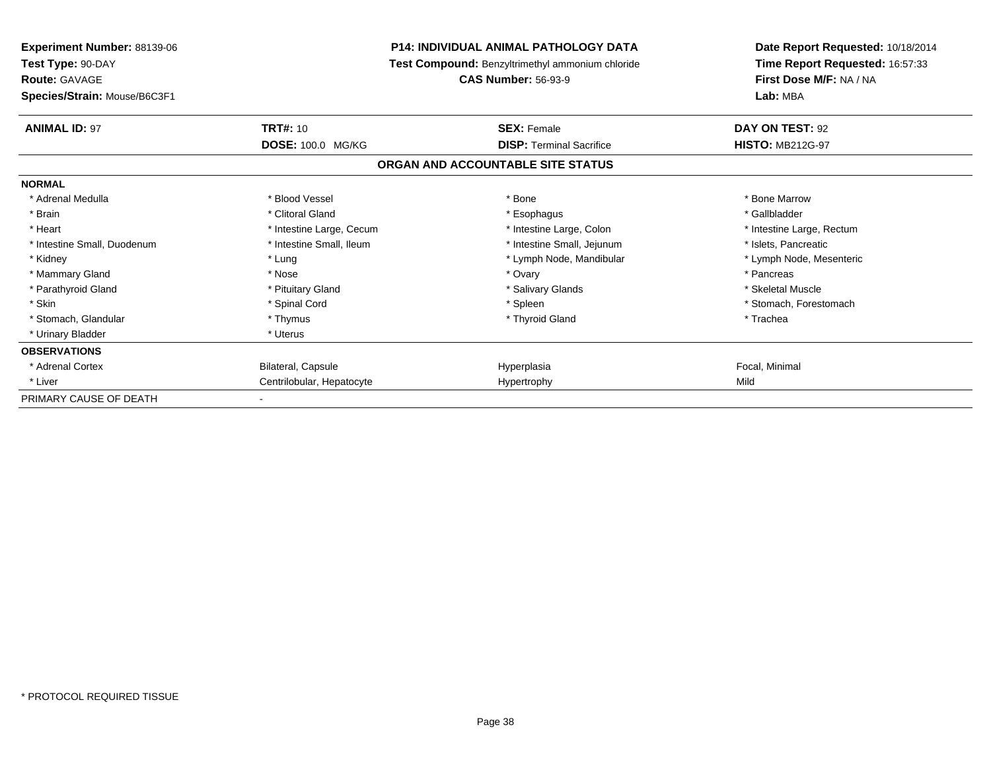| <b>Experiment Number: 88139-06</b><br>Test Type: 90-DAY<br><b>Route: GAVAGE</b><br>Species/Strain: Mouse/B6C3F1 |                                                                                                      | <b>P14: INDIVIDUAL ANIMAL PATHOLOGY DATA</b><br>Test Compound: Benzyltrimethyl ammonium chloride<br><b>CAS Number: 56-93-9</b> | Date Report Requested: 10/18/2014<br>Time Report Requested: 16:57:33<br>First Dose M/F: NA / NA<br>Lab: MBA     |
|-----------------------------------------------------------------------------------------------------------------|------------------------------------------------------------------------------------------------------|--------------------------------------------------------------------------------------------------------------------------------|-----------------------------------------------------------------------------------------------------------------|
| <b>ANIMAL ID: 97</b>                                                                                            | <b>TRT#: 10</b>                                                                                      | <b>SEX: Female</b>                                                                                                             | DAY ON TEST: 92                                                                                                 |
|                                                                                                                 | DOSE: 100.0 MG/KG                                                                                    | <b>DISP:</b> Terminal Sacrifice<br>ORGAN AND ACCOUNTABLE SITE STATUS                                                           | <b>HISTO: MB212G-97</b>                                                                                         |
| <b>NORMAL</b>                                                                                                   |                                                                                                      |                                                                                                                                |                                                                                                                 |
| * Adrenal Medulla<br>* Brain<br>* Heart<br>* Intestine Small, Duodenum<br>* Kidney                              | * Blood Vessel<br>* Clitoral Gland<br>* Intestine Large, Cecum<br>* Intestine Small, Ileum<br>* Lung | * Bone<br>* Esophagus<br>* Intestine Large, Colon<br>* Intestine Small, Jejunum<br>* Lymph Node, Mandibular                    | * Bone Marrow<br>* Gallbladder<br>* Intestine Large, Rectum<br>* Islets, Pancreatic<br>* Lymph Node, Mesenteric |
| * Mammary Gland<br>* Parathyroid Gland<br>* Skin<br>* Stomach, Glandular                                        | * Nose<br>* Pituitary Gland<br>* Spinal Cord<br>* Thymus                                             | * Ovary<br>* Salivary Glands<br>* Spleen<br>* Thyroid Gland                                                                    | * Pancreas<br>* Skeletal Muscle<br>* Stomach, Forestomach<br>* Trachea                                          |
| * Urinary Bladder                                                                                               | * Uterus                                                                                             |                                                                                                                                |                                                                                                                 |
| <b>OBSERVATIONS</b><br>* Adrenal Cortex<br>* Liver                                                              | Bilateral, Capsule<br>Centrilobular, Hepatocyte                                                      | Hyperplasia<br>Hypertrophy                                                                                                     | Focal, Minimal<br>Mild                                                                                          |
| PRIMARY CAUSE OF DEATH                                                                                          |                                                                                                      |                                                                                                                                |                                                                                                                 |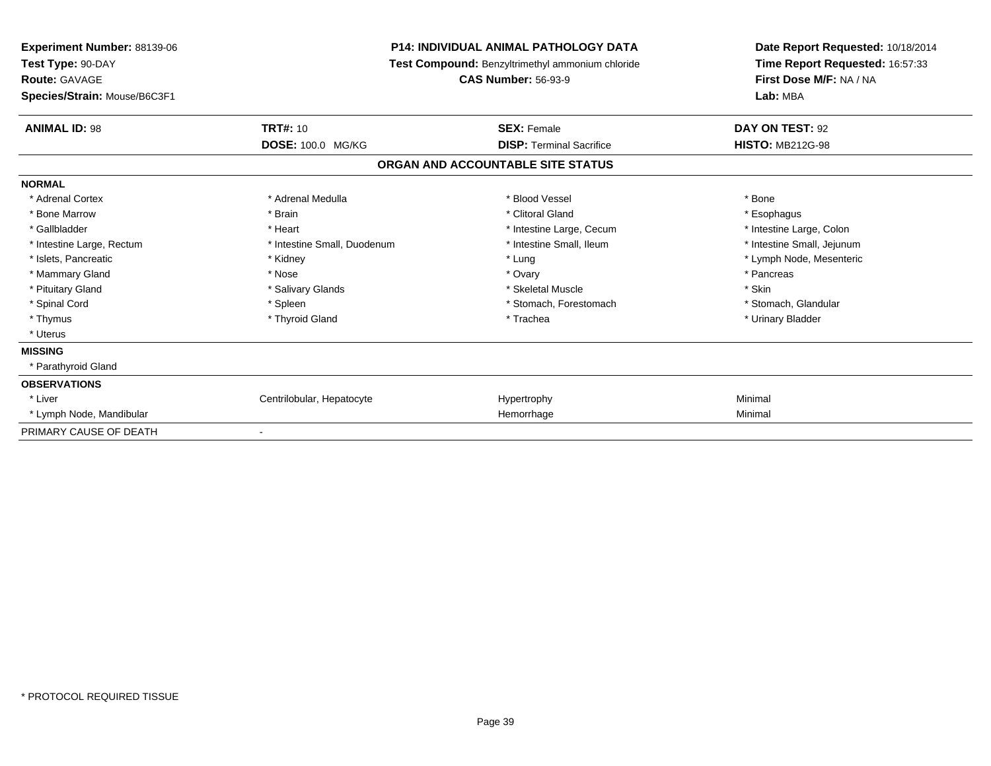| <b>Experiment Number: 88139-06</b><br>Test Type: 90-DAY<br><b>Route: GAVAGE</b><br>Species/Strain: Mouse/B6C3F1 |                             | <b>P14: INDIVIDUAL ANIMAL PATHOLOGY DATA</b><br>Test Compound: Benzyltrimethyl ammonium chloride<br><b>CAS Number: 56-93-9</b> | Date Report Requested: 10/18/2014<br>Time Report Requested: 16:57:33<br>First Dose M/F: NA / NA<br>Lab: MBA |
|-----------------------------------------------------------------------------------------------------------------|-----------------------------|--------------------------------------------------------------------------------------------------------------------------------|-------------------------------------------------------------------------------------------------------------|
| <b>ANIMAL ID: 98</b>                                                                                            | <b>TRT#: 10</b>             | <b>SEX: Female</b>                                                                                                             | DAY ON TEST: 92                                                                                             |
|                                                                                                                 | DOSE: 100.0 MG/KG           | <b>DISP: Terminal Sacrifice</b>                                                                                                | <b>HISTO: MB212G-98</b>                                                                                     |
|                                                                                                                 |                             | ORGAN AND ACCOUNTABLE SITE STATUS                                                                                              |                                                                                                             |
| <b>NORMAL</b>                                                                                                   |                             |                                                                                                                                |                                                                                                             |
| * Adrenal Cortex                                                                                                | * Adrenal Medulla           | * Blood Vessel                                                                                                                 | * Bone                                                                                                      |
| * Bone Marrow                                                                                                   | * Brain                     | * Clitoral Gland                                                                                                               | * Esophagus                                                                                                 |
| * Gallbladder                                                                                                   | * Heart                     | * Intestine Large, Cecum                                                                                                       | * Intestine Large, Colon                                                                                    |
| * Intestine Large, Rectum                                                                                       | * Intestine Small, Duodenum | * Intestine Small, Ileum                                                                                                       | * Intestine Small, Jejunum                                                                                  |
| * Islets, Pancreatic                                                                                            | * Kidney                    | * Lung                                                                                                                         | * Lymph Node, Mesenteric                                                                                    |
| * Mammary Gland                                                                                                 | * Nose                      | * Ovary                                                                                                                        | * Pancreas                                                                                                  |
| * Pituitary Gland                                                                                               | * Salivary Glands           | * Skeletal Muscle                                                                                                              | * Skin                                                                                                      |
| * Spinal Cord                                                                                                   | * Spleen                    | * Stomach, Forestomach                                                                                                         | * Stomach, Glandular                                                                                        |
| * Thymus                                                                                                        | * Thyroid Gland             | * Trachea                                                                                                                      | * Urinary Bladder                                                                                           |
| * Uterus                                                                                                        |                             |                                                                                                                                |                                                                                                             |
| <b>MISSING</b>                                                                                                  |                             |                                                                                                                                |                                                                                                             |
| * Parathyroid Gland                                                                                             |                             |                                                                                                                                |                                                                                                             |
| <b>OBSERVATIONS</b>                                                                                             |                             |                                                                                                                                |                                                                                                             |
| * Liver                                                                                                         | Centrilobular, Hepatocyte   | Hypertrophy                                                                                                                    | Minimal                                                                                                     |
| * Lymph Node, Mandibular                                                                                        |                             | Hemorrhage                                                                                                                     | Minimal                                                                                                     |
| PRIMARY CAUSE OF DEATH                                                                                          |                             |                                                                                                                                |                                                                                                             |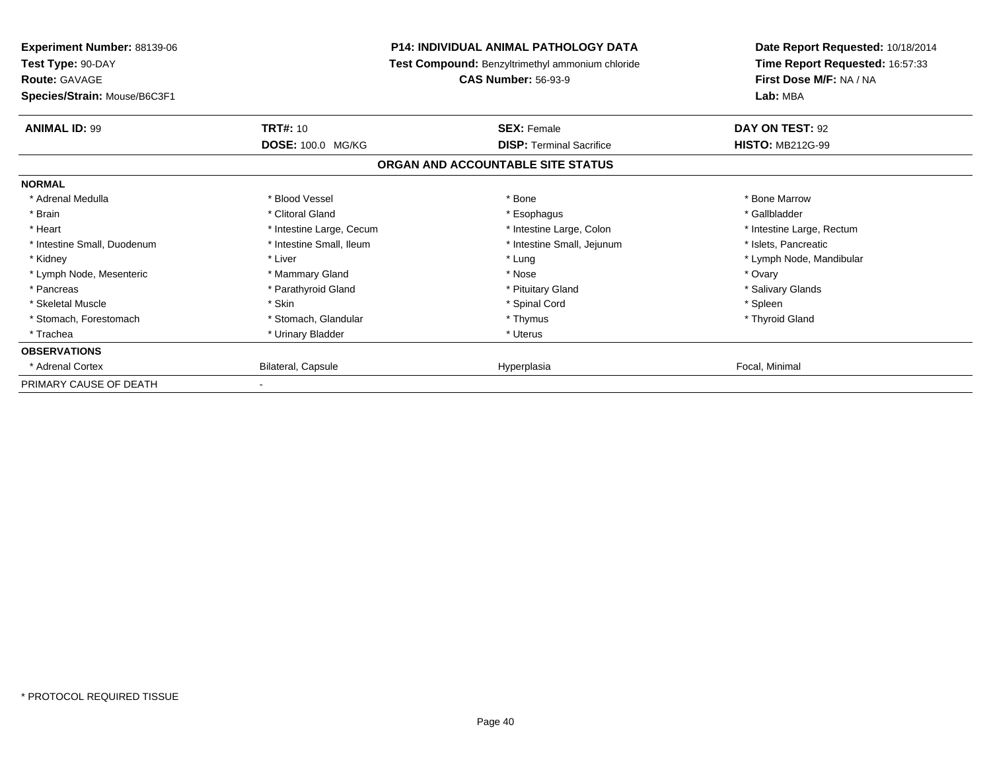| <b>Experiment Number: 88139-06</b><br>Test Type: 90-DAY<br><b>Route: GAVAGE</b> | <b>P14: INDIVIDUAL ANIMAL PATHOLOGY DATA</b><br>Test Compound: Benzyltrimethyl ammonium chloride<br><b>CAS Number: 56-93-9</b> |                                   | Date Report Requested: 10/18/2014<br>Time Report Requested: 16:57:33<br>First Dose M/F: NA / NA |
|---------------------------------------------------------------------------------|--------------------------------------------------------------------------------------------------------------------------------|-----------------------------------|-------------------------------------------------------------------------------------------------|
| Species/Strain: Mouse/B6C3F1                                                    |                                                                                                                                |                                   | Lab: MBA                                                                                        |
| <b>ANIMAL ID: 99</b>                                                            | <b>TRT#: 10</b>                                                                                                                | <b>SEX: Female</b>                | DAY ON TEST: 92                                                                                 |
|                                                                                 | DOSE: 100.0 MG/KG                                                                                                              | <b>DISP: Terminal Sacrifice</b>   | <b>HISTO: MB212G-99</b>                                                                         |
|                                                                                 |                                                                                                                                | ORGAN AND ACCOUNTABLE SITE STATUS |                                                                                                 |
| <b>NORMAL</b>                                                                   |                                                                                                                                |                                   |                                                                                                 |
| * Adrenal Medulla                                                               | * Blood Vessel                                                                                                                 | * Bone                            | * Bone Marrow                                                                                   |
| * Brain                                                                         | * Clitoral Gland                                                                                                               | * Esophagus                       | * Gallbladder                                                                                   |
| * Heart                                                                         | * Intestine Large, Cecum                                                                                                       | * Intestine Large, Colon          | * Intestine Large, Rectum                                                                       |
| * Intestine Small, Duodenum                                                     | * Intestine Small, Ileum                                                                                                       | * Intestine Small, Jejunum        | * Islets, Pancreatic                                                                            |
| * Kidney                                                                        | * Liver                                                                                                                        | * Lung                            | * Lymph Node, Mandibular                                                                        |
| * Lymph Node, Mesenteric                                                        | * Mammary Gland                                                                                                                | * Nose                            | * Ovary                                                                                         |
| * Pancreas                                                                      | * Parathyroid Gland                                                                                                            | * Pituitary Gland                 | * Salivary Glands                                                                               |
| * Skeletal Muscle                                                               | * Skin                                                                                                                         | * Spinal Cord                     | * Spleen                                                                                        |
| * Stomach, Forestomach                                                          | * Stomach, Glandular                                                                                                           | * Thymus                          | * Thyroid Gland                                                                                 |
| * Trachea                                                                       | * Urinary Bladder                                                                                                              | * Uterus                          |                                                                                                 |
| <b>OBSERVATIONS</b>                                                             |                                                                                                                                |                                   |                                                                                                 |
| * Adrenal Cortex                                                                | Bilateral, Capsule                                                                                                             | Hyperplasia                       | Focal, Minimal                                                                                  |
| PRIMARY CAUSE OF DEATH                                                          |                                                                                                                                |                                   |                                                                                                 |